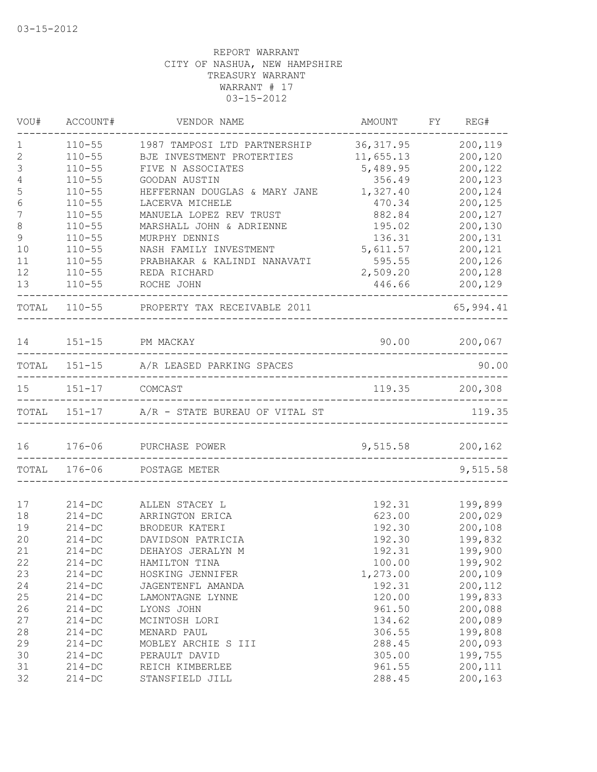| VOU#             | ACCOUNT#              | VENDOR NAME                                 | AMOUNT           | FY REG#       |
|------------------|-----------------------|---------------------------------------------|------------------|---------------|
| 1                | $110 - 55$            | 1987 TAMPOSI LTD PARTNERSHIP                | 36, 317.95       | 200,119       |
| $\mathbf{2}$     | $110 - 55$            | BJE INVESTMENT PROTERTIES                   | 11,655.13        | 200,120       |
| $\mathfrak{Z}$   | $110 - 55$            | FIVE N ASSOCIATES                           | 5,489.95         | 200,122       |
| $\sqrt{4}$       | $110 - 55$            | GOODAN AUSTIN                               | 356.49           | 200,123       |
| 5                | $110 - 55$            | HEFFERNAN DOUGLAS & MARY JANE               | 1,327.40         | 200,124       |
| $\epsilon$       | $110 - 55$            | LACERVA MICHELE                             | 470.34           | 200,125       |
| $\boldsymbol{7}$ | $110 - 55$            | MANUELA LOPEZ REV TRUST                     | 882.84           | 200,127       |
| $\,8\,$          | $110 - 55$            | MARSHALL JOHN & ADRIENNE                    | 195.02           | 200,130       |
| $\mathsf 9$      | $110 - 55$            | MURPHY DENNIS                               | 136.31           | 200,131       |
| 10               | $110 - 55$            | NASH FAMILY INVESTMENT                      | 5,611.57         | 200,121       |
| 11               | $110 - 55$            | PRABHAKAR & KALINDI NANAVATI                | 595.55           | 200,126       |
| 12               | $110 - 55$            | REDA RICHARD                                | 2,509.20         | 200,128       |
| 13               | $110 - 55$            | ROCHE JOHN                                  | 446.66           | 200,129       |
|                  |                       | TOTAL 110-55 PROPERTY TAX RECEIVABLE 2011   |                  | 65,994.41     |
| 14               |                       | 151-15 PM MACKAY                            |                  | 90.00 200,067 |
|                  |                       | TOTAL 151-15 A/R LEASED PARKING SPACES      |                  | 90.00         |
|                  |                       |                                             |                  |               |
|                  | 15   151-17   COMCAST |                                             | 119.35 200,308   |               |
|                  |                       | TOTAL 151-17 A/R - STATE BUREAU OF VITAL ST |                  | 119.35        |
| 16               |                       | 176-06 PURCHASE POWER                       | 9,515.58 200,162 |               |
|                  | TOTAL 176-06          | POSTAGE METER                               |                  | 9,515.58      |
|                  |                       |                                             |                  |               |
| 17               | $214 - DC$            | ALLEN STACEY L                              | 192.31           | 199,899       |
| 18               | $214 - DC$            | ARRINGTON ERICA                             | 623.00           | 200,029       |
| 19               | $214 - DC$            | BRODEUR KATERI                              | 192.30           | 200,108       |
| 20               | $214 - DC$            | DAVIDSON PATRICIA                           | 192.30           | 199,832       |
| 21               | $214 - DC$            | DEHAYOS JERALYN M                           | 192.31           | 199,900       |
| 22               | $214 - DC$            | HAMILTON TINA                               | 100.00           | 199,902       |
| 23               | $214 - DC$            | HOSKING JENNIFER                            | 1,273.00         | 200,109       |
| 24               | $214 - DC$            | JAGENTENFL AMANDA                           | 192.31           | 200,112       |
| 25               | $214 - DC$            | LAMONTAGNE LYNNE                            | 120.00           | 199,833       |
| 26               | $214 - DC$            | LYONS JOHN                                  | 961.50           | 200,088       |
| 27               | $214 - DC$            | MCINTOSH LORI                               | 134.62           | 200,089       |
| 28               | $214 - DC$            | MENARD PAUL                                 | 306.55           | 199,808       |
| 29               | $214 - DC$            | MOBLEY ARCHIE S III                         | 288.45           | 200,093       |
| 30               | $214 - DC$            | PERAULT DAVID                               | 305.00           | 199,755       |
| 31               | $214 - DC$            | REICH KIMBERLEE                             | 961.55           | 200,111       |
| 32               | $214-DC$              | STANSFIELD JILL                             | 288.45           | 200,163       |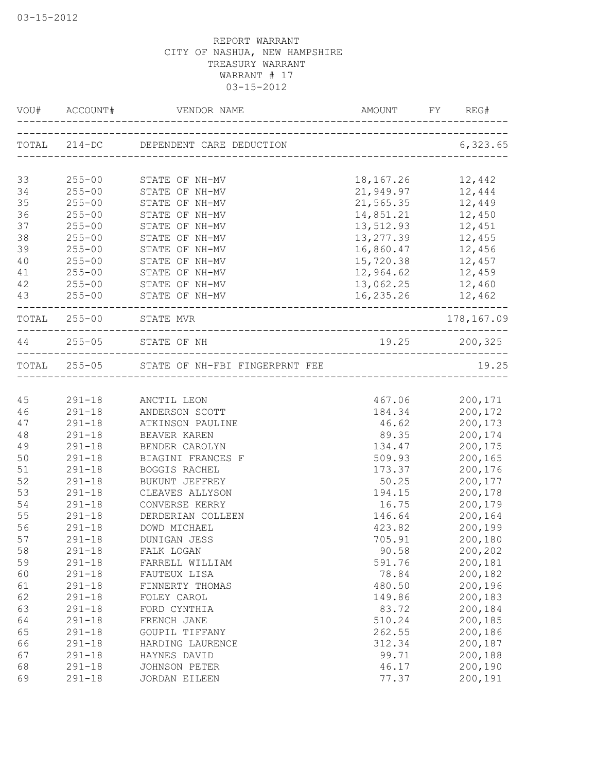| VOU# |            |                                                | AMOUNT        |                |
|------|------------|------------------------------------------------|---------------|----------------|
|      |            | TOTAL 214-DC DEPENDENT CARE DEDUCTION 6,323.65 |               |                |
| 33   | $255 - 00$ | STATE OF NH-MV                                 | 18,167.26     | 12,442         |
| 34   | $255 - 00$ | STATE OF NH-MV                                 | 21,949.97     | 12,444         |
| 35   | $255 - 00$ | STATE OF NH-MV                                 | 21,565.35     | 12,449         |
| 36   | $255 - 00$ | STATE OF NH-MV                                 | 14,851.21     | 12,450         |
| 37   | $255 - 00$ | STATE OF NH-MV                                 | 13,512.93     | 12,451         |
| 38   | $255 - 00$ | STATE OF NH-MV                                 | 13, 277.39    | 12,455         |
| 39   | $255 - 00$ | STATE OF NH-MV                                 | 16,860.47     | 12,456         |
| 40   | $255 - 00$ | STATE OF NH-MV                                 | 15,720.38     | 12,457         |
| 41   | $255 - 00$ | STATE OF NH-MV                                 | 12,964.62     | 12,459         |
| 42   | $255 - 00$ | STATE OF NH-MV                                 | 13,062.25     | 12,460         |
| 43   | $255 - 00$ | STATE OF NH-MV                                 | 16,235.26     | 12,462         |
|      |            | TOTAL 255-00 STATE MVR                         |               | 178,167.09     |
|      |            | 44 255-05 STATE OF NH                          | 19.25 200,325 |                |
|      |            | TOTAL 255-05 STATE OF NH-FBI FINGERPRNT FEE    |               | 19.25          |
|      |            |                                                |               |                |
| 45   | $291 - 18$ | ANCTIL LEON                                    |               | 467.06 200,171 |
| 46   | $291 - 18$ | ANDERSON SCOTT                                 | 184.34        | 200,172        |
| 47   | $291 - 18$ | ATKINSON PAULINE                               | 46.62         | 200,173        |
| 48   | $291 - 18$ | BEAVER KAREN                                   | 89.35         | 200,174        |
| 49   | $291 - 18$ | BENDER CAROLYN                                 | 134.47        | 200,175        |
| 50   | $291 - 18$ | BIAGINI FRANCES F                              | 509.93        | 200,165        |
| 51   | $291 - 18$ | BOGGIS RACHEL                                  | 173.37        | 200,176        |
| 52   | $291 - 18$ | BUKUNT JEFFREY                                 | 50.25         | 200,177        |
| 53   | $291 - 18$ | CLEAVES ALLYSON                                | 194.15        | 200,178        |
| 54   | $291 - 18$ | CONVERSE KERRY                                 | 16.75         | 200,179        |
| 55   | $291 - 18$ | DERDERIAN COLLEEN                              | 146.64        | 200,164        |
| 56   | $291 - 18$ | DOWD MICHAEL                                   | 423.82        | 200,199        |
| 57   | $291 - 18$ | DUNIGAN JESS                                   | 705.91        | 200,180        |
| 58   | $291 - 18$ | FALK LOGAN                                     | 90.58         | 200,202        |
| 59   | $291 - 18$ | FARRELL WILLIAM                                | 591.76        | 200,181        |
| 60   | $291 - 18$ | FAUTEUX LISA                                   | 78.84         | 200,182        |
| 61   | $291 - 18$ | FINNERTY THOMAS                                | 480.50        | 200,196        |
| 62   | $291 - 18$ | FOLEY CAROL                                    | 149.86        | 200,183        |
| 63   | $291 - 18$ | FORD CYNTHIA                                   | 83.72         | 200,184        |
| 64   | $291 - 18$ | FRENCH JANE                                    | 510.24        | 200,185        |
| 65   | $291 - 18$ | GOUPIL TIFFANY                                 | 262.55        | 200,186        |
| 66   | $291 - 18$ | HARDING LAURENCE                               | 312.34        | 200,187        |
| 67   | $291 - 18$ | HAYNES DAVID                                   | 99.71         | 200,188        |
| 68   | $291 - 18$ | JOHNSON PETER                                  | 46.17         | 200,190        |
| 69   | $291 - 18$ | JORDAN EILEEN                                  | 77.37         | 200,191        |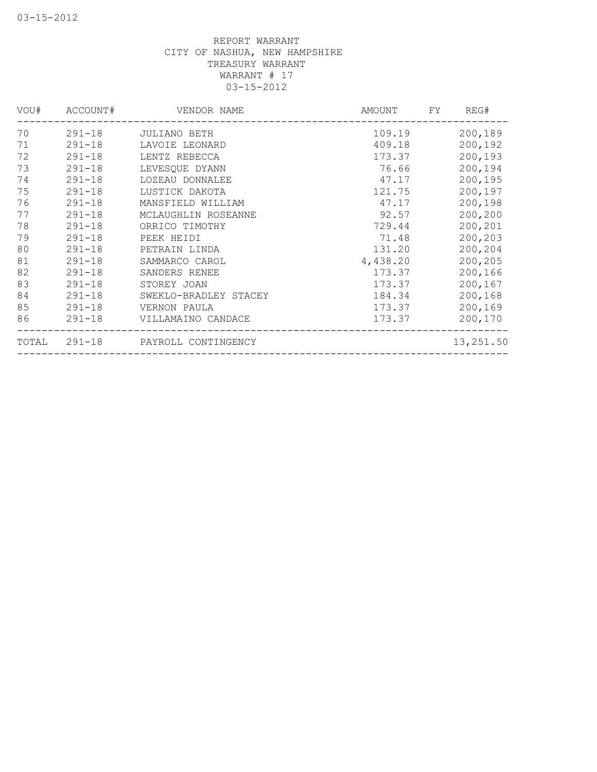| ACCOUNT#     | VENDOR NAME           | AMOUNT              | REG#<br>FY |
|--------------|-----------------------|---------------------|------------|
| $291 - 18$   | JULIANO BETH          | 109.19              | 200,189    |
| $291 - 18$   | LAVOIE LEONARD        | 409.18              | 200,192    |
| $291 - 18$   | LENTZ REBECCA         | 173.37              | 200,193    |
| $291 - 18$   | LEVESQUE DYANN        | 76.66               | 200,194    |
| $291 - 18$   | LOZEAU DONNALEE       | 47.17               | 200,195    |
| $291 - 18$   | LUSTICK DAKOTA        | 121.75              | 200,197    |
| $291 - 18$   | MANSFIELD WILLIAM     | 47.17               | 200,198    |
| $291 - 18$   | MCLAUGHLIN ROSEANNE   | 92.57               | 200,200    |
| $291 - 18$   | ORRICO TIMOTHY        | 729.44              | 200,201    |
| $291 - 18$   | PEEK HEIDI            | 71.48               | 200,203    |
| $291 - 18$   | PETRAIN LINDA         | 131.20              | 200,204    |
| $291 - 18$   | SAMMARCO CAROL        | 4,438.20            | 200,205    |
| $291 - 18$   | SANDERS RENEE         | 173.37              | 200,166    |
| $291 - 18$   | STOREY JOAN           | 173.37              | 200,167    |
| $291 - 18$   | SWEKLO-BRADLEY STACEY | 184.34              | 200,168    |
| $291 - 18$   | VERNON PAULA          | 173.37              | 200,169    |
| $291 - 18$   | VILLAMAINO CANDACE    | 173.37              | 200,170    |
| TOTAL 291-18 |                       |                     | 13,251.50  |
|              |                       | PAYROLL CONTINGENCY |            |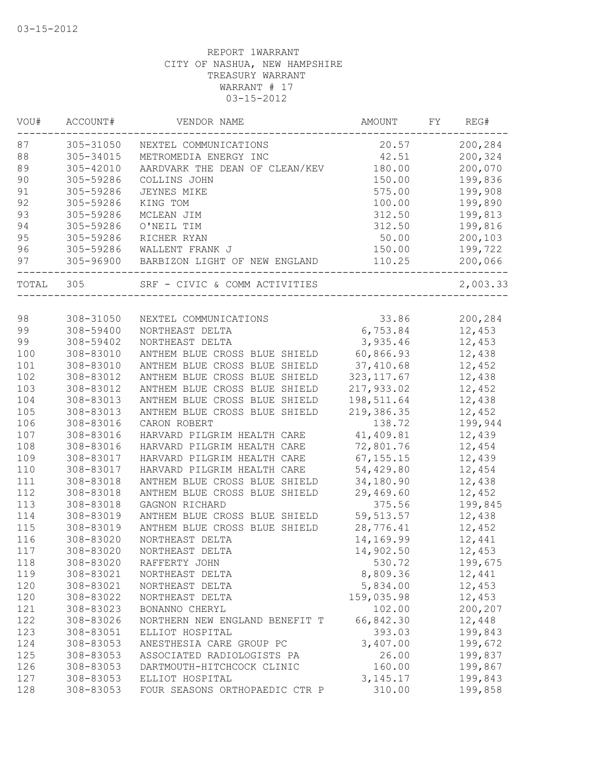| VOU#  | ACCOUNT#  | VENDOR NAME                    | AMOUNT      | FY | REG#     |
|-------|-----------|--------------------------------|-------------|----|----------|
| 87    | 305-31050 | NEXTEL COMMUNICATIONS          | 20.57       |    | 200,284  |
| 88    | 305-34015 | METROMEDIA ENERGY INC          | 42.51       |    | 200,324  |
| 89    | 305-42010 | AARDVARK THE DEAN OF CLEAN/KEV | 180.00      |    | 200,070  |
| 90    | 305-59286 | COLLINS JOHN                   | 150.00      |    | 199,836  |
| 91    | 305-59286 | JEYNES MIKE                    | 575.00      |    | 199,908  |
| 92    | 305-59286 | KING TOM                       | 100.00      |    | 199,890  |
| 93    | 305-59286 | MCLEAN JIM                     | 312.50      |    | 199,813  |
| 94    | 305-59286 | O'NEIL TIM                     | 312.50      |    | 199,816  |
| 95    | 305-59286 | RICHER RYAN                    | 50.00       |    | 200,103  |
| 96    | 305-59286 | WALLENT FRANK J                | 150.00      |    | 199,722  |
| 97    | 305-96900 | BARBIZON LIGHT OF NEW ENGLAND  | 110.25      |    | 200,066  |
| TOTAL | 305       | SRF - CIVIC & COMM ACTIVITIES  |             |    | 2,003.33 |
|       |           |                                |             |    |          |
| 98    | 308-31050 | NEXTEL COMMUNICATIONS          | 33.86       |    | 200,284  |
| 99    | 308-59400 | NORTHEAST DELTA                | 6,753.84    |    | 12,453   |
| 99    | 308-59402 | NORTHEAST DELTA                | 3,935.46    |    | 12,453   |
| 100   | 308-83010 | ANTHEM BLUE CROSS BLUE SHIELD  | 60,866.93   |    | 12,438   |
| 101   | 308-83010 | ANTHEM BLUE CROSS BLUE SHIELD  | 37,410.68   |    | 12,452   |
| 102   | 308-83012 | ANTHEM BLUE CROSS BLUE SHIELD  | 323, 117.67 |    | 12,438   |
| 103   | 308-83012 | ANTHEM BLUE CROSS BLUE SHIELD  | 217,933.02  |    | 12,452   |
| 104   | 308-83013 | ANTHEM BLUE CROSS BLUE SHIELD  | 198,511.64  |    | 12,438   |
| 105   | 308-83013 | ANTHEM BLUE CROSS BLUE SHIELD  | 219,386.35  |    | 12,452   |
| 106   | 308-83016 | CARON ROBERT                   | 138.72      |    | 199,944  |
| 107   | 308-83016 | HARVARD PILGRIM HEALTH CARE    | 41,409.81   |    | 12,439   |
| 108   | 308-83016 | HARVARD PILGRIM HEALTH CARE    | 72,801.76   |    | 12,454   |
| 109   | 308-83017 | HARVARD PILGRIM HEALTH CARE    | 67, 155.15  |    | 12,439   |
| 110   | 308-83017 | HARVARD PILGRIM HEALTH CARE    | 54,429.80   |    | 12,454   |
| 111   | 308-83018 | ANTHEM BLUE CROSS BLUE SHIELD  | 34,180.90   |    | 12,438   |
| 112   | 308-83018 | ANTHEM BLUE CROSS BLUE SHIELD  | 29,469.60   |    | 12,452   |
| 113   | 308-83018 | GAGNON RICHARD                 | 375.56      |    | 199,845  |
| 114   | 308-83019 | ANTHEM BLUE CROSS BLUE SHIELD  | 59, 513.57  |    | 12,438   |
| 115   | 308-83019 | ANTHEM BLUE CROSS BLUE SHIELD  | 28,776.41   |    | 12,452   |
| 116   | 308-83020 | NORTHEAST DELTA                | 14,169.99   |    | 12,441   |
| 117   | 308-83020 | NORTHEAST DELTA                | 14,902.50   |    | 12,453   |
| 118   | 308-83020 | RAFFERTY JOHN                  | 530.72      |    | 199,675  |
| 119   | 308-83021 | NORTHEAST DELTA                | 8,809.36    |    | 12,441   |
| 120   | 308-83021 | NORTHEAST DELTA                | 5,834.00    |    | 12,453   |
| 120   | 308-83022 | NORTHEAST DELTA                | 159,035.98  |    | 12,453   |
| 121   | 308-83023 | BONANNO CHERYL                 | 102.00      |    | 200,207  |
| 122   | 308-83026 | NORTHERN NEW ENGLAND BENEFIT T | 66,842.30   |    | 12,448   |
| 123   | 308-83051 | ELLIOT HOSPITAL                | 393.03      |    | 199,843  |
| 124   | 308-83053 | ANESTHESIA CARE GROUP PC       | 3,407.00    |    | 199,672  |
| 125   | 308-83053 | ASSOCIATED RADIOLOGISTS PA     | 26.00       |    | 199,837  |
|       | 308-83053 |                                |             |    |          |
| 126   | 308-83053 | DARTMOUTH-HITCHCOCK CLINIC     | 160.00      |    | 199,867  |
| 127   |           | ELLIOT HOSPITAL                | 3, 145. 17  |    | 199,843  |
| 128   | 308-83053 | FOUR SEASONS ORTHOPAEDIC CTR P | 310.00      |    | 199,858  |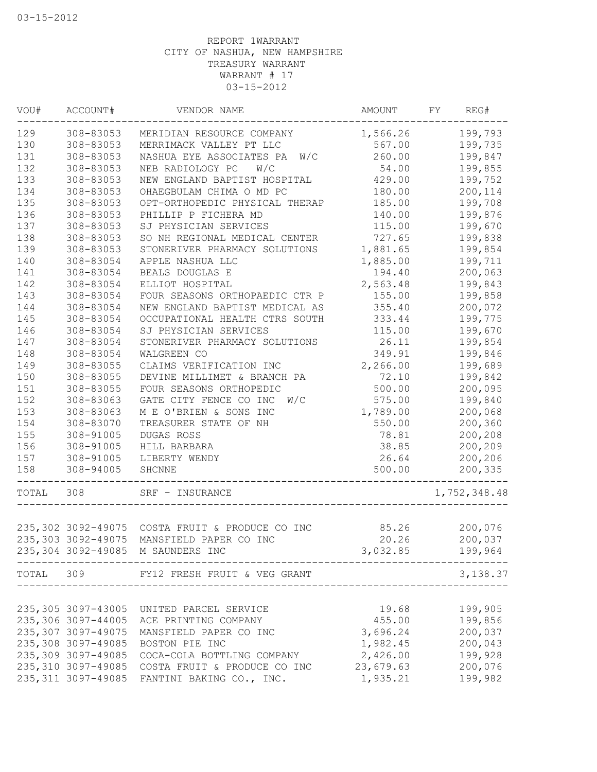| VOU#  | ACCOUNT#            | VENDOR NAME                                                               | <b>AMOUNT</b> | FY | REG#         |
|-------|---------------------|---------------------------------------------------------------------------|---------------|----|--------------|
| 129   | 308-83053           | MERIDIAN RESOURCE COMPANY                                                 | 1,566.26      |    | 199,793      |
| 130   | 308-83053           | MERRIMACK VALLEY PT LLC                                                   | 567.00        |    | 199,735      |
| 131   | 308-83053           | NASHUA EYE ASSOCIATES PA<br>W/C                                           | 260.00        |    | 199,847      |
| 132   | 308-83053           | NEB RADIOLOGY PC<br>W/C                                                   | 54.00         |    | 199,855      |
| 133   | 308-83053           | NEW ENGLAND BAPTIST HOSPITAL                                              | 429.00        |    | 199,752      |
| 134   | 308-83053           | OHAEGBULAM CHIMA O MD PC                                                  | 180.00        |    | 200,114      |
| 135   | 308-83053           | OPT-ORTHOPEDIC PHYSICAL THERAP                                            | 185.00        |    | 199,708      |
| 136   | 308-83053           | PHILLIP P FICHERA MD                                                      | 140.00        |    | 199,876      |
| 137   | 308-83053           | SJ PHYSICIAN SERVICES                                                     | 115.00        |    | 199,670      |
| 138   | 308-83053           | SO NH REGIONAL MEDICAL CENTER                                             | 727.65        |    | 199,838      |
| 139   | 308-83053           | STONERIVER PHARMACY SOLUTIONS                                             | 1,881.65      |    | 199,854      |
| 140   | 308-83054           | APPLE NASHUA LLC                                                          | 1,885.00      |    | 199,711      |
| 141   | 308-83054           | BEALS DOUGLAS E                                                           | 194.40        |    | 200,063      |
| 142   | 308-83054           | ELLIOT HOSPITAL                                                           | 2,563.48      |    | 199,843      |
| 143   | 308-83054           | FOUR SEASONS ORTHOPAEDIC CTR P                                            | 155.00        |    | 199,858      |
| 144   | 308-83054           | NEW ENGLAND BAPTIST MEDICAL AS                                            | 355.40        |    | 200,072      |
| 145   | 308-83054           | OCCUPATIONAL HEALTH CTRS SOUTH                                            | 333.44        |    | 199,775      |
| 146   | 308-83054           | SJ PHYSICIAN SERVICES                                                     | 115.00        |    | 199,670      |
| 147   | 308-83054           | STONERIVER PHARMACY SOLUTIONS                                             | 26.11         |    | 199,854      |
| 148   | 308-83054           | WALGREEN CO                                                               | 349.91        |    | 199,846      |
| 149   | 308-83055           | CLAIMS VERIFICATION INC                                                   | 2,266.00      |    | 199,689      |
| 150   | 308-83055           | DEVINE MILLIMET & BRANCH PA                                               | 72.10         |    | 199,842      |
| 151   | 308-83055           | FOUR SEASONS ORTHOPEDIC                                                   | 500.00        |    | 200,095      |
| 152   | 308-83063           | GATE CITY FENCE CO INC<br>W/C                                             | 575.00        |    | 199,840      |
| 153   | 308-83063           | M E O'BRIEN & SONS INC                                                    | 1,789.00      |    | 200,068      |
| 154   | 308-83070           | TREASURER STATE OF NH                                                     | 550.00        |    | 200,360      |
| 155   | 308-91005           | DUGAS ROSS                                                                | 78.81         |    | 200,208      |
| 156   | 308-91005           | HILL BARBARA                                                              | 38.85         |    | 200,209      |
| 157   | 308-91005           | LIBERTY WENDY                                                             | 26.64         |    | 200,206      |
| 158   | 308-94005           | SHCNNE                                                                    | 500.00        |    | 200,335      |
| TOTAL | 308                 | SRF - INSURANCE                                                           |               |    | 1,752,348.48 |
|       |                     |                                                                           |               |    |              |
|       |                     | 235,302 3092-49075 COSTA FRUIT & PRODUCE CO INC<br>MANSFIELD PAPER CO INC | 85.26         |    | 200,076      |
|       | 235,303 3092-49075  |                                                                           | 20.26         |    | 200,037      |
|       |                     | 235,304 3092-49085 M SAUNDERS INC                                         | 3,032.85      |    | 199,964      |
| TOTAL | 309                 | FY12 FRESH FRUIT & VEG GRANT                                              |               |    | 3,138.37     |
|       | 235,305 3097-43005  |                                                                           |               |    |              |
|       | 235,306 3097-44005  | UNITED PARCEL SERVICE                                                     | 19.68         |    | 199,905      |
|       | 235, 307 3097-49075 | ACE PRINTING COMPANY                                                      | 455.00        |    | 199,856      |
|       |                     | MANSFIELD PAPER CO INC                                                    | 3,696.24      |    | 200,037      |
|       | 235,308 3097-49085  | BOSTON PIE INC                                                            | 1,982.45      |    | 200,043      |
|       | 235,309 3097-49085  | COCA-COLA BOTTLING COMPANY                                                | 2,426.00      |    | 199,928      |
|       | 235,310 3097-49085  | COSTA FRUIT & PRODUCE CO INC                                              | 23,679.63     |    | 200,076      |
|       |                     | 235, 311 3097-49085 FANTINI BAKING CO., INC.                              | 1,935.21      |    | 199,982      |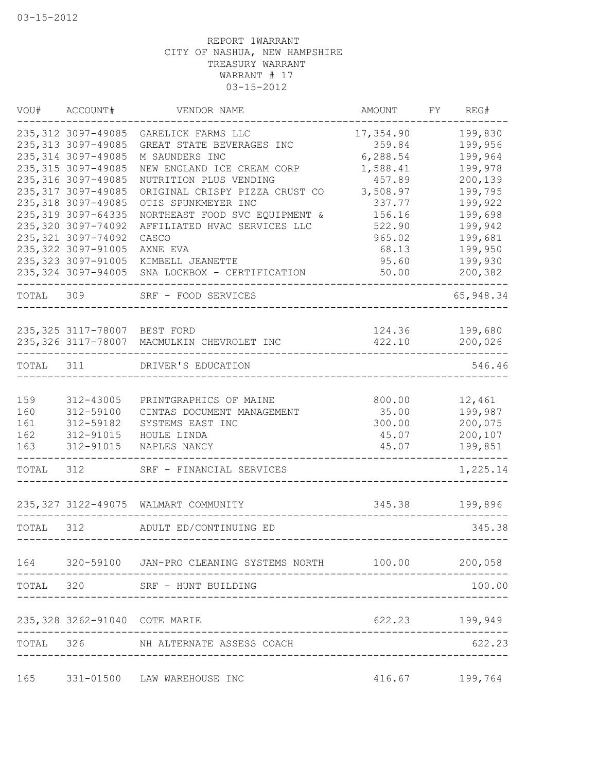|           | VOU# ACCOUNT#                              | VENDOR NAME                                                 | AMOUNT           | FY | REG#                      |
|-----------|--------------------------------------------|-------------------------------------------------------------|------------------|----|---------------------------|
|           | 235, 312 3097-49085                        | GARELICK FARMS LLC                                          | 17,354.90        |    | 199,830                   |
|           | 235, 313 3097-49085                        | GREAT STATE BEVERAGES INC                                   | 359.84           |    | 199,956                   |
|           | 235, 314 3097-49085                        | M SAUNDERS INC                                              | 6,288.54         |    | 199,964                   |
|           | 235, 315 3097-49085                        | NEW ENGLAND ICE CREAM CORP                                  | 1,588.41         |    | 199,978                   |
|           | 235, 316 3097-49085                        | NUTRITION PLUS VENDING                                      | 457.89           |    | 200,139                   |
|           | 235, 317 3097-49085<br>235, 318 3097-49085 | ORIGINAL CRISPY PIZZA CRUST CO                              | 3,508.97         |    | 199,795                   |
|           | 235, 319 3097-64335                        | OTIS SPUNKMEYER INC<br>NORTHEAST FOOD SVC EQUIPMENT &       | 337.77<br>156.16 |    | 199,922<br>199,698        |
|           | 235, 320 3097-74092                        | AFFILIATED HVAC SERVICES LLC                                | 522.90           |    | 199,942                   |
|           | 235, 321 3097-74092                        | CASCO                                                       | 965.02           |    | 199,681                   |
|           | 235, 322 3097-91005                        | AXNE EVA                                                    | 68.13            |    | 199,950                   |
|           | 235, 323 3097-91005                        | KIMBELL JEANETTE                                            | 95.60            |    | 199,930                   |
|           | 235, 324 3097-94005                        | SNA LOCKBOX - CERTIFICATION                                 | 50.00            |    | 200,382                   |
| TOTAL 309 |                                            | SRF - FOOD SERVICES<br>------------------                   |                  |    | ----<br>65,948.34         |
|           |                                            |                                                             |                  |    |                           |
|           | 235,325 3117-78007 BEST FORD               | 235,326 3117-78007 MACMULKIN CHEVROLET INC                  | 422.10           |    | 124.36 199,680<br>200,026 |
|           |                                            |                                                             |                  |    |                           |
| TOTAL 311 |                                            | DRIVER'S EDUCATION                                          |                  |    | 546.46                    |
| 159       | 312-43005                                  | PRINTGRAPHICS OF MAINE                                      | 800.00           |    | 12,461                    |
| 160       | 312-59100                                  | CINTAS DOCUMENT MANAGEMENT                                  | 35.00            |    | 199,987                   |
| 161       | 312-59182                                  | SYSTEMS EAST INC                                            | 300.00           |    | 200,075                   |
| 162       | 312-91015                                  | HOULE LINDA                                                 | 45.07            |    | 200,107                   |
| 163       | 312-91015                                  | NAPLES NANCY                                                | 45.07            |    | 199,851                   |
| TOTAL     | 312                                        | SRF - FINANCIAL SERVICES                                    |                  |    | -----<br>1,225.14         |
|           |                                            | 235, 327 3122-49075 WALMART COMMUNITY                       | 345.38           |    | 199,896                   |
| TOTAL     | 312                                        | ADULT ED/CONTINUING ED                                      |                  |    | 345.38                    |
|           |                                            | 164 320-59100 JAN-PRO CLEANING SYSTEMS NORTH 100.00 200,058 |                  |    |                           |
|           |                                            |                                                             |                  |    |                           |
|           |                                            | TOTAL 320 SRF - HUNT BUILDING                               |                  |    | 100.00                    |
|           | 235, 328 3262-91040 COTE MARIE             |                                                             | 622.23           |    | 199,949                   |
| TOTAL 326 |                                            | NH ALTERNATE ASSESS COACH                                   |                  |    | 622.23                    |
| 165       |                                            | 331-01500 LAW WAREHOUSE INC                                 | 416.67           |    | 199,764                   |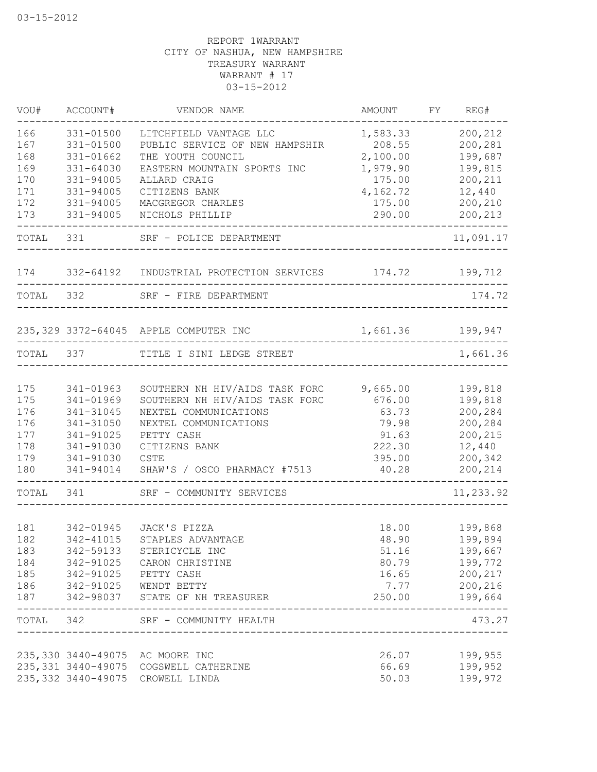| VOU#       | ACCOUNT#               | VENDOR NAME                                              | AMOUNT             | FY | REG#                  |
|------------|------------------------|----------------------------------------------------------|--------------------|----|-----------------------|
| 166        | 331-01500              | LITCHFIELD VANTAGE LLC                                   | 1,583.33           |    | 200,212               |
| 167        | 331-01500              | PUBLIC SERVICE OF NEW HAMPSHIR                           | 208.55             |    | 200,281               |
| 168        | 331-01662              | THE YOUTH COUNCIL                                        | 2,100.00           |    | 199,687               |
| 169        | 331-64030<br>331-94005 | EASTERN MOUNTAIN SPORTS INC                              | 1,979.90<br>175.00 |    | 199,815<br>200,211    |
| 170<br>171 | 331-94005              | ALLARD CRAIG<br>CITIZENS BANK                            | 4,162.72           |    | 12,440                |
| 172        | 331-94005              | MACGREGOR CHARLES                                        | 175.00             |    | 200,210               |
| 173        | 331-94005              | NICHOLS PHILLIP                                          | 290.00             |    | 200,213               |
| TOTAL 331  |                        | SRF - POLICE DEPARTMENT                                  |                    |    | --------<br>11,091.17 |
| 174        |                        | 332-64192 INDUSTRIAL PROTECTION SERVICES 174.72          |                    |    | 199,712               |
| TOTAL      | 332                    | SRF - FIRE DEPARTMENT                                    |                    |    | 174.72                |
|            |                        | 235,329 3372-64045 APPLE COMPUTER INC                    | 1,661.36           |    | 199,947               |
| TOTAL      | 337                    | TITLE I SINI LEDGE STREET                                |                    |    | 1,661.36              |
|            |                        |                                                          |                    |    |                       |
| 175        | 341-01963              | SOUTHERN NH HIV/AIDS TASK FORC                           | 9,665.00           |    | 199,818               |
| 175        | 341-01969              | SOUTHERN NH HIV/AIDS TASK FORC                           | 676.00             |    | 199,818               |
| 176        | 341-31045              | NEXTEL COMMUNICATIONS                                    | 63.73              |    | 200,284               |
| 176        | 341-31050              | NEXTEL COMMUNICATIONS                                    | 79.98              |    | 200,284               |
| 177        | 341-91025              | PETTY CASH                                               | 91.63              |    | 200,215               |
| 178<br>179 | 341-91030<br>341-91030 | CITIZENS BANK<br><b>CSTE</b>                             | 222.30<br>395.00   |    | 12,440<br>200,342     |
| 180        | 341-94014              | SHAW'S / OSCO PHARMACY #7513                             | 40.28              |    | 200,214               |
| TOTAL      | 341                    | SRF - COMMUNITY SERVICES                                 |                    |    | 11,233.92             |
|            |                        | ________________                                         |                    |    |                       |
| 181        | 342-01945              | JACK'S PIZZA                                             | 18.00              |    | 199,868               |
| 182        | 342-41015              | STAPLES ADVANTAGE                                        | 48.90              |    | 199,894               |
| 183        | 342-59133              | STERICYCLE INC                                           | 51.16              |    | 199,667               |
| 184        | 342-91025              | CARON CHRISTINE                                          | 80.79              |    | 199,772               |
| 185        | 342-91025              | PETTY CASH                                               | 16.65              |    | 200,217               |
| 186<br>187 |                        | 342-91025 WENDT BETTY<br>342-98037 STATE OF NH TREASURER | 7.77<br>250.00     |    | 200,216<br>199,664    |
| TOTAL 342  |                        | SRF - COMMUNITY HEALTH                                   |                    |    | 473.27                |
|            |                        |                                                          |                    |    |                       |
|            |                        | 235,330 3440-49075 AC MOORE INC                          | 26.07              |    | 199,955               |
|            | 235, 331 3440-49075    | COGSWELL CATHERINE                                       | 66.69              |    | 199,952               |
|            | 235, 332 3440-49075    | CROWELL LINDA                                            | 50.03              |    | 199,972               |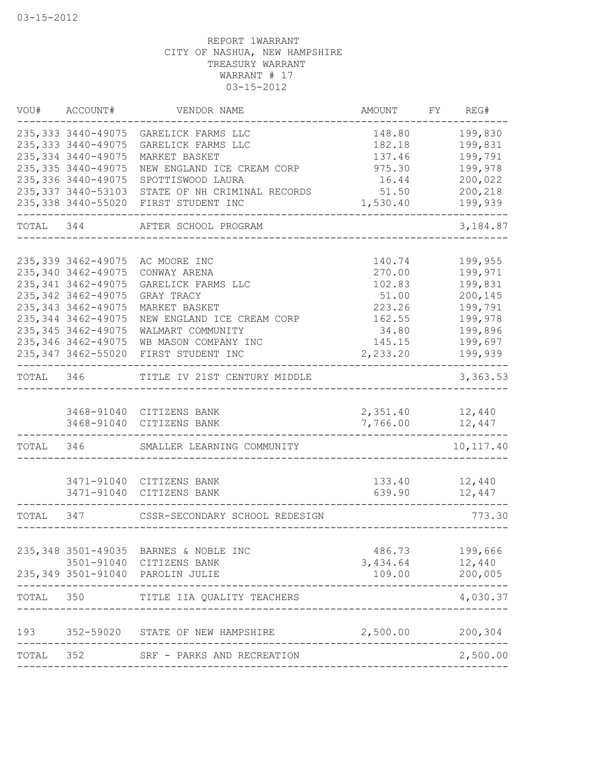|       | VOU# ACCOUNT#       | VENDOR NAME                            | AMOUNT           | FY | REG#       |
|-------|---------------------|----------------------------------------|------------------|----|------------|
|       | 235, 333 3440-49075 | GARELICK FARMS LLC                     | 148.80           |    | 199,830    |
|       | 235, 333 3440-49075 | GARELICK FARMS LLC                     | 182.18           |    | 199,831    |
|       | 235, 334 3440-49075 | MARKET BASKET                          | 137.46           |    | 199,791    |
|       | 235, 335 3440-49075 | NEW ENGLAND ICE CREAM CORP             | 975.30           |    | 199,978    |
|       | 235, 336 3440-49075 | SPOTTISWOOD LAURA                      | 16.44            |    | 200,022    |
|       | 235, 337 3440-53103 | STATE OF NH CRIMINAL RECORDS           | 51.50            |    | 200,218    |
|       | 235,338 3440-55020  | FIRST STUDENT INC                      | 1,530.40         |    | 199,939    |
|       |                     | TOTAL 344 AFTER SCHOOL PROGRAM         |                  |    | 3,184.87   |
|       |                     |                                        |                  |    |            |
|       | 235, 339 3462-49075 | AC MOORE INC                           | 140.74           |    | 199,955    |
|       | 235, 340 3462-49075 | CONWAY ARENA                           | 270.00           |    | 199,971    |
|       | 235, 341 3462-49075 | GARELICK FARMS LLC                     | 102.83           |    | 199,831    |
|       | 235, 342 3462-49075 | GRAY TRACY                             | 51.00            |    | 200,145    |
|       | 235, 343 3462-49075 | MARKET BASKET                          | 223.26           |    | 199,791    |
|       | 235, 344 3462-49075 | NEW ENGLAND ICE CREAM CORP             | 162.55           |    | 199,978    |
|       | 235, 345 3462-49075 | WALMART COMMUNITY                      | 34.80            |    | 199,896    |
|       | 235, 346 3462-49075 | WB MASON COMPANY INC                   | 145.15           |    | 199,697    |
|       | 235, 347 3462-55020 | FIRST STUDENT INC                      | 2,233.20         |    | 199,939    |
|       |                     | TOTAL 346 TITLE IV 21ST CENTURY MIDDLE |                  |    | 3,363.53   |
|       |                     | 3468-91040 CITIZENS BANK               | 2,351.40 12,440  |    |            |
|       |                     | 3468-91040 CITIZENS BANK               | 7,766.00         |    | 12,447     |
|       |                     | ----------------------                 |                  |    |            |
| TOTAL | 346 34              | SMALLER LEARNING COMMUNITY             |                  |    | 10, 117.40 |
|       |                     |                                        |                  |    |            |
|       | 3471-91040          | 3471-91040 CITIZENS BANK               | 133.40<br>639.90 |    | 12,440     |
|       |                     | CITIZENS BANK                          |                  |    | 12,447     |
| TOTAL | 347                 | CSSR-SECONDARY SCHOOL REDESIGN         |                  |    | 773.30     |
|       |                     |                                        |                  |    |            |
|       | 235, 348 3501-49035 | BARNES & NOBLE INC                     | 486.73           |    | 199,666    |
|       | 3501-91040          | CITIZENS BANK                          | 3,434.64         |    | 12,440     |
|       | 235, 349 3501-91040 | PAROLIN JULIE                          | 109.00           |    | 200,005    |
| TOTAL | 350                 | TITLE IIA QUALITY TEACHERS             |                  |    | 4,030.37   |
| 193   | 352-59020           | STATE OF NEW HAMPSHIRE                 | 2,500.00         |    | 200,304    |
| TOTAL | 352                 | SRF - PARKS AND RECREATION             |                  |    | 2,500.00   |
|       |                     |                                        |                  |    |            |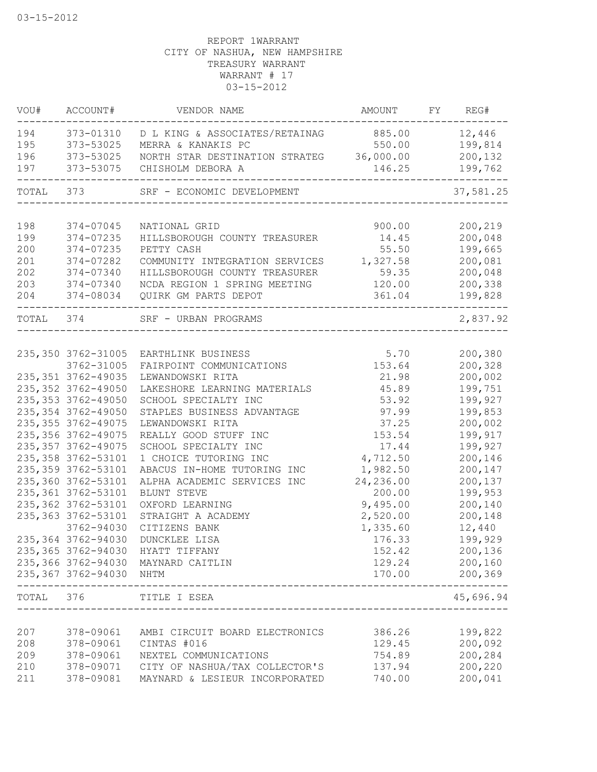| VOU#       | ACCOUNT#                | VENDOR NAME                                 | AMOUNT           | FY | REG#                 |
|------------|-------------------------|---------------------------------------------|------------------|----|----------------------|
| 194        | 373-01310               | D L KING & ASSOCIATES/RETAINAG              | 885.00           |    | 12,446               |
| 195        | 373-53025               | MERRA & KANAKIS PC                          | 550.00           |    | 199,814              |
| 196        | 373-53025               | NORTH STAR DESTINATION STRATEG              | 36,000.00        |    | 200,132              |
| 197        | 373-53075               | CHISHOLM DEBORA A                           | 146.25           |    | 199,762              |
| TOTAL 373  |                         | SRF - ECONOMIC DEVELOPMENT                  |                  |    | 37,581.25            |
|            |                         |                                             |                  |    |                      |
| 198        | 374-07045<br>374-07235  | NATIONAL GRID                               | 900.00           |    | 200,219              |
| 199<br>200 | 374-07235               | HILLSBOROUGH COUNTY TREASURER<br>PETTY CASH | 14.45<br>55.50   |    | 200,048<br>199,665   |
| 201        | 374-07282               |                                             |                  |    | 200,081              |
|            | 374-07340               | COMMUNITY INTEGRATION SERVICES              | 1,327.58         |    | 200,048              |
| 202        |                         | HILLSBOROUGH COUNTY TREASURER               | 59.35            |    |                      |
| 203        | 374-07340               | NCDA REGION 1 SPRING MEETING                | 120.00<br>361.04 |    | 200,338              |
| 204        | 374-08034               | QUIRK GM PARTS DEPOT                        |                  |    | 199,828              |
| TOTAL 374  |                         | SRF - URBAN PROGRAMS                        |                  |    | 2,837.92             |
|            |                         |                                             |                  |    |                      |
|            | 235, 350 3762-31005     | EARTHLINK BUSINESS                          | 5.70             |    | 200,380              |
|            | 3762-31005              | FAIRPOINT COMMUNICATIONS                    | 153.64           |    | 200,328              |
|            | 235, 351 3762-49035     | LEWANDOWSKI RITA                            | 21.98            |    | 200,002              |
|            | 235, 352 3762-49050     | LAKESHORE LEARNING MATERIALS                | 45.89            |    | 199,751              |
|            | 235, 353 3762-49050     | SCHOOL SPECIALTY INC                        | 53.92            |    | 199,927              |
|            | 235, 354 3762-49050     | STAPLES BUSINESS ADVANTAGE                  | 97.99            |    | 199,853              |
|            | 235, 355 3762-49075     | LEWANDOWSKI RITA                            | 37.25            |    | 200,002              |
|            | 235, 356 3762-49075     | REALLY GOOD STUFF INC                       | 153.54           |    | 199,917              |
|            | 235, 357 3762-49075     | SCHOOL SPECIALTY INC                        | 17.44            |    | 199,927              |
|            | 235, 358 3762-53101     | 1 CHOICE TUTORING INC                       | 4,712.50         |    | 200,146              |
|            | 235, 359 3762-53101     | ABACUS IN-HOME TUTORING INC                 | 1,982.50         |    | 200,147              |
|            | 235,360 3762-53101      | ALPHA ACADEMIC SERVICES INC                 | 24,236.00        |    | 200,137              |
|            | 235, 361 3762-53101     | BLUNT STEVE                                 | 200.00           |    | 199,953              |
|            | 235, 362 3762-53101     | OXFORD LEARNING                             | 9,495.00         |    | 200,140              |
|            | 235, 363 3762-53101     | STRAIGHT A ACADEMY                          | 2,520.00         |    | 200,148              |
|            | 3762-94030              | CITIZENS BANK                               | 1,335.60         |    | 12,440               |
|            | 235, 364 3762-94030     | DUNCKLEE LISA                               | 176.33           |    | 199,929              |
|            |                         | 235,365 3762-94030 HYATT TIFFANY            | 152.42           |    | 200,136              |
|            |                         | 235,366 3762-94030 MAYNARD CAITLIN          | 129.24           |    | 200,160              |
|            | 235,367 3762-94030 NHTM | _______________________________             | 170.00           |    | 200,369<br>$- - - -$ |
| TOTAL      | 376                     | TITLE I ESEA                                |                  |    | 45,696.94            |
|            |                         |                                             |                  |    |                      |
| 207        | 378-09061               | AMBI CIRCUIT BOARD ELECTRONICS              | 386.26           |    | 199,822              |
| 208        | 378-09061               | CINTAS #016                                 | 129.45           |    | 200,092              |
| 209        | 378-09061               | NEXTEL COMMUNICATIONS                       | 754.89           |    | 200,284              |
| 210        | 378-09071               | CITY OF NASHUA/TAX COLLECTOR'S              | 137.94           |    | 200,220              |
| 211        | 378-09081               | MAYNARD & LESIEUR INCORPORATED              | 740.00           |    | 200,041              |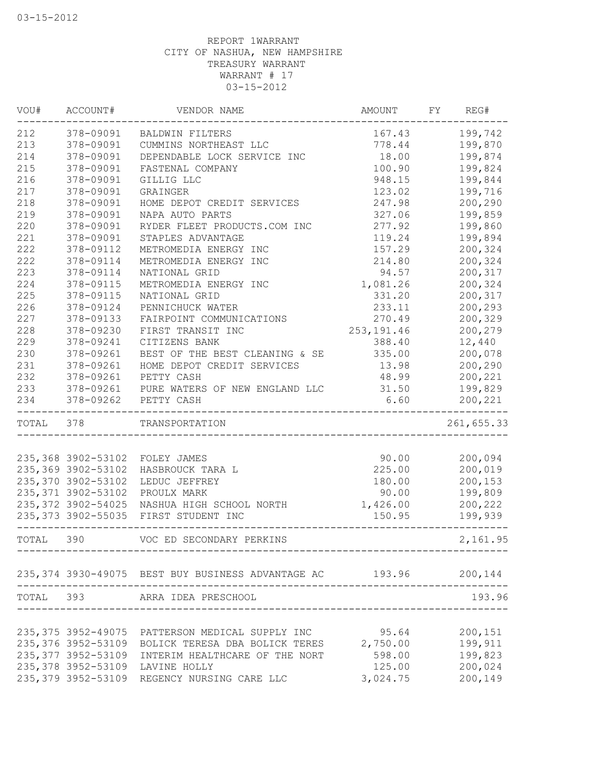| 199,742<br>378-09091<br><b>BALDWIN FILTERS</b><br>167.43<br>378-09091<br>778.44<br>199,870<br>CUMMINS NORTHEAST LLC<br>378-09091<br>18.00<br>199,874<br>DEPENDABLE LOCK SERVICE INC<br>378-09091<br>100.90<br>199,824<br>FASTENAL COMPANY<br>378-09091<br>948.15<br>199,844<br>GILLIG LLC<br>199,716<br>378-09091<br>123.02<br>GRAINGER<br>378-09091<br>247.98<br>200,290<br>HOME DEPOT CREDIT SERVICES<br>378-09091<br>327.06<br>199,859<br>NAPA AUTO PARTS<br>378-09091<br>277.92<br>199,860<br>RYDER FLEET PRODUCTS.COM INC<br>378-09091<br>199,894<br>STAPLES ADVANTAGE<br>119.24<br>222<br>200,324<br>378-09112<br>METROMEDIA ENERGY INC<br>157.29<br>222<br>378-09114<br>214.80<br>200,324<br>METROMEDIA ENERGY INC<br>223<br>378-09114<br>200,317<br>NATIONAL GRID<br>94.57<br>224<br>378-09115<br>1,081.26<br>200,324<br>METROMEDIA ENERGY INC<br>225<br>378-09115<br>200,317<br>NATIONAL GRID<br>331.20<br>226<br>378-09124<br>200,293<br>PENNICHUCK WATER<br>233.11<br>227<br>200,329<br>378-09133<br>FAIRPOINT COMMUNICATIONS<br>270.49<br>228<br>378-09230<br>FIRST TRANSIT INC<br>253, 191.46<br>200,279<br>229<br>378-09241<br>12,440<br>CITIZENS BANK<br>388.40<br>230<br>378-09261<br>BEST OF THE BEST CLEANING & SE<br>335.00<br>200,078<br>231<br>200,290<br>378-09261<br>HOME DEPOT CREDIT SERVICES<br>13.98<br>232<br>48.99<br>200,221<br>378-09261<br>PETTY CASH<br>233<br>378-09261<br>31.50<br>199,829<br>PURE WATERS OF NEW ENGLAND LLC<br>6.60<br>200,221<br>378-09262<br>PETTY CASH<br>TOTAL<br>378<br>261,655.33<br>TRANSPORTATION<br>235,368 3902-53102<br>90.00<br>200,094<br>FOLEY JAMES<br>235,369 3902-53102<br>225.00<br>200,019<br>HASBROUCK TARA L<br>235,370 3902-53102<br>180.00<br>200,153<br>LEDUC JEFFREY<br>235, 371 3902-53102<br>199,809<br>PROULX MARK<br>90.00<br>235, 372 3902-54025<br>1,426.00<br>200,222<br>NASHUA HIGH SCHOOL NORTH<br>235, 373 3902-55035<br>FIRST STUDENT INC<br>199,939<br>150.95<br>390<br>VOC ED SECONDARY PERKINS<br>235,374 3930-49075 BEST BUY BUSINESS ADVANTAGE AC 193.96 200,144<br>TOTAL 393 ARRA IDEA PRESCHOOL<br>193.96<br>200,151<br>235,375 3952-49075 PATTERSON MEDICAL SUPPLY INC<br>95.64<br>199,911<br>235,376 3952-53109<br>2,750.00<br>BOLICK TERESA DBA BOLICK TERES<br>235, 377 3952-53109<br>598.00<br>199,823<br>INTERIM HEALTHCARE OF THE NORT<br>235,378 3952-53109<br>200,024<br>125.00<br>LAVINE HOLLY<br>235, 379 3952-53109 REGENCY NURSING CARE LLC<br>200,149<br>3,024.75 | VOU#  | ACCOUNT# | VENDOR NAME | AMOUNT | FY | REG#     |
|--------------------------------------------------------------------------------------------------------------------------------------------------------------------------------------------------------------------------------------------------------------------------------------------------------------------------------------------------------------------------------------------------------------------------------------------------------------------------------------------------------------------------------------------------------------------------------------------------------------------------------------------------------------------------------------------------------------------------------------------------------------------------------------------------------------------------------------------------------------------------------------------------------------------------------------------------------------------------------------------------------------------------------------------------------------------------------------------------------------------------------------------------------------------------------------------------------------------------------------------------------------------------------------------------------------------------------------------------------------------------------------------------------------------------------------------------------------------------------------------------------------------------------------------------------------------------------------------------------------------------------------------------------------------------------------------------------------------------------------------------------------------------------------------------------------------------------------------------------------------------------------------------------------------------------------------------------------------------------------------------------------------------------------------------------------------------------------------------------------------------------------------------------------------------------------------------------------------------------------------------------------------------------------------------------------------------------------------------------------------------------------------------------------------------------------------------------------------------------|-------|----------|-------------|--------|----|----------|
|                                                                                                                                                                                                                                                                                                                                                                                                                                                                                                                                                                                                                                                                                                                                                                                                                                                                                                                                                                                                                                                                                                                                                                                                                                                                                                                                                                                                                                                                                                                                                                                                                                                                                                                                                                                                                                                                                                                                                                                                                                                                                                                                                                                                                                                                                                                                                                                                                                                                                | 212   |          |             |        |    |          |
|                                                                                                                                                                                                                                                                                                                                                                                                                                                                                                                                                                                                                                                                                                                                                                                                                                                                                                                                                                                                                                                                                                                                                                                                                                                                                                                                                                                                                                                                                                                                                                                                                                                                                                                                                                                                                                                                                                                                                                                                                                                                                                                                                                                                                                                                                                                                                                                                                                                                                | 213   |          |             |        |    |          |
|                                                                                                                                                                                                                                                                                                                                                                                                                                                                                                                                                                                                                                                                                                                                                                                                                                                                                                                                                                                                                                                                                                                                                                                                                                                                                                                                                                                                                                                                                                                                                                                                                                                                                                                                                                                                                                                                                                                                                                                                                                                                                                                                                                                                                                                                                                                                                                                                                                                                                | 214   |          |             |        |    |          |
|                                                                                                                                                                                                                                                                                                                                                                                                                                                                                                                                                                                                                                                                                                                                                                                                                                                                                                                                                                                                                                                                                                                                                                                                                                                                                                                                                                                                                                                                                                                                                                                                                                                                                                                                                                                                                                                                                                                                                                                                                                                                                                                                                                                                                                                                                                                                                                                                                                                                                | 215   |          |             |        |    |          |
|                                                                                                                                                                                                                                                                                                                                                                                                                                                                                                                                                                                                                                                                                                                                                                                                                                                                                                                                                                                                                                                                                                                                                                                                                                                                                                                                                                                                                                                                                                                                                                                                                                                                                                                                                                                                                                                                                                                                                                                                                                                                                                                                                                                                                                                                                                                                                                                                                                                                                | 216   |          |             |        |    |          |
|                                                                                                                                                                                                                                                                                                                                                                                                                                                                                                                                                                                                                                                                                                                                                                                                                                                                                                                                                                                                                                                                                                                                                                                                                                                                                                                                                                                                                                                                                                                                                                                                                                                                                                                                                                                                                                                                                                                                                                                                                                                                                                                                                                                                                                                                                                                                                                                                                                                                                | 217   |          |             |        |    |          |
|                                                                                                                                                                                                                                                                                                                                                                                                                                                                                                                                                                                                                                                                                                                                                                                                                                                                                                                                                                                                                                                                                                                                                                                                                                                                                                                                                                                                                                                                                                                                                                                                                                                                                                                                                                                                                                                                                                                                                                                                                                                                                                                                                                                                                                                                                                                                                                                                                                                                                | 218   |          |             |        |    |          |
|                                                                                                                                                                                                                                                                                                                                                                                                                                                                                                                                                                                                                                                                                                                                                                                                                                                                                                                                                                                                                                                                                                                                                                                                                                                                                                                                                                                                                                                                                                                                                                                                                                                                                                                                                                                                                                                                                                                                                                                                                                                                                                                                                                                                                                                                                                                                                                                                                                                                                | 219   |          |             |        |    |          |
|                                                                                                                                                                                                                                                                                                                                                                                                                                                                                                                                                                                                                                                                                                                                                                                                                                                                                                                                                                                                                                                                                                                                                                                                                                                                                                                                                                                                                                                                                                                                                                                                                                                                                                                                                                                                                                                                                                                                                                                                                                                                                                                                                                                                                                                                                                                                                                                                                                                                                | 220   |          |             |        |    |          |
|                                                                                                                                                                                                                                                                                                                                                                                                                                                                                                                                                                                                                                                                                                                                                                                                                                                                                                                                                                                                                                                                                                                                                                                                                                                                                                                                                                                                                                                                                                                                                                                                                                                                                                                                                                                                                                                                                                                                                                                                                                                                                                                                                                                                                                                                                                                                                                                                                                                                                | 221   |          |             |        |    |          |
|                                                                                                                                                                                                                                                                                                                                                                                                                                                                                                                                                                                                                                                                                                                                                                                                                                                                                                                                                                                                                                                                                                                                                                                                                                                                                                                                                                                                                                                                                                                                                                                                                                                                                                                                                                                                                                                                                                                                                                                                                                                                                                                                                                                                                                                                                                                                                                                                                                                                                |       |          |             |        |    |          |
|                                                                                                                                                                                                                                                                                                                                                                                                                                                                                                                                                                                                                                                                                                                                                                                                                                                                                                                                                                                                                                                                                                                                                                                                                                                                                                                                                                                                                                                                                                                                                                                                                                                                                                                                                                                                                                                                                                                                                                                                                                                                                                                                                                                                                                                                                                                                                                                                                                                                                |       |          |             |        |    |          |
|                                                                                                                                                                                                                                                                                                                                                                                                                                                                                                                                                                                                                                                                                                                                                                                                                                                                                                                                                                                                                                                                                                                                                                                                                                                                                                                                                                                                                                                                                                                                                                                                                                                                                                                                                                                                                                                                                                                                                                                                                                                                                                                                                                                                                                                                                                                                                                                                                                                                                |       |          |             |        |    |          |
|                                                                                                                                                                                                                                                                                                                                                                                                                                                                                                                                                                                                                                                                                                                                                                                                                                                                                                                                                                                                                                                                                                                                                                                                                                                                                                                                                                                                                                                                                                                                                                                                                                                                                                                                                                                                                                                                                                                                                                                                                                                                                                                                                                                                                                                                                                                                                                                                                                                                                |       |          |             |        |    |          |
|                                                                                                                                                                                                                                                                                                                                                                                                                                                                                                                                                                                                                                                                                                                                                                                                                                                                                                                                                                                                                                                                                                                                                                                                                                                                                                                                                                                                                                                                                                                                                                                                                                                                                                                                                                                                                                                                                                                                                                                                                                                                                                                                                                                                                                                                                                                                                                                                                                                                                |       |          |             |        |    |          |
|                                                                                                                                                                                                                                                                                                                                                                                                                                                                                                                                                                                                                                                                                                                                                                                                                                                                                                                                                                                                                                                                                                                                                                                                                                                                                                                                                                                                                                                                                                                                                                                                                                                                                                                                                                                                                                                                                                                                                                                                                                                                                                                                                                                                                                                                                                                                                                                                                                                                                |       |          |             |        |    |          |
|                                                                                                                                                                                                                                                                                                                                                                                                                                                                                                                                                                                                                                                                                                                                                                                                                                                                                                                                                                                                                                                                                                                                                                                                                                                                                                                                                                                                                                                                                                                                                                                                                                                                                                                                                                                                                                                                                                                                                                                                                                                                                                                                                                                                                                                                                                                                                                                                                                                                                |       |          |             |        |    |          |
|                                                                                                                                                                                                                                                                                                                                                                                                                                                                                                                                                                                                                                                                                                                                                                                                                                                                                                                                                                                                                                                                                                                                                                                                                                                                                                                                                                                                                                                                                                                                                                                                                                                                                                                                                                                                                                                                                                                                                                                                                                                                                                                                                                                                                                                                                                                                                                                                                                                                                |       |          |             |        |    |          |
|                                                                                                                                                                                                                                                                                                                                                                                                                                                                                                                                                                                                                                                                                                                                                                                                                                                                                                                                                                                                                                                                                                                                                                                                                                                                                                                                                                                                                                                                                                                                                                                                                                                                                                                                                                                                                                                                                                                                                                                                                                                                                                                                                                                                                                                                                                                                                                                                                                                                                |       |          |             |        |    |          |
|                                                                                                                                                                                                                                                                                                                                                                                                                                                                                                                                                                                                                                                                                                                                                                                                                                                                                                                                                                                                                                                                                                                                                                                                                                                                                                                                                                                                                                                                                                                                                                                                                                                                                                                                                                                                                                                                                                                                                                                                                                                                                                                                                                                                                                                                                                                                                                                                                                                                                |       |          |             |        |    |          |
|                                                                                                                                                                                                                                                                                                                                                                                                                                                                                                                                                                                                                                                                                                                                                                                                                                                                                                                                                                                                                                                                                                                                                                                                                                                                                                                                                                                                                                                                                                                                                                                                                                                                                                                                                                                                                                                                                                                                                                                                                                                                                                                                                                                                                                                                                                                                                                                                                                                                                |       |          |             |        |    |          |
|                                                                                                                                                                                                                                                                                                                                                                                                                                                                                                                                                                                                                                                                                                                                                                                                                                                                                                                                                                                                                                                                                                                                                                                                                                                                                                                                                                                                                                                                                                                                                                                                                                                                                                                                                                                                                                                                                                                                                                                                                                                                                                                                                                                                                                                                                                                                                                                                                                                                                |       |          |             |        |    |          |
|                                                                                                                                                                                                                                                                                                                                                                                                                                                                                                                                                                                                                                                                                                                                                                                                                                                                                                                                                                                                                                                                                                                                                                                                                                                                                                                                                                                                                                                                                                                                                                                                                                                                                                                                                                                                                                                                                                                                                                                                                                                                                                                                                                                                                                                                                                                                                                                                                                                                                |       |          |             |        |    |          |
|                                                                                                                                                                                                                                                                                                                                                                                                                                                                                                                                                                                                                                                                                                                                                                                                                                                                                                                                                                                                                                                                                                                                                                                                                                                                                                                                                                                                                                                                                                                                                                                                                                                                                                                                                                                                                                                                                                                                                                                                                                                                                                                                                                                                                                                                                                                                                                                                                                                                                | 234   |          |             |        |    |          |
|                                                                                                                                                                                                                                                                                                                                                                                                                                                                                                                                                                                                                                                                                                                                                                                                                                                                                                                                                                                                                                                                                                                                                                                                                                                                                                                                                                                                                                                                                                                                                                                                                                                                                                                                                                                                                                                                                                                                                                                                                                                                                                                                                                                                                                                                                                                                                                                                                                                                                |       |          |             |        |    |          |
|                                                                                                                                                                                                                                                                                                                                                                                                                                                                                                                                                                                                                                                                                                                                                                                                                                                                                                                                                                                                                                                                                                                                                                                                                                                                                                                                                                                                                                                                                                                                                                                                                                                                                                                                                                                                                                                                                                                                                                                                                                                                                                                                                                                                                                                                                                                                                                                                                                                                                |       |          |             |        |    |          |
|                                                                                                                                                                                                                                                                                                                                                                                                                                                                                                                                                                                                                                                                                                                                                                                                                                                                                                                                                                                                                                                                                                                                                                                                                                                                                                                                                                                                                                                                                                                                                                                                                                                                                                                                                                                                                                                                                                                                                                                                                                                                                                                                                                                                                                                                                                                                                                                                                                                                                |       |          |             |        |    |          |
|                                                                                                                                                                                                                                                                                                                                                                                                                                                                                                                                                                                                                                                                                                                                                                                                                                                                                                                                                                                                                                                                                                                                                                                                                                                                                                                                                                                                                                                                                                                                                                                                                                                                                                                                                                                                                                                                                                                                                                                                                                                                                                                                                                                                                                                                                                                                                                                                                                                                                |       |          |             |        |    |          |
|                                                                                                                                                                                                                                                                                                                                                                                                                                                                                                                                                                                                                                                                                                                                                                                                                                                                                                                                                                                                                                                                                                                                                                                                                                                                                                                                                                                                                                                                                                                                                                                                                                                                                                                                                                                                                                                                                                                                                                                                                                                                                                                                                                                                                                                                                                                                                                                                                                                                                |       |          |             |        |    |          |
|                                                                                                                                                                                                                                                                                                                                                                                                                                                                                                                                                                                                                                                                                                                                                                                                                                                                                                                                                                                                                                                                                                                                                                                                                                                                                                                                                                                                                                                                                                                                                                                                                                                                                                                                                                                                                                                                                                                                                                                                                                                                                                                                                                                                                                                                                                                                                                                                                                                                                |       |          |             |        |    |          |
|                                                                                                                                                                                                                                                                                                                                                                                                                                                                                                                                                                                                                                                                                                                                                                                                                                                                                                                                                                                                                                                                                                                                                                                                                                                                                                                                                                                                                                                                                                                                                                                                                                                                                                                                                                                                                                                                                                                                                                                                                                                                                                                                                                                                                                                                                                                                                                                                                                                                                |       |          |             |        |    |          |
|                                                                                                                                                                                                                                                                                                                                                                                                                                                                                                                                                                                                                                                                                                                                                                                                                                                                                                                                                                                                                                                                                                                                                                                                                                                                                                                                                                                                                                                                                                                                                                                                                                                                                                                                                                                                                                                                                                                                                                                                                                                                                                                                                                                                                                                                                                                                                                                                                                                                                |       |          |             |        |    |          |
|                                                                                                                                                                                                                                                                                                                                                                                                                                                                                                                                                                                                                                                                                                                                                                                                                                                                                                                                                                                                                                                                                                                                                                                                                                                                                                                                                                                                                                                                                                                                                                                                                                                                                                                                                                                                                                                                                                                                                                                                                                                                                                                                                                                                                                                                                                                                                                                                                                                                                | TOTAL |          |             |        |    | 2,161.95 |
|                                                                                                                                                                                                                                                                                                                                                                                                                                                                                                                                                                                                                                                                                                                                                                                                                                                                                                                                                                                                                                                                                                                                                                                                                                                                                                                                                                                                                                                                                                                                                                                                                                                                                                                                                                                                                                                                                                                                                                                                                                                                                                                                                                                                                                                                                                                                                                                                                                                                                |       |          |             |        |    |          |
|                                                                                                                                                                                                                                                                                                                                                                                                                                                                                                                                                                                                                                                                                                                                                                                                                                                                                                                                                                                                                                                                                                                                                                                                                                                                                                                                                                                                                                                                                                                                                                                                                                                                                                                                                                                                                                                                                                                                                                                                                                                                                                                                                                                                                                                                                                                                                                                                                                                                                |       |          |             |        |    |          |
|                                                                                                                                                                                                                                                                                                                                                                                                                                                                                                                                                                                                                                                                                                                                                                                                                                                                                                                                                                                                                                                                                                                                                                                                                                                                                                                                                                                                                                                                                                                                                                                                                                                                                                                                                                                                                                                                                                                                                                                                                                                                                                                                                                                                                                                                                                                                                                                                                                                                                |       |          |             |        |    |          |
|                                                                                                                                                                                                                                                                                                                                                                                                                                                                                                                                                                                                                                                                                                                                                                                                                                                                                                                                                                                                                                                                                                                                                                                                                                                                                                                                                                                                                                                                                                                                                                                                                                                                                                                                                                                                                                                                                                                                                                                                                                                                                                                                                                                                                                                                                                                                                                                                                                                                                |       |          |             |        |    |          |
|                                                                                                                                                                                                                                                                                                                                                                                                                                                                                                                                                                                                                                                                                                                                                                                                                                                                                                                                                                                                                                                                                                                                                                                                                                                                                                                                                                                                                                                                                                                                                                                                                                                                                                                                                                                                                                                                                                                                                                                                                                                                                                                                                                                                                                                                                                                                                                                                                                                                                |       |          |             |        |    |          |
|                                                                                                                                                                                                                                                                                                                                                                                                                                                                                                                                                                                                                                                                                                                                                                                                                                                                                                                                                                                                                                                                                                                                                                                                                                                                                                                                                                                                                                                                                                                                                                                                                                                                                                                                                                                                                                                                                                                                                                                                                                                                                                                                                                                                                                                                                                                                                                                                                                                                                |       |          |             |        |    |          |
|                                                                                                                                                                                                                                                                                                                                                                                                                                                                                                                                                                                                                                                                                                                                                                                                                                                                                                                                                                                                                                                                                                                                                                                                                                                                                                                                                                                                                                                                                                                                                                                                                                                                                                                                                                                                                                                                                                                                                                                                                                                                                                                                                                                                                                                                                                                                                                                                                                                                                |       |          |             |        |    |          |
|                                                                                                                                                                                                                                                                                                                                                                                                                                                                                                                                                                                                                                                                                                                                                                                                                                                                                                                                                                                                                                                                                                                                                                                                                                                                                                                                                                                                                                                                                                                                                                                                                                                                                                                                                                                                                                                                                                                                                                                                                                                                                                                                                                                                                                                                                                                                                                                                                                                                                |       |          |             |        |    |          |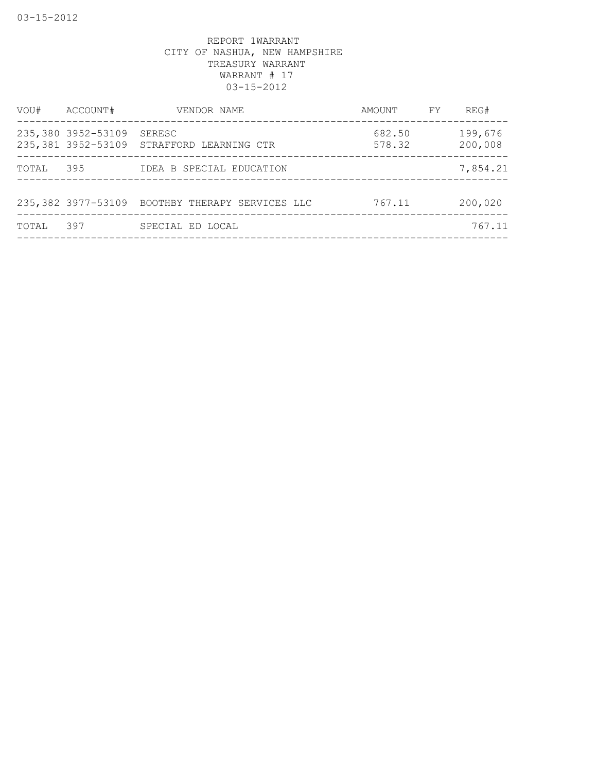| VOU#  | ACCOUNT#           | VENDOR NAME                                         | AMOUNT           | FY. | REG#               |
|-------|--------------------|-----------------------------------------------------|------------------|-----|--------------------|
|       | 235,380 3952-53109 | SERESC<br>235,381 3952-53109 STRAFFORD LEARNING CTR | 682.50<br>578.32 |     | 199,676<br>200,008 |
| TOTAL | 395                | IDEA B SPECIAL EDUCATION                            |                  |     | 7,854.21           |
|       |                    | 235,382 3977-53109 BOOTHBY THERAPY SERVICES LLC     | 767.11           |     | 200,020            |
| TOTAL | 397                | SPECIAL ED LOCAL                                    |                  |     | 767.11             |
|       |                    |                                                     |                  |     |                    |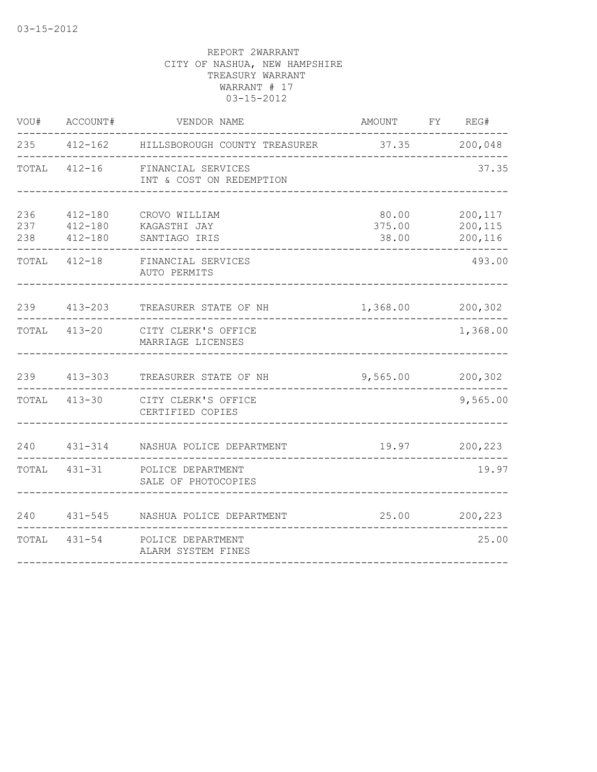| VOU#              | ACCOUNT#                                  | VENDOR NAME                                           | AMOUNT FY REG#           |                               |
|-------------------|-------------------------------------------|-------------------------------------------------------|--------------------------|-------------------------------|
|                   |                                           | 235 412-162 HILLSBOROUGH COUNTY TREASURER             | $37.35$ 200,048          |                               |
|                   | TOTAL 412-16                              | FINANCIAL SERVICES<br>INT & COST ON REDEMPTION        |                          | 37.35                         |
| 236<br>237<br>238 | $412 - 180$<br>$412 - 180$<br>$412 - 180$ | CROVO WILLIAM<br>KAGASTHI JAY<br>SANTIAGO IRIS        | 80.00<br>375.00<br>38.00 | 200,117<br>200,115<br>200,116 |
| TOTAL             |                                           | 412-18 FINANCIAL SERVICES<br>AUTO PERMITS             |                          | 493.00                        |
|                   | 239 413-203                               | TREASURER STATE OF NH                                 | 1,368.00                 | 200,302                       |
| TOTAL             | $413 - 20$                                | CITY CLERK'S OFFICE<br>MARRIAGE LICENSES              |                          | 1,368.00                      |
|                   | 239 413-303                               | TREASURER STATE OF NH                                 | 9,565.00                 | 200,302                       |
|                   | TOTAL 413-30                              | CITY CLERK'S OFFICE<br>CERTIFIED COPIES               |                          | 9,565.00                      |
| 240               |                                           | 431-314 NASHUA POLICE DEPARTMENT                      | 19.97                    | 200,223                       |
|                   |                                           | TOTAL 431-31 POLICE DEPARTMENT<br>SALE OF PHOTOCOPIES |                          | 19.97                         |
| 240               |                                           | 431-545 NASHUA POLICE DEPARTMENT                      | 25.00                    | 200,223                       |
| TOTAL             |                                           | 431-54 POLICE DEPARTMENT<br>ALARM SYSTEM FINES        |                          | 25.00                         |
|                   |                                           |                                                       |                          |                               |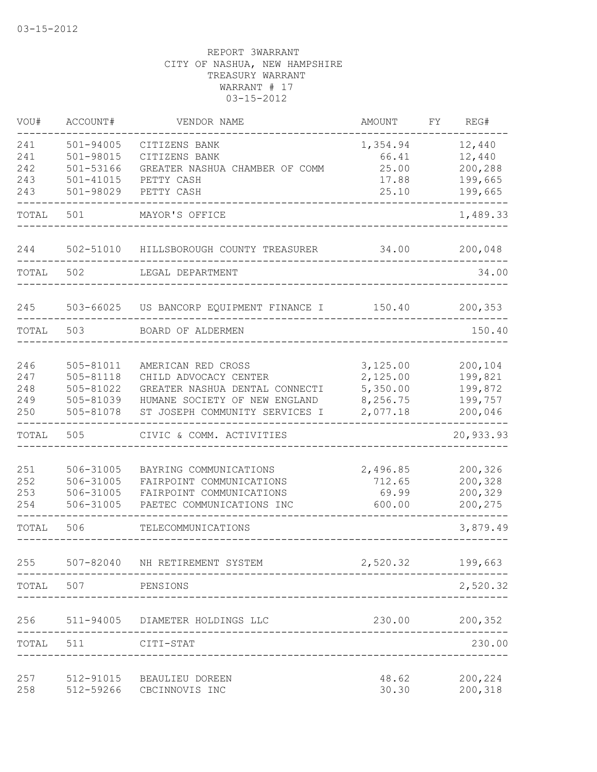| VOU#  | ACCOUNT#      | VENDOR NAME                     | AMOUNT   | FΥ | REG#      |
|-------|---------------|---------------------------------|----------|----|-----------|
| 241   | 501-94005     | CITIZENS BANK                   | 1,354.94 |    | 12,440    |
| 241   | 501-98015     | CITIZENS BANK                   | 66.41    |    | 12,440    |
| 242   | 501-53166     | GREATER NASHUA CHAMBER OF COMM  | 25.00    |    | 200,288   |
| 243   | $501 - 41015$ | PETTY CASH                      | 17.88    |    | 199,665   |
| 243   | 501-98029     | PETTY CASH                      | 25.10    |    | 199,665   |
| TOTAL | 501           | MAYOR'S OFFICE                  |          |    | 1,489.33  |
| 244   | 502-51010     | HILLSBOROUGH COUNTY TREASURER   | 34.00    |    | 200,048   |
| TOTAL | 502           | LEGAL DEPARTMENT                |          |    | 34.00     |
| 245   | 503-66025     | US BANCORP EQUIPMENT FINANCE I  | 150.40   |    | 200, 353  |
| TOTAL | 503           | BOARD OF ALDERMEN               |          |    | 150.40    |
|       |               |                                 |          |    |           |
| 246   | 505-81011     | AMERICAN RED CROSS              | 3,125.00 |    | 200,104   |
| 247   | 505-81118     | CHILD ADVOCACY CENTER           | 2,125.00 |    | 199,821   |
| 248   | 505-81022     | GREATER NASHUA DENTAL CONNECTI  | 5,350.00 |    | 199,872   |
| 249   | 505-81039     | HUMANE SOCIETY OF NEW ENGLAND   | 8,256.75 |    | 199,757   |
| 250   | 505-81078     | ST JOSEPH COMMUNITY SERVICES I  | 2,077.18 |    | 200,046   |
| TOTAL | 505           | CIVIC & COMM. ACTIVITIES        |          |    | 20,933.93 |
| 251   | 506-31005     | BAYRING COMMUNICATIONS          | 2,496.85 |    | 200,326   |
| 252   | 506-31005     | FAIRPOINT COMMUNICATIONS        | 712.65   |    | 200,328   |
| 253   | 506-31005     | FAIRPOINT COMMUNICATIONS        | 69.99    |    | 200,329   |
| 254   | 506-31005     | PAETEC COMMUNICATIONS INC       | 600.00   |    | 200,275   |
| TOTAL | 506           | TELECOMMUNICATIONS              |          |    | 3,879.49  |
| 255   | 507-82040     | NH RETIREMENT SYSTEM            | 2,520.32 |    | 199,663   |
| TOTAL | 507           | PENSIONS                        |          |    | 2,520.32  |
| 256   |               | 511-94005 DIAMETER HOLDINGS LLC | 230.00   |    | 200,352   |
| TOTAL | 511           | CITI-STAT                       |          |    | 230.00    |
|       |               |                                 |          |    |           |
| 257   | 512-91015     | BEAULIEU DOREEN                 | 48.62    |    | 200,224   |
| 258   | 512-59266     | CBCINNOVIS INC                  | 30.30    |    | 200,318   |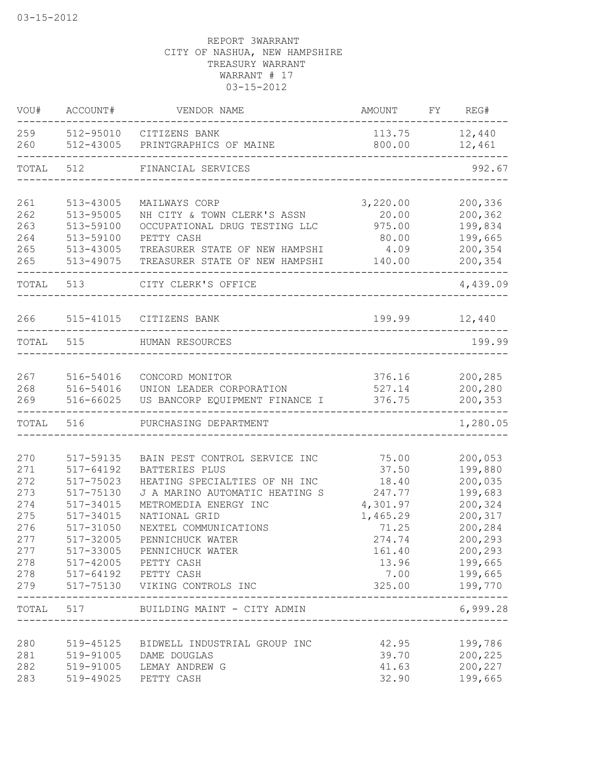| VOU#       | ACCOUNT#               | VENDOR NAME                                                 | AMOUNT           | FY REG#            |
|------------|------------------------|-------------------------------------------------------------|------------------|--------------------|
| 259<br>260 |                        | 512-95010 CITIZENS BANK<br>512-43005 PRINTGRAPHICS OF MAINE | 113.75<br>800.00 | 12,440<br>12,461   |
| TOTAL 512  |                        | FINANCIAL SERVICES                                          |                  | 992.67             |
| 261        | 513-43005              | MAILWAYS CORP                                               | 3,220.00         | 200,336            |
| 262        | 513-95005              | NH CITY & TOWN CLERK'S ASSN                                 | 20.00            | 200,362            |
| 263        | 513-59100              | OCCUPATIONAL DRUG TESTING LLC                               | 975.00           | 199,834            |
| 264<br>265 | 513-59100<br>513-43005 | PETTY CASH<br>TREASURER STATE OF NEW HAMPSHI                | 80.00<br>4.09    | 199,665<br>200,354 |
| 265        | 513-49075              | TREASURER STATE OF NEW HAMPSHI                              | 140.00           | 200,354            |
| TOTAL      | 513                    | CITY CLERK'S OFFICE                                         |                  | -----<br>4,439.09  |
| 266        | 515-41015              | CITIZENS BANK                                               | 199.99           | 12,440             |
| TOTAL      | 515                    | HUMAN RESOURCES                                             |                  | 199.99             |
|            | 516-54016              |                                                             |                  | 200,285            |
| 267<br>268 | 516-54016              | CONCORD MONITOR<br>UNION LEADER CORPORATION                 | 376.16<br>527.14 | 200,280            |
| 269        | 516-66025              | US BANCORP EQUIPMENT FINANCE I                              | 376.75           | 200,353            |
| TOTAL      | 516                    | PURCHASING DEPARTMENT                                       |                  | 1,280.05           |
| 270        | 517-59135              | BAIN PEST CONTROL SERVICE INC                               | 75.00            | 200,053            |
| 271        | 517-64192              | BATTERIES PLUS                                              | 37.50            | 199,880            |
| 272        | 517-75023              | HEATING SPECIALTIES OF NH INC                               | 18.40            | 200,035            |
| 273        | 517-75130              | J A MARINO AUTOMATIC HEATING S                              | 247.77           | 199,683            |
| 274        | 517-34015              | METROMEDIA ENERGY INC                                       | 4,301.97         | 200,324            |
| 275        | 517-34015              | NATIONAL GRID                                               | 1,465.29         | 200,317            |
| 276        | 517-31050              | NEXTEL COMMUNICATIONS                                       | 71.25            | 200,284            |
| 277        | 517-32005              | PENNICHUCK WATER                                            | 274.74           | 200,293            |
| 277        | 517-33005              | PENNICHUCK WATER                                            | 161.40           | 200,293            |
| 278        | 517-42005              | PETTY CASH                                                  | 13.96            | 199,665            |
| 278<br>279 |                        | 517-64192 PETTY CASH<br>517-75130 VIKING CONTROLS INC       | 7.00<br>325.00   | 199,665<br>199,770 |
| TOTAL      | 517                    | BUILDING MAINT - CITY ADMIN                                 | --------         | 6,999.28           |
|            |                        |                                                             |                  |                    |
| 280        | 519-45125              | BIDWELL INDUSTRIAL GROUP INC                                | 42.95            | 199,786            |
| 281        | 519-91005              | DAME DOUGLAS                                                | 39.70            | 200,225            |
| 282        | 519-91005              | LEMAY ANDREW G                                              | 41.63            | 200,227            |
| 283        | 519-49025              | PETTY CASH                                                  | 32.90            | 199,665            |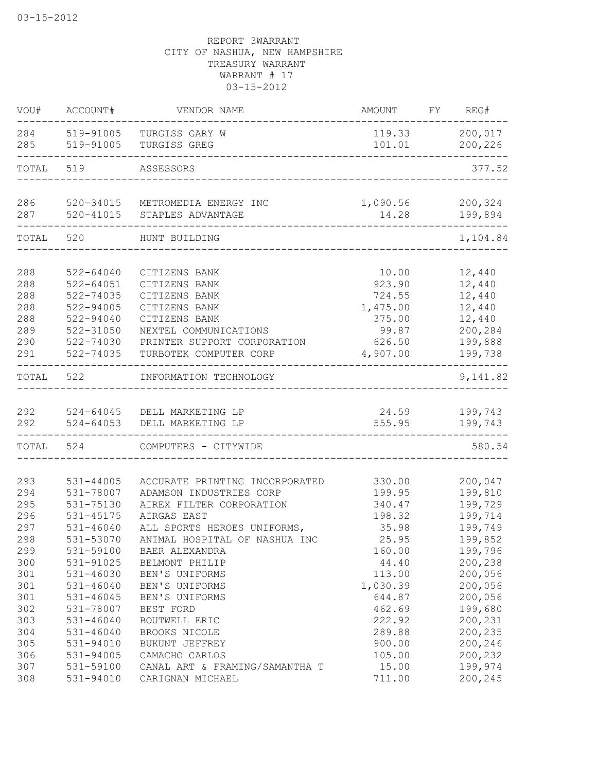| VOU#       | ACCOUNT#               | VENDOR NAME                      | AMOUNT          | FY | REG#               |
|------------|------------------------|----------------------------------|-----------------|----|--------------------|
| 284<br>285 | 519-91005              | TURGISS GARY W                   | 119.33          |    | 200,017            |
|            | 519-91005              | TURGISS GREG                     | 101.01          |    | 200,226            |
| TOTAL 519  |                        | ASSESSORS                        |                 |    | 377.52             |
| 286        | 520-34015              | METROMEDIA ENERGY INC            | 1,090.56        |    | 200,324            |
| 287        | $520 - 41015$          | STAPLES ADVANTAGE                | 14.28           |    | 199,894            |
| TOTAL 520  |                        | HUNT BUILDING                    |                 |    | 1,104.84           |
| 288        | 522-64040              |                                  | 10.00           |    | 12,440             |
| 288        | $522 - 64051$          | CITIZENS BANK<br>CITIZENS BANK   | 923.90          |    | 12,440             |
| 288        | 522-74035              | CITIZENS BANK                    | 724.55          |    | 12,440             |
| 288        | 522-94005              | CITIZENS BANK                    | 1,475.00        |    | 12,440             |
| 288        | $522 - 94040$          | CITIZENS BANK                    | 375.00          |    | 12,440             |
| 289        | 522-31050              | NEXTEL COMMUNICATIONS            | 99.87           |    | 200,284            |
| 290        | 522-74030              | PRINTER SUPPORT CORPORATION      | 626.50          |    | 199,888            |
| 291        | 522-74035              | TURBOTEK COMPUTER CORP           | 4,907.00        |    | 199,738            |
| TOTAL      | 522                    | INFORMATION TECHNOLOGY           |                 |    | 9,141.82           |
| 292        | 524-64045              | DELL MARKETING LP                | 24.59           |    | 199,743            |
| 292        | $524 - 64053$          | DELL MARKETING LP                | 555.95          |    | 199,743            |
| TOTAL      | 524                    | COMPUTERS - CITYWIDE             |                 |    | 580.54             |
|            |                        |                                  |                 |    |                    |
| 293        | $531 - 44005$          | ACCURATE PRINTING INCORPORATED   | 330.00          |    | 200,047            |
| 294        | 531-78007              | ADAMSON INDUSTRIES CORP          | 199.95          |    | 199,810            |
| 295        | 531-75130              | AIREX FILTER CORPORATION         | 340.47          |    | 199,729            |
| 296        | 531-45175              | AIRGAS EAST                      | 198.32          |    | 199,714            |
| 297<br>298 | $531 - 46040$          | ALL SPORTS HEROES UNIFORMS,      | 35.98           |    | 199,749            |
|            | 531-53070<br>531-59100 | ANIMAL HOSPITAL OF NASHUA INC    | 25.95           |    | 199,852            |
| 299<br>300 | 531-91025              | BAER ALEXANDRA                   | 160.00<br>44.40 |    | 199,796<br>200,238 |
| 301        | 531-46030              | BELMONT PHILIP<br>BEN'S UNIFORMS | 113.00          |    | 200,056            |
| 301        | $531 - 46040$          | BEN'S UNIFORMS                   | 1,030.39        |    | 200,056            |
| 301        | 531-46045              | BEN'S UNIFORMS                   | 644.87          |    | 200,056            |
| 302        | 531-78007              | BEST FORD                        | 462.69          |    | 199,680            |
| 303        | $531 - 46040$          | BOUTWELL ERIC                    | 222.92          |    | 200,231            |
| 304        | $531 - 46040$          | BROOKS NICOLE                    | 289.88          |    | 200,235            |
| 305        | 531-94010              | BUKUNT JEFFREY                   | 900.00          |    | 200,246            |
| 306        | 531-94005              | CAMACHO CARLOS                   | 105.00          |    | 200,232            |
| 307        | 531-59100              | CANAL ART & FRAMING/SAMANTHA T   | 15.00           |    | 199,974            |
| 308        | 531-94010              | CARIGNAN MICHAEL                 | 711.00          |    | 200,245            |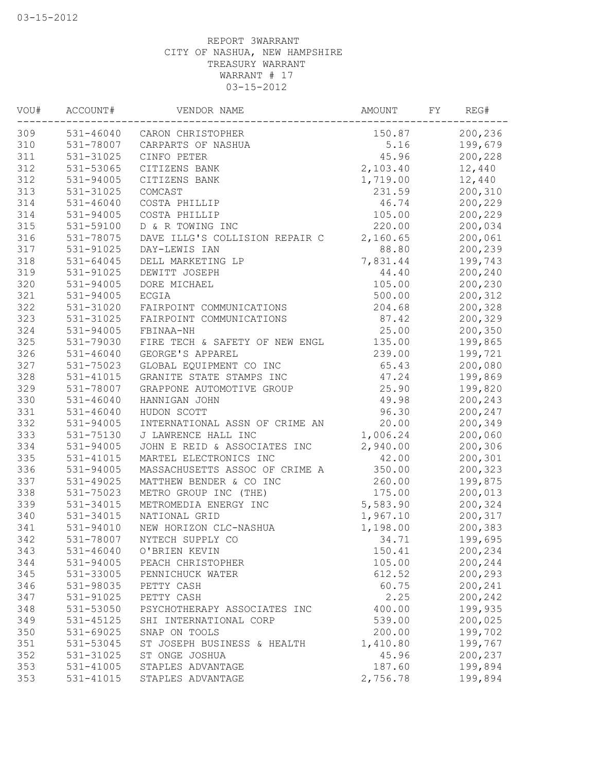| VOU# | ACCOUNT#      | VENDOR NAME                    | AMOUNT   | FY | REG#    |
|------|---------------|--------------------------------|----------|----|---------|
| 309  |               | 531-46040 CARON CHRISTOPHER    | 150.87   |    | 200,236 |
| 310  | 531-78007     | CARPARTS OF NASHUA             | 5.16     |    | 199,679 |
| 311  | 531-31025     | CINFO PETER                    | 45.96    |    | 200,228 |
| 312  | 531-53065     | CITIZENS BANK                  | 2,103.40 |    | 12,440  |
| 312  | 531-94005     | CITIZENS BANK                  | 1,719.00 |    | 12,440  |
| 313  | 531-31025     | COMCAST                        | 231.59   |    | 200,310 |
| 314  | 531-46040     | COSTA PHILLIP                  | 46.74    |    | 200,229 |
| 314  | 531-94005     | COSTA PHILLIP                  | 105.00   |    | 200,229 |
| 315  | 531-59100     | D & R TOWING INC               | 220.00   |    | 200,034 |
| 316  | 531-78075     | DAVE ILLG'S COLLISION REPAIR C | 2,160.65 |    | 200,061 |
| 317  | 531-91025     | DAY-LEWIS IAN                  | 88.80    |    | 200,239 |
| 318  | 531-64045     | DELL MARKETING LP              | 7,831.44 |    | 199,743 |
| 319  | 531-91025     | DEWITT JOSEPH                  | 44.40    |    | 200,240 |
| 320  | 531-94005     | DORE MICHAEL                   | 105.00   |    | 200,230 |
| 321  | 531-94005     | <b>ECGIA</b>                   | 500.00   |    | 200,312 |
| 322  | 531-31020     | FAIRPOINT COMMUNICATIONS       | 204.68   |    | 200,328 |
| 323  | 531-31025     | FAIRPOINT COMMUNICATIONS       | 87.42    |    | 200,329 |
| 324  | 531-94005     | FBINAA-NH                      | 25.00    |    | 200,350 |
| 325  | 531-79030     | FIRE TECH & SAFETY OF NEW ENGL | 135.00   |    | 199,865 |
| 326  | $531 - 46040$ | GEORGE'S APPAREL               | 239.00   |    | 199,721 |
| 327  | 531-75023     | GLOBAL EQUIPMENT CO INC        | 65.43    |    | 200,080 |
| 328  | 531-41015     | GRANITE STATE STAMPS INC       | 47.24    |    | 199,869 |
| 329  | 531-78007     | GRAPPONE AUTOMOTIVE GROUP      | 25.90    |    | 199,820 |
| 330  | $531 - 46040$ | HANNIGAN JOHN                  | 49.98    |    | 200,243 |
| 331  | 531-46040     | HUDON SCOTT                    | 96.30    |    | 200,247 |
| 332  | 531-94005     | INTERNATIONAL ASSN OF CRIME AN | 20.00    |    | 200,349 |
| 333  | 531-75130     | J LAWRENCE HALL INC            | 1,006.24 |    | 200,060 |
| 334  | 531-94005     | JOHN E REID & ASSOCIATES INC   | 2,940.00 |    | 200,306 |
| 335  | 531-41015     | MARTEL ELECTRONICS INC         | 42.00    |    | 200,301 |
| 336  | 531-94005     | MASSACHUSETTS ASSOC OF CRIME A | 350.00   |    | 200,323 |
| 337  | 531-49025     | MATTHEW BENDER & CO INC        | 260.00   |    | 199,875 |
| 338  | 531-75023     | METRO GROUP INC (THE)          | 175.00   |    | 200,013 |
| 339  | 531-34015     | METROMEDIA ENERGY INC          | 5,583.90 |    | 200,324 |
| 340  | 531-34015     | NATIONAL GRID                  | 1,967.10 |    | 200,317 |
| 341  | 531-94010     | NEW HORIZON CLC-NASHUA         | 1,198.00 |    | 200,383 |
| 342  | 531-78007     | NYTECH SUPPLY CO               | 34.71    |    | 199,695 |
| 343  | $531 - 46040$ | O'BRIEN KEVIN                  | 150.41   |    | 200,234 |
| 344  | 531-94005     | PEACH CHRISTOPHER              | 105.00   |    | 200,244 |
| 345  | 531-33005     | PENNICHUCK WATER               | 612.52   |    | 200,293 |
| 346  | 531-98035     | PETTY CASH                     | 60.75    |    | 200,241 |
| 347  | 531-91025     | PETTY CASH                     | 2.25     |    | 200,242 |
| 348  | 531-53050     | PSYCHOTHERAPY ASSOCIATES INC   | 400.00   |    | 199,935 |
| 349  | 531-45125     | SHI INTERNATIONAL CORP         | 539.00   |    | 200,025 |
| 350  | 531-69025     | SNAP ON TOOLS                  | 200.00   |    | 199,702 |
| 351  | 531-53045     | ST JOSEPH BUSINESS & HEALTH    | 1,410.80 |    | 199,767 |
| 352  | 531-31025     | ST ONGE JOSHUA                 | 45.96    |    | 200,237 |
| 353  | 531-41005     | STAPLES ADVANTAGE              | 187.60   |    | 199,894 |
| 353  | 531-41015     | STAPLES ADVANTAGE              | 2,756.78 |    | 199,894 |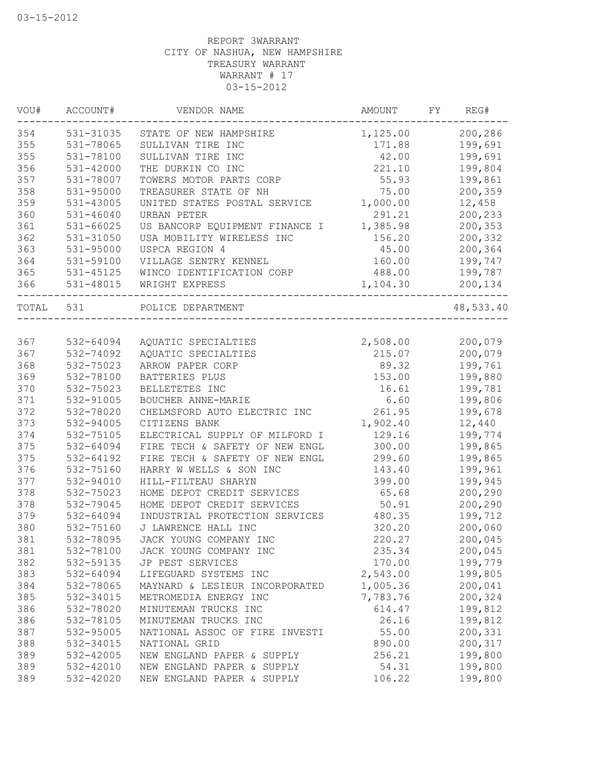| VOU#      | ACCOUNT#      | VENDOR NAME                    | AMOUNT   | FY | REG#                 |
|-----------|---------------|--------------------------------|----------|----|----------------------|
| 354       | 531-31035     | STATE OF NEW HAMPSHIRE         | 1,125.00 |    | 200,286              |
| 355       | 531-78065     | SULLIVAN TIRE INC              | 171.88   |    | 199,691              |
| 355       | 531-78100     | SULLIVAN TIRE INC              | 42.00    |    | 199,691              |
| 356       | $531 - 42000$ | THE DURKIN CO INC              | 221.10   |    | 199,804              |
| 357       | 531-78007     | TOWERS MOTOR PARTS CORP        | 55.93    |    | 199,861              |
| 358       | 531-95000     | TREASURER STATE OF NH          | 75.00    |    | 200,359              |
| 359       | 531-43005     | UNITED STATES POSTAL SERVICE   | 1,000.00 |    | 12,458               |
| 360       | 531-46040     | URBAN PETER                    | 291.21   |    | 200,233              |
| 361       | 531-66025     | US BANCORP EQUIPMENT FINANCE I | 1,385.98 |    | 200,353              |
| 362       | 531-31050     | USA MOBILITY WIRELESS INC      | 156.20   |    | 200,332              |
| 363       | 531-95000     | USPCA REGION 4                 | 45.00    |    | 200,364              |
| 364       | 531-59100     | VILLAGE SENTRY KENNEL          | 160.00   |    | 199,747              |
| 365       | 531-45125     | WINCO IDENTIFICATION CORP      | 488.00   |    | 199,787              |
| 366       | 531-48015     | WRIGHT EXPRESS                 | 1,104.30 |    | 200,134<br>$- - - -$ |
| TOTAL 531 |               | POLICE DEPARTMENT              |          |    | 48,533.40            |
|           |               |                                |          |    |                      |
| 367       | 532-64094     | AQUATIC SPECIALTIES            | 2,508.00 |    | 200,079              |
| 367       | 532-74092     | AQUATIC SPECIALTIES            | 215.07   |    | 200,079              |
| 368       | 532-75023     | ARROW PAPER CORP               | 89.32    |    | 199,761              |
| 369       | 532-78100     | BATTERIES PLUS                 | 153.00   |    | 199,880              |
| 370       | 532-75023     | BELLETETES INC                 | 16.61    |    | 199,781              |
| 371       | 532-91005     | BOUCHER ANNE-MARIE             | 6.60     |    | 199,806              |
| 372       | 532-78020     | CHELMSFORD AUTO ELECTRIC INC   | 261.95   |    | 199,678              |
| 373       | 532-94005     | CITIZENS BANK                  | 1,902.40 |    | 12,440               |
| 374       | 532-75105     | ELECTRICAL SUPPLY OF MILFORD I | 129.16   |    | 199,774              |
| 375       | 532-64094     | FIRE TECH & SAFETY OF NEW ENGL | 300.00   |    | 199,865              |
| 375       | 532-64192     | FIRE TECH & SAFETY OF NEW ENGL | 299.60   |    | 199,865              |
| 376       | 532-75160     | HARRY W WELLS & SON INC        | 143.40   |    | 199,961              |
| 377       | 532-94010     | HILL-FILTEAU SHARYN            | 399.00   |    | 199,945              |
| 378       | 532-75023     | HOME DEPOT CREDIT SERVICES     | 65.68    |    | 200,290              |
| 378       | 532-79045     | HOME DEPOT CREDIT SERVICES     | 50.91    |    | 200,290              |
| 379       | 532-64094     | INDUSTRIAL PROTECTION SERVICES | 480.35   |    | 199,712              |
| 380       | 532-75160     | J LAWRENCE HALL INC            | 320.20   |    | 200,060              |
| 381       | 532-78095     | JACK YOUNG COMPANY INC         | 220.27   |    | 200,045              |
| 381       | 532-78100     | JACK YOUNG COMPANY INC         | 235.34   |    | 200,045              |
| 382       | 532-59135     | JP PEST SERVICES               | 170.00   |    | 199,779              |
| 383       | 532-64094     | LIFEGUARD SYSTEMS INC          | 2,543.00 |    | 199,805              |
| 384       | 532-78065     | MAYNARD & LESIEUR INCORPORATED | 1,005.36 |    | 200,041              |
| 385       | 532-34015     | METROMEDIA ENERGY INC          | 7,783.76 |    | 200,324              |
| 386       | 532-78020     | MINUTEMAN TRUCKS INC           | 614.47   |    | 199,812              |
| 386       | 532-78105     | MINUTEMAN TRUCKS INC           | 26.16    |    | 199,812              |
| 387       | 532-95005     | NATIONAL ASSOC OF FIRE INVESTI | 55.00    |    | 200,331              |
| 388       | 532-34015     | NATIONAL GRID                  | 890.00   |    | 200,317              |
| 389       | 532-42005     | NEW ENGLAND PAPER & SUPPLY     | 256.21   |    | 199,800              |
| 389       | 532-42010     | NEW ENGLAND PAPER & SUPPLY     | 54.31    |    | 199,800              |
| 389       | 532-42020     | NEW ENGLAND PAPER & SUPPLY     | 106.22   |    | 199,800              |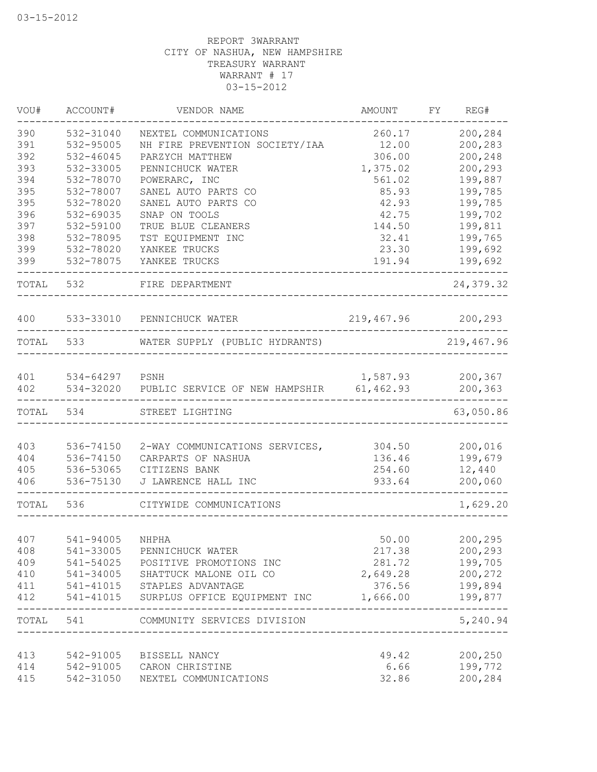| VOU#       | ACCOUNT#       | VENDOR NAME                                        | AMOUNT             | FY REG#                  |
|------------|----------------|----------------------------------------------------|--------------------|--------------------------|
| 390        | 532-31040      | NEXTEL COMMUNICATIONS                              | 260.17             | 200,284                  |
| 391        | 532-95005      | NH FIRE PREVENTION SOCIETY/IAA                     | 12.00              | 200,283                  |
| 392        | 532-46045      | PARZYCH MATTHEW                                    | 306.00             | 200,248                  |
| 393        | 532-33005      | PENNICHUCK WATER                                   | 1,375.02           | 200,293                  |
| 394        | 532-78070      | POWERARC, INC                                      | 561.02             | 199,887                  |
| 395        | 532-78007      | SANEL AUTO PARTS CO                                | 85.93              | 199,785                  |
| 395        | 532-78020      | SANEL AUTO PARTS CO                                | 42.93              | 199,785                  |
| 396        | 532-69035      | SNAP ON TOOLS                                      | 42.75              | 199,702                  |
| 397        | 532-59100      | TRUE BLUE CLEANERS                                 | 144.50             | 199,811                  |
| 398        | 532-78095      | TST EQUIPMENT INC                                  | 32.41              | 199,765                  |
| 399        | 532-78020      | YANKEE TRUCKS                                      | 23.30              | 199,692                  |
| 399        | 532-78075      | YANKEE TRUCKS                                      | 191.94             | 199,692                  |
| TOTAL      | 532            | FIRE DEPARTMENT                                    |                    | 24, 379.32               |
| 400        |                | 533-33010 PENNICHUCK WATER                         | 219,467.96 200,293 |                          |
| TOTAL      | 533            | WATER SUPPLY (PUBLIC HYDRANTS)                     |                    | ----------<br>219,467.96 |
|            |                |                                                    |                    |                          |
| 401<br>402 | 534-64297 PSNH | 534-32020 PUBLIC SERVICE OF NEW HAMPSHIR 61,462.93 | 1,587.93 200,367   | 200,363                  |
| TOTAL      | 534            | STREET LIGHTING                                    |                    | 63,050.86                |
|            |                | -------------------------------                    |                    |                          |
| 403        | 536-74150      | 2-WAY COMMUNICATIONS SERVICES,                     | 304.50             | 200,016                  |
| 404        | 536-74150      | CARPARTS OF NASHUA                                 | 136.46             | 199,679                  |
| 405        | 536-53065      | CITIZENS BANK                                      | 254.60             | 12,440                   |
| 406        | 536-75130      | J LAWRENCE HALL INC                                | 933.64             | 200,060                  |
| TOTAL      | 536            | CITYWIDE COMMUNICATIONS                            |                    | ------<br>1,629.20       |
|            |                |                                                    |                    |                          |
| 407        | 541-94005      | NHPHA                                              | 50.00              | 200,295                  |
| 408        | 541-33005      | PENNICHUCK WATER                                   | 217.38             | 200,293                  |
| 409        | 541-54025      | POSITIVE PROMOTIONS INC                            | 281.72             | 199,705                  |
| 410        | 541-34005      | SHATTUCK MALONE OIL CO                             | 2,649.28           | 200,272                  |
| 411        | 541-41015      | STAPLES ADVANTAGE                                  | 376.56             | 199,894                  |
| 412        | 541-41015      | SURPLUS OFFICE EQUIPMENT INC                       | 1,666.00           | 199,877                  |
| TOTAL      | 541            | COMMUNITY SERVICES DIVISION                        |                    | 5,240.94                 |
|            |                |                                                    |                    |                          |
| 413        | 542-91005      | BISSELL NANCY                                      | 49.42              | 200,250                  |
| 414        | 542-91005      | CARON CHRISTINE                                    | 6.66               | 199,772                  |
| 415        | 542-31050      | NEXTEL COMMUNICATIONS                              | 32.86              | 200,284                  |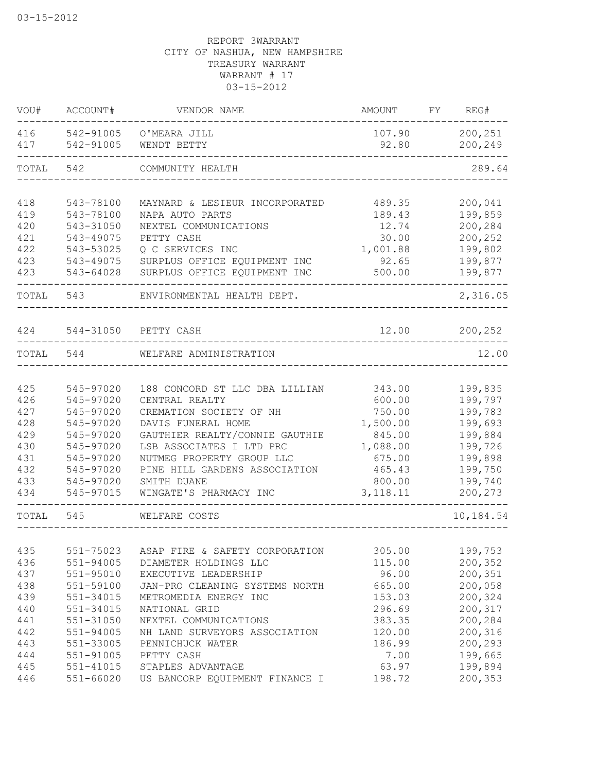| VOU#       | ACCOUNT#               | VENDOR NAME                    | AMOUNT          | FY | REG#               |
|------------|------------------------|--------------------------------|-----------------|----|--------------------|
| 416<br>417 | 542-91005<br>542-91005 | O'MEARA JILL<br>WENDT BETTY    | 107.90<br>92.80 |    | 200,251<br>200,249 |
| TOTAL      | 542                    | COMMUNITY HEALTH               |                 |    | 289.64             |
| 418        | 543-78100              | MAYNARD & LESIEUR INCORPORATED | 489.35          |    | 200,041            |
| 419        | 543-78100              | NAPA AUTO PARTS                | 189.43          |    | 199,859            |
| 420        | 543-31050              | NEXTEL COMMUNICATIONS          | 12.74           |    | 200,284            |
| 421        | 543-49075              | PETTY CASH                     | 30.00           |    | 200,252            |
| 422        | 543-53025              | Q C SERVICES INC               | 1,001.88        |    | 199,802            |
| 423        | 543-49075              | SURPLUS OFFICE EQUIPMENT INC   | 92.65           |    | 199,877            |
| 423        | 543-64028              | SURPLUS OFFICE EQUIPMENT INC   | 500.00          |    | 199,877            |
| TOTAL      | 543                    | ENVIRONMENTAL HEALTH DEPT.     |                 |    | 2,316.05           |
| 424        |                        | 544-31050 PETTY CASH           | 12.00           |    | 200,252            |
| TOTAL      | 544                    | WELFARE ADMINISTRATION         |                 |    | 12.00              |
|            |                        |                                |                 |    |                    |
| 425        | 545-97020              | 188 CONCORD ST LLC DBA LILLIAN | 343.00          |    | 199,835            |
| 426        | 545-97020              | CENTRAL REALTY                 | 600.00          |    | 199,797            |
| 427        | 545-97020              | CREMATION SOCIETY OF NH        | 750.00          |    | 199,783            |
| 428        | 545-97020              | DAVIS FUNERAL HOME             | 1,500.00        |    | 199,693            |
| 429        | 545-97020              | GAUTHIER REALTY/CONNIE GAUTHIE | 845.00          |    | 199,884            |
| 430        | 545-97020              | LSB ASSOCIATES I LTD PRC       | 1,088.00        |    | 199,726            |
| 431        | 545-97020              | NUTMEG PROPERTY GROUP LLC      | 675.00          |    | 199,898            |
| 432        | 545-97020              | PINE HILL GARDENS ASSOCIATION  | 465.43          |    | 199,750            |
| 433        | 545-97020              | SMITH DUANE                    | 800.00          |    | 199,740            |
| 434        | 545-97015              | WINGATE'S PHARMACY INC         | 3, 118.11       |    | 200,273            |
| TOTAL      | 545                    | WELFARE COSTS                  |                 |    | 10,184.54          |
|            |                        |                                |                 |    |                    |
| 435        | 551-75023              | ASAP FIRE & SAFETY CORPORATION | 305.00          |    | 199,753            |
| 436        | 551-94005              | DIAMETER HOLDINGS LLC          | 115.00          |    | 200,352            |
| 437        | 551-95010              | EXECUTIVE LEADERSHIP           | 96.00           |    | 200,351            |
| 438        | 551-59100              | JAN-PRO CLEANING SYSTEMS NORTH | 665.00          |    | 200,058            |
| 439        | 551-34015              | METROMEDIA ENERGY INC          | 153.03          |    | 200,324            |
| 440        | 551-34015              | NATIONAL GRID                  | 296.69          |    | 200,317            |
| 441        | 551-31050              | NEXTEL COMMUNICATIONS          | 383.35          |    | 200,284            |
| 442        | 551-94005              | NH LAND SURVEYORS ASSOCIATION  | 120.00          |    | 200,316            |
| 443        | 551-33005              | PENNICHUCK WATER               | 186.99          |    | 200,293            |
| 444        | 551-91005              | PETTY CASH                     | 7.00            |    | 199,665            |
| 445        | $551 - 41015$          | STAPLES ADVANTAGE              | 63.97           |    | 199,894            |
| 446        | $551 - 66020$          | US BANCORP EQUIPMENT FINANCE I | 198.72          |    | 200,353            |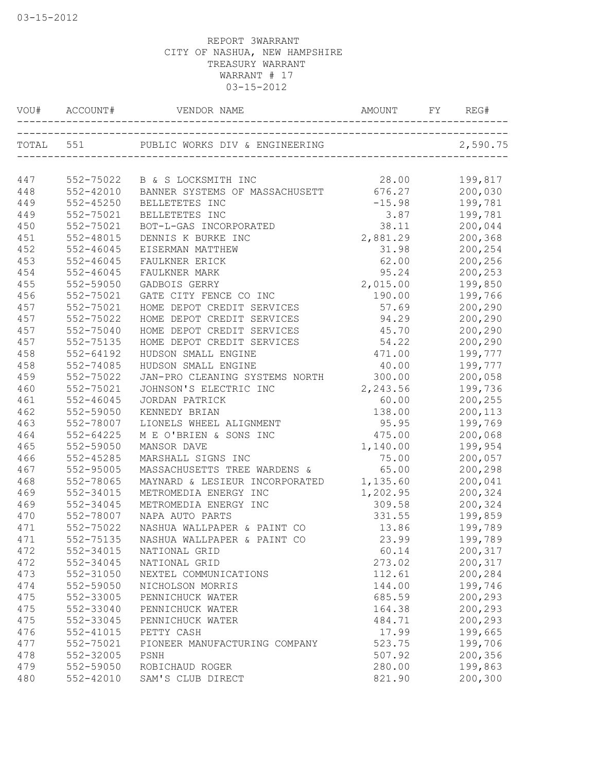| VOU#       | ACCOUNT#  | VENDOR NAME                                              | AMOUNT   | FY | REG#               |
|------------|-----------|----------------------------------------------------------|----------|----|--------------------|
|            | TOTAL 551 | PUBLIC WORKS DIV & ENGINEERING                           |          |    | 2,590.75           |
| 447        |           | 552-75022 B & S LOCKSMITH INC                            | 28.00    |    | 199,817            |
| 448        | 552-42010 | BANNER SYSTEMS OF MASSACHUSETT                           | 676.27   |    | 200,030            |
| 449        | 552-45250 | BELLETETES INC                                           | $-15.98$ |    | 199,781            |
| 449        | 552-75021 | BELLETETES INC                                           | 3.87     |    | 199,781            |
| 450        | 552-75021 | BOT-L-GAS INCORPORATED                                   | 38.11    |    | 200,044            |
| 451        | 552-48015 | DENNIS K BURKE INC                                       | 2,881.29 |    | 200,368            |
| 452        | 552-46045 | EISERMAN MATTHEW                                         | 31.98    |    | 200,254            |
| 453        | 552-46045 | FAULKNER ERICK                                           | 62.00    |    | 200,256            |
| 454        | 552-46045 |                                                          | 95.24    |    | 200,253            |
| 455        | 552-59050 | FAULKNER MARK<br>GADBOIS GERRY                           | 2,015.00 |    | 199,850            |
| 456        | 552-75021 | GATE CITY FENCE CO INC                                   | 190.00   |    | 199,766            |
|            | 552-75021 |                                                          | 57.69    |    |                    |
| 457<br>457 | 552-75022 | HOME DEPOT CREDIT SERVICES                               | 94.29    |    | 200,290            |
| 457        | 552-75040 | HOME DEPOT CREDIT SERVICES<br>HOME DEPOT CREDIT SERVICES | 45.70    |    | 200,290            |
| 457        | 552-75135 | HOME DEPOT CREDIT SERVICES                               | 54.22    |    | 200,290            |
| 458        | 552-64192 | HUDSON SMALL ENGINE                                      | 471.00   |    | 200,290            |
| 458        | 552-74085 | HUDSON SMALL ENGINE                                      | 40.00    |    | 199,777<br>199,777 |
|            | 552-75022 |                                                          |          |    |                    |
| 459        |           | JAN-PRO CLEANING SYSTEMS NORTH                           | 300.00   |    | 200,058            |
| 460        | 552-75021 | JOHNSON'S ELECTRIC INC                                   | 2,243.56 |    | 199,736            |
| 461        | 552-46045 | JORDAN PATRICK                                           | 60.00    |    | 200,255            |
| 462        | 552-59050 | KENNEDY BRIAN                                            | 138.00   |    | 200,113            |
| 463        | 552-78007 | LIONELS WHEEL ALIGNMENT                                  | 95.95    |    | 199,769            |
| 464        | 552-64225 | M E O'BRIEN & SONS INC                                   | 475.00   |    | 200,068            |
| 465        | 552-59050 | MANSOR DAVE                                              | 1,140.00 |    | 199,954            |
| 466        | 552-45285 | MARSHALL SIGNS INC                                       | 75.00    |    | 200,057            |
| 467        | 552-95005 | MASSACHUSETTS TREE WARDENS &                             | 65.00    |    | 200,298            |
| 468        | 552-78065 | MAYNARD & LESIEUR INCORPORATED                           | 1,135.60 |    | 200,041            |
| 469        | 552-34015 | METROMEDIA ENERGY INC                                    | 1,202.95 |    | 200,324            |
| 469        | 552-34045 | METROMEDIA ENERGY INC                                    | 309.58   |    | 200,324            |
| 470        | 552-78007 | NAPA AUTO PARTS                                          | 331.55   |    | 199,859            |
| 471        | 552-75022 | NASHUA WALLPAPER & PAINT CO                              | 13.86    |    | 199,789            |
| 471        | 552-75135 | NASHUA WALLPAPER & PAINT CO                              | 23.99    |    | 199,789            |
| 472        | 552-34015 | NATIONAL GRID                                            | 60.14    |    | 200,317            |
| 472        | 552-34045 | NATIONAL GRID                                            | 273.02   |    | 200,317            |
| 473        | 552-31050 | NEXTEL COMMUNICATIONS                                    | 112.61   |    | 200,284            |
| 474        | 552-59050 | NICHOLSON MORRIS                                         | 144.00   |    | 199,746            |
| 475        | 552-33005 | PENNICHUCK WATER                                         | 685.59   |    | 200,293            |
| 475        | 552-33040 | PENNICHUCK WATER                                         | 164.38   |    | 200,293            |
| 475        | 552-33045 | PENNICHUCK WATER                                         | 484.71   |    | 200,293            |
| 476        | 552-41015 | PETTY CASH                                               | 17.99    |    | 199,665            |
| 477        | 552-75021 | PIONEER MANUFACTURING COMPANY                            | 523.75   |    | 199,706            |
| 478        | 552-32005 | PSNH                                                     | 507.92   |    | 200,356            |
| 479        | 552-59050 | ROBICHAUD ROGER                                          | 280.00   |    | 199,863            |
| 480        | 552-42010 | SAM'S CLUB DIRECT                                        | 821.90   |    | 200,300            |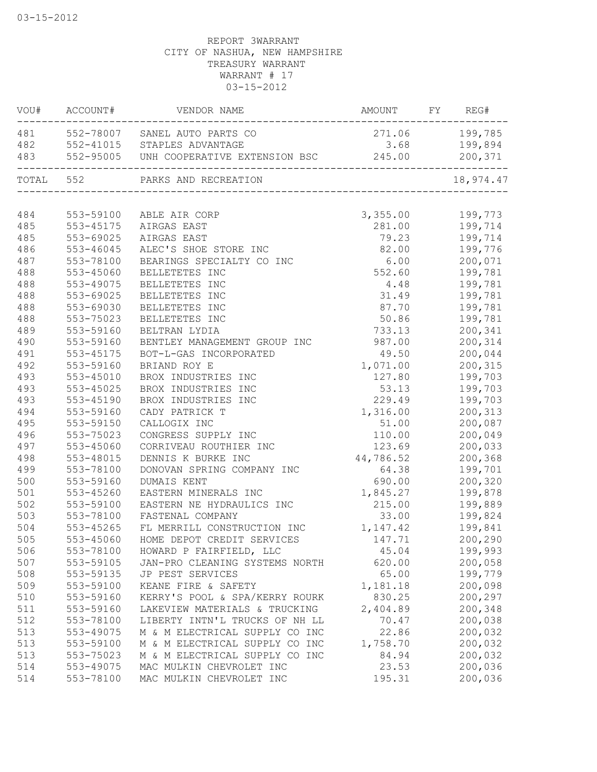| VOU#       | ACCOUNT#               | VENDOR NAME                                                                  | AMOUNT            | FY | REG#               |
|------------|------------------------|------------------------------------------------------------------------------|-------------------|----|--------------------|
| 481        |                        | 552-78007 SANEL AUTO PARTS CO                                                | 271.06            |    | 199,785            |
| 482        |                        |                                                                              | 3.68              |    | 199,894            |
| 483        |                        | 552-41015    STAPLES ADVANTAGE<br>552-95005    UNH COOPERATIVE EXTENSION BSC | 245.00            |    | 200,371            |
| TOTAL 552  |                        | PARKS AND RECREATION                                                         |                   |    | 18,974.47          |
| 484        | 553-59100              | ABLE AIR CORP                                                                | 3,355.00          |    | 199,773            |
| 485        | 553-45175              | AIRGAS EAST                                                                  | 281.00            |    | 199,714            |
| 485        | 553-69025              | AIRGAS EAST                                                                  | 79.23             |    | 199,714            |
| 486        | 553-46045              | ALEC'S SHOE STORE INC                                                        | 82.00             |    | 199,776            |
| 487        | 553-78100              | BEARINGS SPECIALTY CO INC                                                    | 6.00              |    | 200,071            |
| 488        | 553-45060              | BELLETETES INC                                                               | 552.60            |    | 199,781            |
| 488        | 553-49075              | BELLETETES INC                                                               | 4.48              |    | 199,781            |
| 488        | 553-69025              | BELLETETES INC                                                               | 31.49             |    | 199,781            |
| 488        | 553-69030              | BELLETETES INC                                                               | 87.70             |    | 199,781            |
| 488        | 553-75023              | BELLETETES INC                                                               | 50.86             |    | 199,781            |
| 489        | 553-59160              | BELTRAN LYDIA                                                                | 733.13            |    | 200,341            |
| 490        | 553-59160              | BENTLEY MANAGEMENT GROUP INC                                                 | 987.00            |    | 200,314            |
| 491        | 553-45175              | BOT-L-GAS INCORPORATED                                                       | 49.50             |    | 200,044            |
| 492        | 553-59160              | BRIAND ROY E                                                                 | 1,071.00          |    | 200,315            |
| 493        | 553-45010              | BROX INDUSTRIES INC                                                          | 127.80            |    | 199,703            |
| 493        | $553 - 45025$          | BROX INDUSTRIES INC                                                          | 53.13             |    | 199,703            |
| 493        | 553-45190              | BROX INDUSTRIES INC                                                          | 229.49            |    | 199,703            |
| 494        | 553-59160              | CADY PATRICK T                                                               | 1,316.00          |    | 200,313            |
| 495        | 553-59150              | CALLOGIX INC                                                                 | 51.00             |    | 200,087            |
| 496        | 553-75023              | CONGRESS SUPPLY INC                                                          | 110.00            |    | 200,049            |
| 497        | 553-45060              | CORRIVEAU ROUTHIER INC                                                       | 123.69            |    | 200,033            |
| 498        | 553-48015              | DENNIS K BURKE INC                                                           | 44,786.52         |    | 200,368            |
| 499        | 553-78100              | DONOVAN SPRING COMPANY INC                                                   | 64.38             |    | 199,701            |
| 500        | 553-59160              | DUMAIS KENT                                                                  | 690.00            |    | 200,320            |
| 501        | 553-45260              | EASTERN MINERALS INC                                                         | 1,845.27          |    | 199,878            |
| 502        | 553-59100              | EASTERN NE HYDRAULICS INC                                                    | 215.00            |    | 199,889            |
| 503        | 553-78100              | FASTENAL COMPANY                                                             | 33.00             |    | 199,824            |
| 504        | 553-45265              | FL MERRILL CONSTRUCTION INC                                                  | 1, 147.42         |    | 199,841            |
| 505        | 553-45060              | HOME DEPOT CREDIT SERVICES                                                   | 147.71            |    | 200,290            |
| 506        | 553-78100              | HOWARD P FAIRFIELD, LLC                                                      | 45.04             |    | 199,993            |
| 507        | 553-59105              | JAN-PRO CLEANING SYSTEMS NORTH                                               | 620.00            |    | 200,058            |
| 508        | 553-59135              | JP PEST SERVICES                                                             | 65.00             |    | 199,779            |
| 509        | 553-59100              |                                                                              | 1,181.18          |    | 200,098            |
|            | 553-59160              | KEANE FIRE & SAFETY<br>KERRY'S POOL & SPA/KERRY ROURK                        | 830.25            |    |                    |
| 510        |                        |                                                                              |                   |    | 200,297            |
| 511<br>512 | 553-59160<br>553-78100 | LAKEVIEW MATERIALS & TRUCKING<br>LIBERTY INTN'L TRUCKS OF NH LL              | 2,404.89<br>70.47 |    | 200,348<br>200,038 |
|            |                        | M & M ELECTRICAL SUPPLY CO INC                                               |                   |    |                    |
| 513        | 553-49075              | M & M ELECTRICAL SUPPLY CO INC                                               | 22.86             |    | 200,032            |
| 513        | 553-59100              |                                                                              | 1,758.70          |    | 200,032            |
| 513        | 553-75023              | M & M ELECTRICAL SUPPLY CO INC                                               | 84.94             |    | 200,032<br>200,036 |
| 514        | 553-49075              | MAC MULKIN CHEVROLET INC                                                     | 23.53             |    |                    |
| 514        | 553-78100              | MAC MULKIN CHEVROLET INC                                                     | 195.31            |    | 200,036            |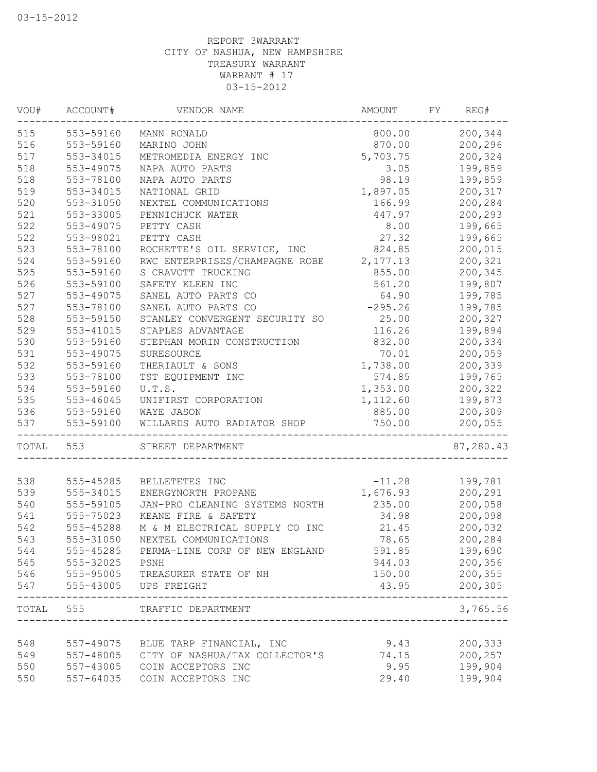| 200,344<br>553-59160<br>800.00<br>MANN RONALD<br>870.00<br>200,296<br>553-59160<br>MARINO JOHN<br>5,703.75<br>200,324<br>553-34015<br>METROMEDIA ENERGY INC<br>3.05<br>199,859<br>553-49075<br>NAPA AUTO PARTS<br>98.19<br>199,859<br>553-78100<br>NAPA AUTO PARTS<br>1,897.05<br>200,317<br>553-34015<br>NATIONAL GRID<br>166.99<br>200,284<br>553-31050<br>NEXTEL COMMUNICATIONS<br>200,293<br>553-33005<br>PENNICHUCK WATER<br>447.97<br>PETTY CASH<br>8.00<br>199,665<br>553-49075<br>27.32<br>553-98021<br>PETTY CASH<br>199,665<br>200,015<br>553-78100<br>ROCHETTE'S OIL SERVICE, INC<br>824.85<br>RWC ENTERPRISES/CHAMPAGNE ROBE<br>200,321<br>553-59160<br>2,177.13<br>855.00<br>200,345<br>553-59160<br>S CRAVOTT TRUCKING<br>199,807<br>553-59100<br>SAFETY KLEEN INC<br>561.20<br>SANEL AUTO PARTS CO<br>553-49075<br>64.90<br>199,785<br>$-295.26$<br>199,785<br>553-78100<br>SANEL AUTO PARTS CO<br>25.00<br>553-59150<br>STANLEY CONVERGENT SECURITY SO<br>200,327<br>199,894<br>553-41015<br>STAPLES ADVANTAGE<br>116.26<br>553-59160<br>832.00<br>200,334<br>STEPHAN MORIN CONSTRUCTION<br>553-49075<br>70.01<br>200,059<br>SURESOURCE<br>1,738.00<br>200,339<br>553-59160<br>THERIAULT & SONS<br>553-78100<br>TST EQUIPMENT INC<br>574.85<br>199,765<br>553-59160<br>U.T.S.<br>200,322<br>1,353.00<br>199,873<br>553-46045<br>UNIFIRST CORPORATION<br>1,112.60<br>553-59160<br>WAYE JASON<br>885.00<br>200,309<br>553-59100<br>WILLARDS AUTO RADIATOR SHOP<br>750.00<br>200,055<br>--------<br>-------------------<br>TOTAL<br>87,280.43<br>553<br>STREET DEPARTMENT<br>$-11.28$<br>538<br>555-45285<br>199,781<br>BELLETETES INC<br>539<br>555-34015<br>1,676.93<br>200,291<br>ENERGYNORTH PROPANE<br>540<br>555-59105<br>200,058<br>JAN-PRO CLEANING SYSTEMS NORTH<br>235.00<br>541<br>555-75023<br>KEANE FIRE & SAFETY<br>34.98<br>200,098<br>542<br>200,032<br>555-45288<br>M & M ELECTRICAL SUPPLY CO INC<br>21.45<br>78.65<br>200,284<br>543<br>555-31050<br>NEXTEL COMMUNICATIONS<br>544<br>555-45285<br>591.85<br>199,690<br>PERMA-LINE CORP OF NEW ENGLAND<br>545<br>200,356<br>555-32025<br>PSNH<br>944.03<br>546<br>200,355<br>555-95005<br>TREASURER STATE OF NH<br>150.00<br>547<br>555-43005<br>43.95<br>200,305<br>UPS FREIGHT<br>------<br>TOTAL 555<br>3,765.56<br>TRAFFIC DEPARTMENT<br>548<br>557-49075 BLUE TARP FINANCIAL, INC<br>9.43<br>200,333<br>CITY OF NASHUA/TAX COLLECTOR'S<br>200,257<br>549<br>74.15<br>557-48005<br>199,904<br>550<br>557-43005<br>COIN ACCEPTORS INC<br>9.95<br>550<br>29.40<br>199,904<br>557-64035<br>COIN ACCEPTORS INC | VOU# | ACCOUNT# | VENDOR NAME | AMOUNT | FY | REG# |
|-----------------------------------------------------------------------------------------------------------------------------------------------------------------------------------------------------------------------------------------------------------------------------------------------------------------------------------------------------------------------------------------------------------------------------------------------------------------------------------------------------------------------------------------------------------------------------------------------------------------------------------------------------------------------------------------------------------------------------------------------------------------------------------------------------------------------------------------------------------------------------------------------------------------------------------------------------------------------------------------------------------------------------------------------------------------------------------------------------------------------------------------------------------------------------------------------------------------------------------------------------------------------------------------------------------------------------------------------------------------------------------------------------------------------------------------------------------------------------------------------------------------------------------------------------------------------------------------------------------------------------------------------------------------------------------------------------------------------------------------------------------------------------------------------------------------------------------------------------------------------------------------------------------------------------------------------------------------------------------------------------------------------------------------------------------------------------------------------------------------------------------------------------------------------------------------------------------------------------------------------------------------------------------------------------------------------------------------------------------------------------------------------------------------------------------------------------------------------------------------------------------------------------------------------------------------------------------------------|------|----------|-------------|--------|----|------|
|                                                                                                                                                                                                                                                                                                                                                                                                                                                                                                                                                                                                                                                                                                                                                                                                                                                                                                                                                                                                                                                                                                                                                                                                                                                                                                                                                                                                                                                                                                                                                                                                                                                                                                                                                                                                                                                                                                                                                                                                                                                                                                                                                                                                                                                                                                                                                                                                                                                                                                                                                                                               | 515  |          |             |        |    |      |
|                                                                                                                                                                                                                                                                                                                                                                                                                                                                                                                                                                                                                                                                                                                                                                                                                                                                                                                                                                                                                                                                                                                                                                                                                                                                                                                                                                                                                                                                                                                                                                                                                                                                                                                                                                                                                                                                                                                                                                                                                                                                                                                                                                                                                                                                                                                                                                                                                                                                                                                                                                                               | 516  |          |             |        |    |      |
|                                                                                                                                                                                                                                                                                                                                                                                                                                                                                                                                                                                                                                                                                                                                                                                                                                                                                                                                                                                                                                                                                                                                                                                                                                                                                                                                                                                                                                                                                                                                                                                                                                                                                                                                                                                                                                                                                                                                                                                                                                                                                                                                                                                                                                                                                                                                                                                                                                                                                                                                                                                               | 517  |          |             |        |    |      |
|                                                                                                                                                                                                                                                                                                                                                                                                                                                                                                                                                                                                                                                                                                                                                                                                                                                                                                                                                                                                                                                                                                                                                                                                                                                                                                                                                                                                                                                                                                                                                                                                                                                                                                                                                                                                                                                                                                                                                                                                                                                                                                                                                                                                                                                                                                                                                                                                                                                                                                                                                                                               | 518  |          |             |        |    |      |
|                                                                                                                                                                                                                                                                                                                                                                                                                                                                                                                                                                                                                                                                                                                                                                                                                                                                                                                                                                                                                                                                                                                                                                                                                                                                                                                                                                                                                                                                                                                                                                                                                                                                                                                                                                                                                                                                                                                                                                                                                                                                                                                                                                                                                                                                                                                                                                                                                                                                                                                                                                                               | 518  |          |             |        |    |      |
|                                                                                                                                                                                                                                                                                                                                                                                                                                                                                                                                                                                                                                                                                                                                                                                                                                                                                                                                                                                                                                                                                                                                                                                                                                                                                                                                                                                                                                                                                                                                                                                                                                                                                                                                                                                                                                                                                                                                                                                                                                                                                                                                                                                                                                                                                                                                                                                                                                                                                                                                                                                               | 519  |          |             |        |    |      |
|                                                                                                                                                                                                                                                                                                                                                                                                                                                                                                                                                                                                                                                                                                                                                                                                                                                                                                                                                                                                                                                                                                                                                                                                                                                                                                                                                                                                                                                                                                                                                                                                                                                                                                                                                                                                                                                                                                                                                                                                                                                                                                                                                                                                                                                                                                                                                                                                                                                                                                                                                                                               | 520  |          |             |        |    |      |
|                                                                                                                                                                                                                                                                                                                                                                                                                                                                                                                                                                                                                                                                                                                                                                                                                                                                                                                                                                                                                                                                                                                                                                                                                                                                                                                                                                                                                                                                                                                                                                                                                                                                                                                                                                                                                                                                                                                                                                                                                                                                                                                                                                                                                                                                                                                                                                                                                                                                                                                                                                                               | 521  |          |             |        |    |      |
|                                                                                                                                                                                                                                                                                                                                                                                                                                                                                                                                                                                                                                                                                                                                                                                                                                                                                                                                                                                                                                                                                                                                                                                                                                                                                                                                                                                                                                                                                                                                                                                                                                                                                                                                                                                                                                                                                                                                                                                                                                                                                                                                                                                                                                                                                                                                                                                                                                                                                                                                                                                               | 522  |          |             |        |    |      |
|                                                                                                                                                                                                                                                                                                                                                                                                                                                                                                                                                                                                                                                                                                                                                                                                                                                                                                                                                                                                                                                                                                                                                                                                                                                                                                                                                                                                                                                                                                                                                                                                                                                                                                                                                                                                                                                                                                                                                                                                                                                                                                                                                                                                                                                                                                                                                                                                                                                                                                                                                                                               | 522  |          |             |        |    |      |
|                                                                                                                                                                                                                                                                                                                                                                                                                                                                                                                                                                                                                                                                                                                                                                                                                                                                                                                                                                                                                                                                                                                                                                                                                                                                                                                                                                                                                                                                                                                                                                                                                                                                                                                                                                                                                                                                                                                                                                                                                                                                                                                                                                                                                                                                                                                                                                                                                                                                                                                                                                                               | 523  |          |             |        |    |      |
|                                                                                                                                                                                                                                                                                                                                                                                                                                                                                                                                                                                                                                                                                                                                                                                                                                                                                                                                                                                                                                                                                                                                                                                                                                                                                                                                                                                                                                                                                                                                                                                                                                                                                                                                                                                                                                                                                                                                                                                                                                                                                                                                                                                                                                                                                                                                                                                                                                                                                                                                                                                               | 524  |          |             |        |    |      |
|                                                                                                                                                                                                                                                                                                                                                                                                                                                                                                                                                                                                                                                                                                                                                                                                                                                                                                                                                                                                                                                                                                                                                                                                                                                                                                                                                                                                                                                                                                                                                                                                                                                                                                                                                                                                                                                                                                                                                                                                                                                                                                                                                                                                                                                                                                                                                                                                                                                                                                                                                                                               | 525  |          |             |        |    |      |
|                                                                                                                                                                                                                                                                                                                                                                                                                                                                                                                                                                                                                                                                                                                                                                                                                                                                                                                                                                                                                                                                                                                                                                                                                                                                                                                                                                                                                                                                                                                                                                                                                                                                                                                                                                                                                                                                                                                                                                                                                                                                                                                                                                                                                                                                                                                                                                                                                                                                                                                                                                                               | 526  |          |             |        |    |      |
|                                                                                                                                                                                                                                                                                                                                                                                                                                                                                                                                                                                                                                                                                                                                                                                                                                                                                                                                                                                                                                                                                                                                                                                                                                                                                                                                                                                                                                                                                                                                                                                                                                                                                                                                                                                                                                                                                                                                                                                                                                                                                                                                                                                                                                                                                                                                                                                                                                                                                                                                                                                               | 527  |          |             |        |    |      |
|                                                                                                                                                                                                                                                                                                                                                                                                                                                                                                                                                                                                                                                                                                                                                                                                                                                                                                                                                                                                                                                                                                                                                                                                                                                                                                                                                                                                                                                                                                                                                                                                                                                                                                                                                                                                                                                                                                                                                                                                                                                                                                                                                                                                                                                                                                                                                                                                                                                                                                                                                                                               | 527  |          |             |        |    |      |
|                                                                                                                                                                                                                                                                                                                                                                                                                                                                                                                                                                                                                                                                                                                                                                                                                                                                                                                                                                                                                                                                                                                                                                                                                                                                                                                                                                                                                                                                                                                                                                                                                                                                                                                                                                                                                                                                                                                                                                                                                                                                                                                                                                                                                                                                                                                                                                                                                                                                                                                                                                                               | 528  |          |             |        |    |      |
|                                                                                                                                                                                                                                                                                                                                                                                                                                                                                                                                                                                                                                                                                                                                                                                                                                                                                                                                                                                                                                                                                                                                                                                                                                                                                                                                                                                                                                                                                                                                                                                                                                                                                                                                                                                                                                                                                                                                                                                                                                                                                                                                                                                                                                                                                                                                                                                                                                                                                                                                                                                               | 529  |          |             |        |    |      |
|                                                                                                                                                                                                                                                                                                                                                                                                                                                                                                                                                                                                                                                                                                                                                                                                                                                                                                                                                                                                                                                                                                                                                                                                                                                                                                                                                                                                                                                                                                                                                                                                                                                                                                                                                                                                                                                                                                                                                                                                                                                                                                                                                                                                                                                                                                                                                                                                                                                                                                                                                                                               | 530  |          |             |        |    |      |
|                                                                                                                                                                                                                                                                                                                                                                                                                                                                                                                                                                                                                                                                                                                                                                                                                                                                                                                                                                                                                                                                                                                                                                                                                                                                                                                                                                                                                                                                                                                                                                                                                                                                                                                                                                                                                                                                                                                                                                                                                                                                                                                                                                                                                                                                                                                                                                                                                                                                                                                                                                                               | 531  |          |             |        |    |      |
|                                                                                                                                                                                                                                                                                                                                                                                                                                                                                                                                                                                                                                                                                                                                                                                                                                                                                                                                                                                                                                                                                                                                                                                                                                                                                                                                                                                                                                                                                                                                                                                                                                                                                                                                                                                                                                                                                                                                                                                                                                                                                                                                                                                                                                                                                                                                                                                                                                                                                                                                                                                               | 532  |          |             |        |    |      |
|                                                                                                                                                                                                                                                                                                                                                                                                                                                                                                                                                                                                                                                                                                                                                                                                                                                                                                                                                                                                                                                                                                                                                                                                                                                                                                                                                                                                                                                                                                                                                                                                                                                                                                                                                                                                                                                                                                                                                                                                                                                                                                                                                                                                                                                                                                                                                                                                                                                                                                                                                                                               | 533  |          |             |        |    |      |
|                                                                                                                                                                                                                                                                                                                                                                                                                                                                                                                                                                                                                                                                                                                                                                                                                                                                                                                                                                                                                                                                                                                                                                                                                                                                                                                                                                                                                                                                                                                                                                                                                                                                                                                                                                                                                                                                                                                                                                                                                                                                                                                                                                                                                                                                                                                                                                                                                                                                                                                                                                                               | 534  |          |             |        |    |      |
|                                                                                                                                                                                                                                                                                                                                                                                                                                                                                                                                                                                                                                                                                                                                                                                                                                                                                                                                                                                                                                                                                                                                                                                                                                                                                                                                                                                                                                                                                                                                                                                                                                                                                                                                                                                                                                                                                                                                                                                                                                                                                                                                                                                                                                                                                                                                                                                                                                                                                                                                                                                               | 535  |          |             |        |    |      |
|                                                                                                                                                                                                                                                                                                                                                                                                                                                                                                                                                                                                                                                                                                                                                                                                                                                                                                                                                                                                                                                                                                                                                                                                                                                                                                                                                                                                                                                                                                                                                                                                                                                                                                                                                                                                                                                                                                                                                                                                                                                                                                                                                                                                                                                                                                                                                                                                                                                                                                                                                                                               | 536  |          |             |        |    |      |
|                                                                                                                                                                                                                                                                                                                                                                                                                                                                                                                                                                                                                                                                                                                                                                                                                                                                                                                                                                                                                                                                                                                                                                                                                                                                                                                                                                                                                                                                                                                                                                                                                                                                                                                                                                                                                                                                                                                                                                                                                                                                                                                                                                                                                                                                                                                                                                                                                                                                                                                                                                                               | 537  |          |             |        |    |      |
|                                                                                                                                                                                                                                                                                                                                                                                                                                                                                                                                                                                                                                                                                                                                                                                                                                                                                                                                                                                                                                                                                                                                                                                                                                                                                                                                                                                                                                                                                                                                                                                                                                                                                                                                                                                                                                                                                                                                                                                                                                                                                                                                                                                                                                                                                                                                                                                                                                                                                                                                                                                               |      |          |             |        |    |      |
|                                                                                                                                                                                                                                                                                                                                                                                                                                                                                                                                                                                                                                                                                                                                                                                                                                                                                                                                                                                                                                                                                                                                                                                                                                                                                                                                                                                                                                                                                                                                                                                                                                                                                                                                                                                                                                                                                                                                                                                                                                                                                                                                                                                                                                                                                                                                                                                                                                                                                                                                                                                               |      |          |             |        |    |      |
|                                                                                                                                                                                                                                                                                                                                                                                                                                                                                                                                                                                                                                                                                                                                                                                                                                                                                                                                                                                                                                                                                                                                                                                                                                                                                                                                                                                                                                                                                                                                                                                                                                                                                                                                                                                                                                                                                                                                                                                                                                                                                                                                                                                                                                                                                                                                                                                                                                                                                                                                                                                               |      |          |             |        |    |      |
|                                                                                                                                                                                                                                                                                                                                                                                                                                                                                                                                                                                                                                                                                                                                                                                                                                                                                                                                                                                                                                                                                                                                                                                                                                                                                                                                                                                                                                                                                                                                                                                                                                                                                                                                                                                                                                                                                                                                                                                                                                                                                                                                                                                                                                                                                                                                                                                                                                                                                                                                                                                               |      |          |             |        |    |      |
|                                                                                                                                                                                                                                                                                                                                                                                                                                                                                                                                                                                                                                                                                                                                                                                                                                                                                                                                                                                                                                                                                                                                                                                                                                                                                                                                                                                                                                                                                                                                                                                                                                                                                                                                                                                                                                                                                                                                                                                                                                                                                                                                                                                                                                                                                                                                                                                                                                                                                                                                                                                               |      |          |             |        |    |      |
|                                                                                                                                                                                                                                                                                                                                                                                                                                                                                                                                                                                                                                                                                                                                                                                                                                                                                                                                                                                                                                                                                                                                                                                                                                                                                                                                                                                                                                                                                                                                                                                                                                                                                                                                                                                                                                                                                                                                                                                                                                                                                                                                                                                                                                                                                                                                                                                                                                                                                                                                                                                               |      |          |             |        |    |      |
|                                                                                                                                                                                                                                                                                                                                                                                                                                                                                                                                                                                                                                                                                                                                                                                                                                                                                                                                                                                                                                                                                                                                                                                                                                                                                                                                                                                                                                                                                                                                                                                                                                                                                                                                                                                                                                                                                                                                                                                                                                                                                                                                                                                                                                                                                                                                                                                                                                                                                                                                                                                               |      |          |             |        |    |      |
|                                                                                                                                                                                                                                                                                                                                                                                                                                                                                                                                                                                                                                                                                                                                                                                                                                                                                                                                                                                                                                                                                                                                                                                                                                                                                                                                                                                                                                                                                                                                                                                                                                                                                                                                                                                                                                                                                                                                                                                                                                                                                                                                                                                                                                                                                                                                                                                                                                                                                                                                                                                               |      |          |             |        |    |      |
|                                                                                                                                                                                                                                                                                                                                                                                                                                                                                                                                                                                                                                                                                                                                                                                                                                                                                                                                                                                                                                                                                                                                                                                                                                                                                                                                                                                                                                                                                                                                                                                                                                                                                                                                                                                                                                                                                                                                                                                                                                                                                                                                                                                                                                                                                                                                                                                                                                                                                                                                                                                               |      |          |             |        |    |      |
|                                                                                                                                                                                                                                                                                                                                                                                                                                                                                                                                                                                                                                                                                                                                                                                                                                                                                                                                                                                                                                                                                                                                                                                                                                                                                                                                                                                                                                                                                                                                                                                                                                                                                                                                                                                                                                                                                                                                                                                                                                                                                                                                                                                                                                                                                                                                                                                                                                                                                                                                                                                               |      |          |             |        |    |      |
|                                                                                                                                                                                                                                                                                                                                                                                                                                                                                                                                                                                                                                                                                                                                                                                                                                                                                                                                                                                                                                                                                                                                                                                                                                                                                                                                                                                                                                                                                                                                                                                                                                                                                                                                                                                                                                                                                                                                                                                                                                                                                                                                                                                                                                                                                                                                                                                                                                                                                                                                                                                               |      |          |             |        |    |      |
|                                                                                                                                                                                                                                                                                                                                                                                                                                                                                                                                                                                                                                                                                                                                                                                                                                                                                                                                                                                                                                                                                                                                                                                                                                                                                                                                                                                                                                                                                                                                                                                                                                                                                                                                                                                                                                                                                                                                                                                                                                                                                                                                                                                                                                                                                                                                                                                                                                                                                                                                                                                               |      |          |             |        |    |      |
|                                                                                                                                                                                                                                                                                                                                                                                                                                                                                                                                                                                                                                                                                                                                                                                                                                                                                                                                                                                                                                                                                                                                                                                                                                                                                                                                                                                                                                                                                                                                                                                                                                                                                                                                                                                                                                                                                                                                                                                                                                                                                                                                                                                                                                                                                                                                                                                                                                                                                                                                                                                               |      |          |             |        |    |      |
|                                                                                                                                                                                                                                                                                                                                                                                                                                                                                                                                                                                                                                                                                                                                                                                                                                                                                                                                                                                                                                                                                                                                                                                                                                                                                                                                                                                                                                                                                                                                                                                                                                                                                                                                                                                                                                                                                                                                                                                                                                                                                                                                                                                                                                                                                                                                                                                                                                                                                                                                                                                               |      |          |             |        |    |      |
|                                                                                                                                                                                                                                                                                                                                                                                                                                                                                                                                                                                                                                                                                                                                                                                                                                                                                                                                                                                                                                                                                                                                                                                                                                                                                                                                                                                                                                                                                                                                                                                                                                                                                                                                                                                                                                                                                                                                                                                                                                                                                                                                                                                                                                                                                                                                                                                                                                                                                                                                                                                               |      |          |             |        |    |      |
|                                                                                                                                                                                                                                                                                                                                                                                                                                                                                                                                                                                                                                                                                                                                                                                                                                                                                                                                                                                                                                                                                                                                                                                                                                                                                                                                                                                                                                                                                                                                                                                                                                                                                                                                                                                                                                                                                                                                                                                                                                                                                                                                                                                                                                                                                                                                                                                                                                                                                                                                                                                               |      |          |             |        |    |      |
|                                                                                                                                                                                                                                                                                                                                                                                                                                                                                                                                                                                                                                                                                                                                                                                                                                                                                                                                                                                                                                                                                                                                                                                                                                                                                                                                                                                                                                                                                                                                                                                                                                                                                                                                                                                                                                                                                                                                                                                                                                                                                                                                                                                                                                                                                                                                                                                                                                                                                                                                                                                               |      |          |             |        |    |      |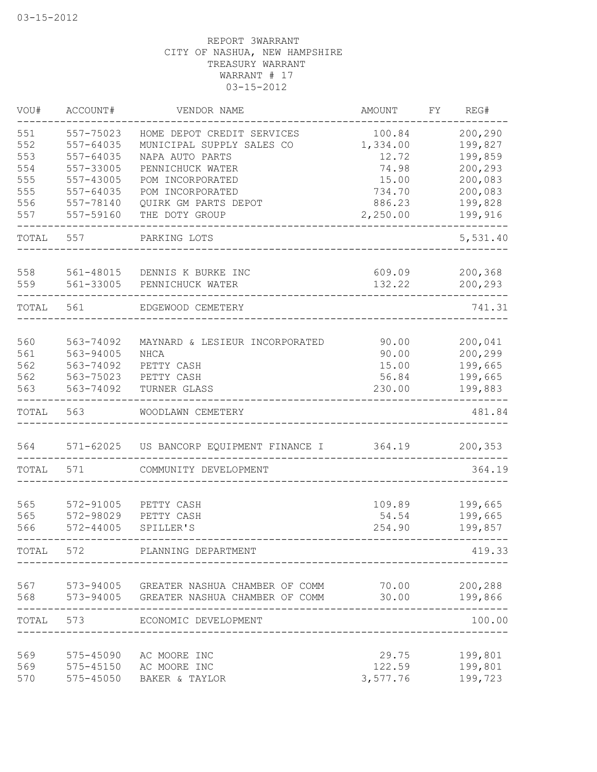| VOU#       | ACCOUNT#               | VENDOR NAME                              | AMOUNT          | FΥ | REG#               |
|------------|------------------------|------------------------------------------|-----------------|----|--------------------|
| 551        | 557-75023              | HOME DEPOT CREDIT SERVICES               | 100.84          |    | 200,290            |
| 552        | 557-64035              | MUNICIPAL SUPPLY SALES CO                | 1,334.00        |    | 199,827            |
| 553        | 557-64035              | NAPA AUTO PARTS                          | 12.72           |    | 199,859            |
| 554        | 557-33005              | PENNICHUCK WATER                         | 74.98           |    | 200,293            |
| 555        | 557-43005              | POM INCORPORATED                         | 15.00           |    | 200,083            |
| 555        | 557-64035              | POM INCORPORATED                         | 734.70          |    | 200,083            |
| 556        | 557-78140              | QUIRK GM PARTS DEPOT                     | 886.23          |    | 199,828            |
| 557        | 557-59160              | THE DOTY GROUP                           | 2,250.00        |    | 199,916            |
| TOTAL      | 557                    | PARKING LOTS                             |                 |    | 5,531.40           |
| 558        | 561-48015              | DENNIS K BURKE INC                       | 609.09          |    | 200,368            |
| 559        | 561-33005              | PENNICHUCK WATER                         | 132.22          |    | 200,293            |
| TOTAL      | 561                    | EDGEWOOD CEMETERY                        |                 |    | 741.31             |
|            |                        |                                          |                 |    |                    |
| 560        | 563-74092              | MAYNARD & LESIEUR INCORPORATED           | 90.00           |    | 200,041            |
| 561        | 563-94005              | <b>NHCA</b>                              | 90.00           |    | 200,299            |
| 562<br>562 | 563-74092<br>563-75023 | PETTY CASH                               | 15.00<br>56.84  |    | 199,665            |
| 563        | 563-74092              | PETTY CASH<br>TURNER GLASS               | 230.00          |    | 199,665<br>199,883 |
| TOTAL      | 563                    | WOODLAWN CEMETERY                        |                 |    | 481.84             |
| 564        | 571-62025              | US BANCORP EQUIPMENT FINANCE I           | 364.19          |    | 200,353            |
| TOTAL      | 571                    | COMMUNITY DEVELOPMENT                    |                 |    | 364.19             |
|            |                        |                                          |                 |    |                    |
| 565        | 572-91005              | PETTY CASH                               | 109.89          |    | 199,665            |
| 565        | 572-98029              | PETTY CASH                               | 54.54           |    | 199,665            |
| 566        | $572 - 44005$          | SPILLER'S                                | 254.90          |    | 199,857            |
| TOTAL      | 572                    | PLANNING DEPARTMENT                      |                 |    | 419.33             |
| 567        |                        | 573-94005 GREATER NASHUA CHAMBER OF COMM | 70.00           |    | 200,288            |
| 568        | 573-94005              | GREATER NASHUA CHAMBER OF COMM           | 30.00           |    | 199,866            |
| TOTAL      | 573                    | ECONOMIC DEVELOPMENT                     |                 |    | 100.00             |
|            |                        |                                          |                 |    |                    |
| 569<br>569 | 575-45090              | AC MOORE INC<br>AC MOORE INC             | 29.75<br>122.59 |    | 199,801<br>199,801 |
| 570        | 575-45150              | BAKER & TAYLOR                           |                 |    | 199,723            |
|            | 575-45050              |                                          | 3,577.76        |    |                    |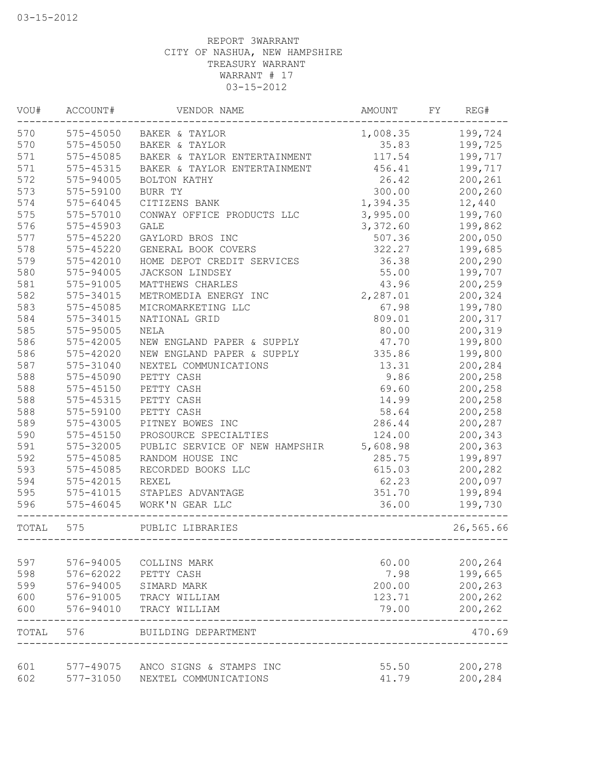| VOU#       | ACCOUNT#      | VENDOR NAME                    | AMOUNT          | FY | REG#      |
|------------|---------------|--------------------------------|-----------------|----|-----------|
| 570        | 575-45050     | BAKER & TAYLOR                 | 1,008.35        |    | 199,724   |
| 570        | 575-45050     | BAKER & TAYLOR                 | 35.83           |    | 199,725   |
| 571        | 575-45085     | BAKER & TAYLOR ENTERTAINMENT   | 117.54          |    | 199,717   |
| 571        | 575-45315     | BAKER & TAYLOR ENTERTAINMENT   | 456.41          |    | 199,717   |
| 572        | 575-94005     | BOLTON KATHY                   | 26.42           |    | 200,261   |
| 573        | 575-59100     | BURR TY                        | 300.00          |    | 200,260   |
| 574        | 575-64045     | CITIZENS BANK                  | 1,394.35        |    | 12,440    |
| 575        | 575-57010     | CONWAY OFFICE PRODUCTS LLC     | 3,995.00        |    | 199,760   |
| 576        | 575-45903     | <b>GALE</b>                    | 3,372.60        |    | 199,862   |
| 577        | $575 - 45220$ | GAYLORD BROS INC               | 507.36          |    | 200,050   |
| 578        | 575-45220     | GENERAL BOOK COVERS            | 322.27          |    | 199,685   |
| 579        | 575-42010     | HOME DEPOT CREDIT SERVICES     | 36.38           |    | 200,290   |
| 580        | 575-94005     | JACKSON LINDSEY                | 55.00           |    | 199,707   |
| 581        | 575-91005     | MATTHEWS CHARLES               | 43.96           |    | 200,259   |
| 582        | 575-34015     | METROMEDIA ENERGY INC          | 2,287.01        |    | 200,324   |
| 583        | 575-45085     | MICROMARKETING LLC             | 67.98           |    | 199,780   |
| 584        | 575-34015     | NATIONAL GRID                  | 809.01          |    | 200,317   |
| 585        | 575-95005     | NELA                           | 80.00           |    | 200,319   |
| 586        | 575-42005     | NEW ENGLAND PAPER & SUPPLY     | 47.70           |    | 199,800   |
| 586        | 575-42020     | NEW ENGLAND PAPER & SUPPLY     | 335.86          |    | 199,800   |
| 587        | 575-31040     | NEXTEL COMMUNICATIONS          | 13.31           |    | 200,284   |
| 588        | 575-45090     | PETTY CASH                     | 9.86            |    | 200,258   |
| 588        | 575-45150     | PETTY CASH                     | 69.60           |    | 200,258   |
| 588        | 575-45315     | PETTY CASH                     | 14.99           |    | 200,258   |
| 588        | 575-59100     | PETTY CASH                     | 58.64           |    | 200,258   |
| 589        | 575-43005     | PITNEY BOWES INC               | 286.44          |    | 200,287   |
| 590        | $575 - 45150$ | PROSOURCE SPECIALTIES          | 124.00          |    | 200,343   |
| 591        | 575-32005     | PUBLIC SERVICE OF NEW HAMPSHIR | 5,608.98        |    | 200,363   |
| 592        | 575-45085     | RANDOM HOUSE INC               | 285.75          |    | 199,897   |
| 593        | 575-45085     | RECORDED BOOKS LLC             | 615.03          |    | 200,282   |
| 594        | 575-42015     | REXEL                          | 62.23           |    | 200,097   |
| 595        | 575-41015     | STAPLES ADVANTAGE              | 351.70          |    | 199,894   |
| 596        | 575-46045     | WORK'N GEAR LLC                | 36.00           |    | 199,730   |
|            |               |                                |                 |    |           |
| TOTAL      | 575           | PUBLIC LIBRARIES               |                 |    | 26,565.66 |
| 597        | 576-94005     |                                |                 |    | 200,264   |
| 598        | 576-62022     | COLLINS MARK<br>PETTY CASH     | 60.00<br>7.98   |    | 199,665   |
| 599        | 576-94005     | SIMARD MARK                    | 200.00          |    | 200,263   |
|            | 576-91005     |                                |                 |    | 200,262   |
| 600<br>600 | 576-94010     | TRACY WILLIAM<br>TRACY WILLIAM | 123.71<br>79.00 |    | 200,262   |
| TOTAL      | 576           | BUILDING DEPARTMENT            |                 |    | 470.69    |
|            |               |                                |                 |    |           |
| 601        | 577-49075     | ANCO SIGNS & STAMPS INC        | 55.50           |    | 200,278   |
| 602        | 577-31050     | NEXTEL COMMUNICATIONS          | 41.79           |    | 200,284   |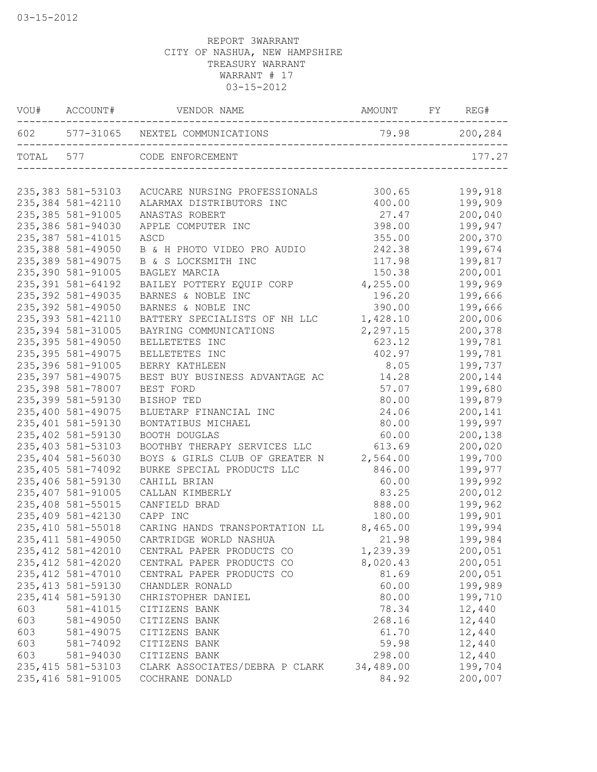|           | VOU# ACCOUNT#      | VENDOR NAME                         | AMOUNT        | FY | REG#    |
|-----------|--------------------|-------------------------------------|---------------|----|---------|
|           |                    | 602 577-31065 NEXTEL COMMUNICATIONS | 79.98 200,284 |    |         |
| TOTAL 577 |                    | CODE ENFORCEMENT                    |               |    | 177.27  |
|           | 235,383 581-53103  | ACUCARE NURSING PROFESSIONALS       | 300.65        |    | 199,918 |
|           | 235, 384 581-42110 | ALARMAX DISTRIBUTORS INC            | 400.00        |    | 199,909 |
|           | 235, 385 581-91005 | ANASTAS ROBERT                      | 27.47         |    | 200,040 |
|           | 235,386 581-94030  | APPLE COMPUTER INC                  | 398.00        |    | 199,947 |
|           | 235, 387 581-41015 | ASCD                                | 355.00        |    | 200,370 |
|           | 235,388 581-49050  | B & H PHOTO VIDEO PRO AUDIO         | 242.38        |    | 199,674 |
|           | 235, 389 581-49075 | B & S LOCKSMITH INC                 | 117.98        |    | 199,817 |
|           | 235,390 581-91005  | BAGLEY MARCIA                       | 150.38        |    | 200,001 |
|           | 235, 391 581-64192 | BAILEY POTTERY EQUIP CORP           | 4,255.00      |    | 199,969 |
|           | 235, 392 581-49035 | BARNES & NOBLE INC                  | 196.20        |    | 199,666 |
|           | 235,392 581-49050  | BARNES & NOBLE INC                  | 390.00        |    | 199,666 |
|           | 235, 393 581-42110 | BATTERY SPECIALISTS OF NH LLC       | 1,428.10      |    | 200,006 |
|           | 235, 394 581-31005 | BAYRING COMMUNICATIONS              | 2,297.15      |    | 200,378 |
|           | 235, 395 581-49050 | BELLETETES INC                      | 623.12        |    | 199,781 |
|           | 235,395 581-49075  | BELLETETES INC                      | 402.97        |    | 199,781 |
|           | 235,396 581-91005  | BERRY KATHLEEN                      | 8.05          |    | 199,737 |
|           | 235,397 581-49075  | BEST BUY BUSINESS ADVANTAGE AC      | 14.28         |    | 200,144 |
|           | 235,398 581-78007  | BEST FORD                           | 57.07         |    | 199,680 |
|           | 235,399 581-59130  | BISHOP TED                          | 80.00         |    | 199,879 |
|           | 235,400 581-49075  | BLUETARP FINANCIAL INC              | 24.06         |    | 200,141 |
|           | 235,401 581-59130  | BONTATIBUS MICHAEL                  | 80.00         |    | 199,997 |
|           | 235,402 581-59130  | BOOTH DOUGLAS                       | 60.00         |    | 200,138 |
|           | 235,403 581-53103  | BOOTHBY THERAPY SERVICES LLC        | 613.69        |    | 200,020 |
|           | 235,404 581-56030  | BOYS & GIRLS CLUB OF GREATER N      | 2,564.00      |    | 199,700 |
|           | 235, 405 581-74092 | BURKE SPECIAL PRODUCTS LLC          | 846.00        |    | 199,977 |
|           | 235,406 581-59130  | CAHILL BRIAN                        | 60.00         |    | 199,992 |
|           | 235,407 581-91005  | CALLAN KIMBERLY                     | 83.25         |    | 200,012 |
|           | 235,408 581-55015  | CANFIELD BRAD                       | 888.00        |    | 199,962 |
|           | 235,409 581-42130  | CAPP INC                            | 180.00        |    | 199,901 |
|           | 235, 410 581-55018 | CARING HANDS TRANSPORTATION LL      | 8,465.00      |    | 199,994 |
|           | 235, 411 581-49050 | CARTRIDGE WORLD NASHUA              | 21.98         |    | 199,984 |
|           | 235, 412 581-42010 | CENTRAL PAPER PRODUCTS CO           | 1,239.39      |    | 200,051 |
|           | 235, 412 581-42020 | CENTRAL PAPER PRODUCTS CO           | 8,020.43      |    | 200,051 |
|           | 235, 412 581-47010 | CENTRAL PAPER PRODUCTS CO           | 81.69         |    | 200,051 |
|           | 235, 413 581-59130 | CHANDLER RONALD                     | 60.00         |    | 199,989 |
|           | 235, 414 581-59130 | CHRISTOPHER DANIEL                  | 80.00         |    | 199,710 |
| 603       | 581-41015          | CITIZENS BANK                       | 78.34         |    | 12,440  |
| 603       | 581-49050          | CITIZENS BANK                       | 268.16        |    | 12,440  |
| 603       | 581-49075          | CITIZENS BANK                       | 61.70         |    | 12,440  |
| 603       | 581-74092          | CITIZENS BANK                       | 59.98         |    | 12,440  |
| 603       | 581-94030          | CITIZENS BANK                       | 298.00        |    | 12,440  |
|           | 235, 415 581-53103 | CLARK ASSOCIATES/DEBRA P CLARK      | 34,489.00     |    | 199,704 |
|           | 235, 416 581-91005 | COCHRANE DONALD                     | 84.92         |    | 200,007 |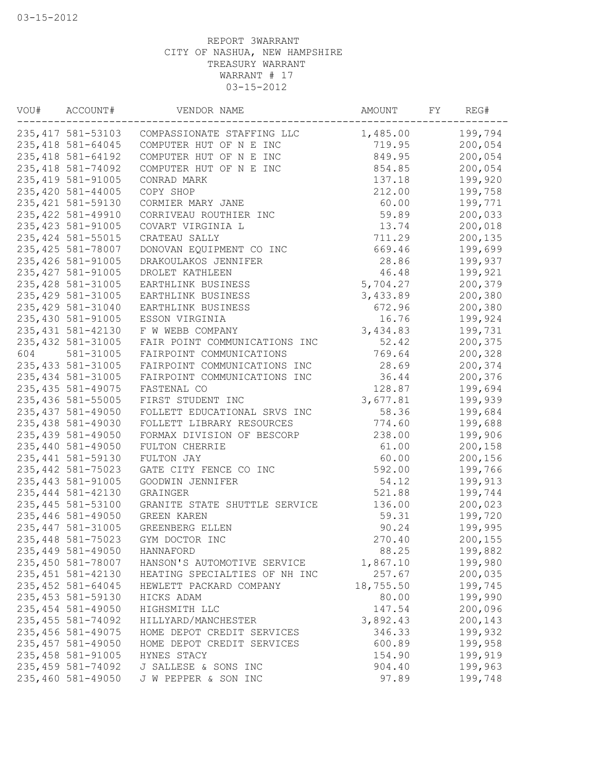| ACCOUNT#           | VENDOR NAME                                                                                                                                                                                                                                                                                                                                                                                                                                                                                                                                                                                                                                                      | AMOUNT                                                                                                                                                                                                                                                                                                                                                                                                                                                                                                                                                                                                                                                                                                           | FY                                                                                                                                                                                                                                                                                        | REG#    |
|--------------------|------------------------------------------------------------------------------------------------------------------------------------------------------------------------------------------------------------------------------------------------------------------------------------------------------------------------------------------------------------------------------------------------------------------------------------------------------------------------------------------------------------------------------------------------------------------------------------------------------------------------------------------------------------------|------------------------------------------------------------------------------------------------------------------------------------------------------------------------------------------------------------------------------------------------------------------------------------------------------------------------------------------------------------------------------------------------------------------------------------------------------------------------------------------------------------------------------------------------------------------------------------------------------------------------------------------------------------------------------------------------------------------|-------------------------------------------------------------------------------------------------------------------------------------------------------------------------------------------------------------------------------------------------------------------------------------------|---------|
|                    |                                                                                                                                                                                                                                                                                                                                                                                                                                                                                                                                                                                                                                                                  | 1,485.00                                                                                                                                                                                                                                                                                                                                                                                                                                                                                                                                                                                                                                                                                                         |                                                                                                                                                                                                                                                                                           | 199,794 |
| 235, 418 581-64045 | COMPUTER HUT OF N E INC                                                                                                                                                                                                                                                                                                                                                                                                                                                                                                                                                                                                                                          | 719.95                                                                                                                                                                                                                                                                                                                                                                                                                                                                                                                                                                                                                                                                                                           |                                                                                                                                                                                                                                                                                           | 200,054 |
| 235, 418 581-64192 | COMPUTER HUT OF N E INC                                                                                                                                                                                                                                                                                                                                                                                                                                                                                                                                                                                                                                          | 849.95                                                                                                                                                                                                                                                                                                                                                                                                                                                                                                                                                                                                                                                                                                           |                                                                                                                                                                                                                                                                                           | 200,054 |
| 235, 418 581-74092 | COMPUTER HUT OF N E INC                                                                                                                                                                                                                                                                                                                                                                                                                                                                                                                                                                                                                                          | 854.85                                                                                                                                                                                                                                                                                                                                                                                                                                                                                                                                                                                                                                                                                                           |                                                                                                                                                                                                                                                                                           | 200,054 |
| 235, 419 581-91005 | CONRAD MARK                                                                                                                                                                                                                                                                                                                                                                                                                                                                                                                                                                                                                                                      | 137.18                                                                                                                                                                                                                                                                                                                                                                                                                                                                                                                                                                                                                                                                                                           |                                                                                                                                                                                                                                                                                           | 199,920 |
| 235,420 581-44005  | COPY SHOP                                                                                                                                                                                                                                                                                                                                                                                                                                                                                                                                                                                                                                                        | 212.00                                                                                                                                                                                                                                                                                                                                                                                                                                                                                                                                                                                                                                                                                                           |                                                                                                                                                                                                                                                                                           | 199,758 |
| 235, 421 581-59130 | CORMIER MARY JANE                                                                                                                                                                                                                                                                                                                                                                                                                                                                                                                                                                                                                                                | 60.00                                                                                                                                                                                                                                                                                                                                                                                                                                                                                                                                                                                                                                                                                                            |                                                                                                                                                                                                                                                                                           | 199,771 |
|                    | CORRIVEAU ROUTHIER INC                                                                                                                                                                                                                                                                                                                                                                                                                                                                                                                                                                                                                                           | 59.89                                                                                                                                                                                                                                                                                                                                                                                                                                                                                                                                                                                                                                                                                                            |                                                                                                                                                                                                                                                                                           | 200,033 |
| 235, 423 581-91005 | COVART VIRGINIA L                                                                                                                                                                                                                                                                                                                                                                                                                                                                                                                                                                                                                                                |                                                                                                                                                                                                                                                                                                                                                                                                                                                                                                                                                                                                                                                                                                                  |                                                                                                                                                                                                                                                                                           | 200,018 |
|                    |                                                                                                                                                                                                                                                                                                                                                                                                                                                                                                                                                                                                                                                                  |                                                                                                                                                                                                                                                                                                                                                                                                                                                                                                                                                                                                                                                                                                                  |                                                                                                                                                                                                                                                                                           | 200,135 |
|                    |                                                                                                                                                                                                                                                                                                                                                                                                                                                                                                                                                                                                                                                                  |                                                                                                                                                                                                                                                                                                                                                                                                                                                                                                                                                                                                                                                                                                                  |                                                                                                                                                                                                                                                                                           | 199,699 |
|                    |                                                                                                                                                                                                                                                                                                                                                                                                                                                                                                                                                                                                                                                                  |                                                                                                                                                                                                                                                                                                                                                                                                                                                                                                                                                                                                                                                                                                                  |                                                                                                                                                                                                                                                                                           | 199,937 |
|                    |                                                                                                                                                                                                                                                                                                                                                                                                                                                                                                                                                                                                                                                                  |                                                                                                                                                                                                                                                                                                                                                                                                                                                                                                                                                                                                                                                                                                                  |                                                                                                                                                                                                                                                                                           | 199,921 |
|                    |                                                                                                                                                                                                                                                                                                                                                                                                                                                                                                                                                                                                                                                                  |                                                                                                                                                                                                                                                                                                                                                                                                                                                                                                                                                                                                                                                                                                                  |                                                                                                                                                                                                                                                                                           | 200,379 |
|                    |                                                                                                                                                                                                                                                                                                                                                                                                                                                                                                                                                                                                                                                                  |                                                                                                                                                                                                                                                                                                                                                                                                                                                                                                                                                                                                                                                                                                                  |                                                                                                                                                                                                                                                                                           | 200,380 |
|                    |                                                                                                                                                                                                                                                                                                                                                                                                                                                                                                                                                                                                                                                                  |                                                                                                                                                                                                                                                                                                                                                                                                                                                                                                                                                                                                                                                                                                                  |                                                                                                                                                                                                                                                                                           | 200,380 |
|                    |                                                                                                                                                                                                                                                                                                                                                                                                                                                                                                                                                                                                                                                                  |                                                                                                                                                                                                                                                                                                                                                                                                                                                                                                                                                                                                                                                                                                                  |                                                                                                                                                                                                                                                                                           | 199,924 |
|                    |                                                                                                                                                                                                                                                                                                                                                                                                                                                                                                                                                                                                                                                                  |                                                                                                                                                                                                                                                                                                                                                                                                                                                                                                                                                                                                                                                                                                                  |                                                                                                                                                                                                                                                                                           | 199,731 |
|                    |                                                                                                                                                                                                                                                                                                                                                                                                                                                                                                                                                                                                                                                                  |                                                                                                                                                                                                                                                                                                                                                                                                                                                                                                                                                                                                                                                                                                                  |                                                                                                                                                                                                                                                                                           | 200,375 |
|                    |                                                                                                                                                                                                                                                                                                                                                                                                                                                                                                                                                                                                                                                                  |                                                                                                                                                                                                                                                                                                                                                                                                                                                                                                                                                                                                                                                                                                                  |                                                                                                                                                                                                                                                                                           | 200,328 |
|                    |                                                                                                                                                                                                                                                                                                                                                                                                                                                                                                                                                                                                                                                                  |                                                                                                                                                                                                                                                                                                                                                                                                                                                                                                                                                                                                                                                                                                                  |                                                                                                                                                                                                                                                                                           | 200,374 |
|                    |                                                                                                                                                                                                                                                                                                                                                                                                                                                                                                                                                                                                                                                                  |                                                                                                                                                                                                                                                                                                                                                                                                                                                                                                                                                                                                                                                                                                                  |                                                                                                                                                                                                                                                                                           | 200,376 |
|                    |                                                                                                                                                                                                                                                                                                                                                                                                                                                                                                                                                                                                                                                                  |                                                                                                                                                                                                                                                                                                                                                                                                                                                                                                                                                                                                                                                                                                                  |                                                                                                                                                                                                                                                                                           | 199,694 |
|                    |                                                                                                                                                                                                                                                                                                                                                                                                                                                                                                                                                                                                                                                                  |                                                                                                                                                                                                                                                                                                                                                                                                                                                                                                                                                                                                                                                                                                                  |                                                                                                                                                                                                                                                                                           | 199,939 |
|                    |                                                                                                                                                                                                                                                                                                                                                                                                                                                                                                                                                                                                                                                                  |                                                                                                                                                                                                                                                                                                                                                                                                                                                                                                                                                                                                                                                                                                                  |                                                                                                                                                                                                                                                                                           |         |
|                    |                                                                                                                                                                                                                                                                                                                                                                                                                                                                                                                                                                                                                                                                  |                                                                                                                                                                                                                                                                                                                                                                                                                                                                                                                                                                                                                                                                                                                  |                                                                                                                                                                                                                                                                                           | 199,684 |
|                    |                                                                                                                                                                                                                                                                                                                                                                                                                                                                                                                                                                                                                                                                  |                                                                                                                                                                                                                                                                                                                                                                                                                                                                                                                                                                                                                                                                                                                  |                                                                                                                                                                                                                                                                                           | 199,688 |
|                    |                                                                                                                                                                                                                                                                                                                                                                                                                                                                                                                                                                                                                                                                  |                                                                                                                                                                                                                                                                                                                                                                                                                                                                                                                                                                                                                                                                                                                  |                                                                                                                                                                                                                                                                                           | 199,906 |
|                    |                                                                                                                                                                                                                                                                                                                                                                                                                                                                                                                                                                                                                                                                  |                                                                                                                                                                                                                                                                                                                                                                                                                                                                                                                                                                                                                                                                                                                  |                                                                                                                                                                                                                                                                                           | 200,158 |
|                    |                                                                                                                                                                                                                                                                                                                                                                                                                                                                                                                                                                                                                                                                  |                                                                                                                                                                                                                                                                                                                                                                                                                                                                                                                                                                                                                                                                                                                  |                                                                                                                                                                                                                                                                                           | 200,156 |
|                    |                                                                                                                                                                                                                                                                                                                                                                                                                                                                                                                                                                                                                                                                  |                                                                                                                                                                                                                                                                                                                                                                                                                                                                                                                                                                                                                                                                                                                  |                                                                                                                                                                                                                                                                                           | 199,766 |
|                    |                                                                                                                                                                                                                                                                                                                                                                                                                                                                                                                                                                                                                                                                  |                                                                                                                                                                                                                                                                                                                                                                                                                                                                                                                                                                                                                                                                                                                  |                                                                                                                                                                                                                                                                                           | 199,913 |
|                    |                                                                                                                                                                                                                                                                                                                                                                                                                                                                                                                                                                                                                                                                  |                                                                                                                                                                                                                                                                                                                                                                                                                                                                                                                                                                                                                                                                                                                  |                                                                                                                                                                                                                                                                                           | 199,744 |
|                    |                                                                                                                                                                                                                                                                                                                                                                                                                                                                                                                                                                                                                                                                  |                                                                                                                                                                                                                                                                                                                                                                                                                                                                                                                                                                                                                                                                                                                  |                                                                                                                                                                                                                                                                                           | 200,023 |
|                    |                                                                                                                                                                                                                                                                                                                                                                                                                                                                                                                                                                                                                                                                  |                                                                                                                                                                                                                                                                                                                                                                                                                                                                                                                                                                                                                                                                                                                  |                                                                                                                                                                                                                                                                                           | 199,720 |
|                    |                                                                                                                                                                                                                                                                                                                                                                                                                                                                                                                                                                                                                                                                  |                                                                                                                                                                                                                                                                                                                                                                                                                                                                                                                                                                                                                                                                                                                  |                                                                                                                                                                                                                                                                                           | 199,995 |
|                    |                                                                                                                                                                                                                                                                                                                                                                                                                                                                                                                                                                                                                                                                  |                                                                                                                                                                                                                                                                                                                                                                                                                                                                                                                                                                                                                                                                                                                  |                                                                                                                                                                                                                                                                                           | 200,155 |
|                    | HANNAFORD                                                                                                                                                                                                                                                                                                                                                                                                                                                                                                                                                                                                                                                        | 88.25                                                                                                                                                                                                                                                                                                                                                                                                                                                                                                                                                                                                                                                                                                            |                                                                                                                                                                                                                                                                                           | 199,882 |
|                    | HANSON'S AUTOMOTIVE SERVICE                                                                                                                                                                                                                                                                                                                                                                                                                                                                                                                                                                                                                                      | 1,867.10                                                                                                                                                                                                                                                                                                                                                                                                                                                                                                                                                                                                                                                                                                         |                                                                                                                                                                                                                                                                                           | 199,980 |
| 235, 451 581-42130 | HEATING SPECIALTIES OF NH INC                                                                                                                                                                                                                                                                                                                                                                                                                                                                                                                                                                                                                                    | 257.67                                                                                                                                                                                                                                                                                                                                                                                                                                                                                                                                                                                                                                                                                                           |                                                                                                                                                                                                                                                                                           | 200,035 |
| 235, 452 581-64045 | HEWLETT PACKARD COMPANY                                                                                                                                                                                                                                                                                                                                                                                                                                                                                                                                                                                                                                          | 18,755.50                                                                                                                                                                                                                                                                                                                                                                                                                                                                                                                                                                                                                                                                                                        |                                                                                                                                                                                                                                                                                           | 199,745 |
| 235, 453 581-59130 | HICKS ADAM                                                                                                                                                                                                                                                                                                                                                                                                                                                                                                                                                                                                                                                       | 80.00                                                                                                                                                                                                                                                                                                                                                                                                                                                                                                                                                                                                                                                                                                            |                                                                                                                                                                                                                                                                                           | 199,990 |
| 235, 454 581-49050 | HIGHSMITH LLC                                                                                                                                                                                                                                                                                                                                                                                                                                                                                                                                                                                                                                                    | 147.54                                                                                                                                                                                                                                                                                                                                                                                                                                                                                                                                                                                                                                                                                                           |                                                                                                                                                                                                                                                                                           | 200,096 |
| 235, 455 581-74092 | HILLYARD/MANCHESTER                                                                                                                                                                                                                                                                                                                                                                                                                                                                                                                                                                                                                                              | 3,892.43                                                                                                                                                                                                                                                                                                                                                                                                                                                                                                                                                                                                                                                                                                         |                                                                                                                                                                                                                                                                                           | 200,143 |
| 235, 456 581-49075 | HOME DEPOT CREDIT SERVICES                                                                                                                                                                                                                                                                                                                                                                                                                                                                                                                                                                                                                                       | 346.33                                                                                                                                                                                                                                                                                                                                                                                                                                                                                                                                                                                                                                                                                                           |                                                                                                                                                                                                                                                                                           | 199,932 |
| 235, 457 581-49050 | HOME DEPOT CREDIT SERVICES                                                                                                                                                                                                                                                                                                                                                                                                                                                                                                                                                                                                                                       | 600.89                                                                                                                                                                                                                                                                                                                                                                                                                                                                                                                                                                                                                                                                                                           |                                                                                                                                                                                                                                                                                           | 199,958 |
| 235,458 581-91005  | HYNES STACY                                                                                                                                                                                                                                                                                                                                                                                                                                                                                                                                                                                                                                                      | 154.90                                                                                                                                                                                                                                                                                                                                                                                                                                                                                                                                                                                                                                                                                                           |                                                                                                                                                                                                                                                                                           | 199,919 |
| 235, 459 581-74092 |                                                                                                                                                                                                                                                                                                                                                                                                                                                                                                                                                                                                                                                                  |                                                                                                                                                                                                                                                                                                                                                                                                                                                                                                                                                                                                                                                                                                                  |                                                                                                                                                                                                                                                                                           | 199,963 |
| 235,460 581-49050  | J W PEPPER & SON INC                                                                                                                                                                                                                                                                                                                                                                                                                                                                                                                                                                                                                                             | 97.89                                                                                                                                                                                                                                                                                                                                                                                                                                                                                                                                                                                                                                                                                                            |                                                                                                                                                                                                                                                                                           | 199,748 |
|                    | 235, 422 581-49910<br>235, 424 581-55015<br>235, 425 581-78007<br>235, 426 581-91005<br>235, 427 581-91005<br>235, 428 581-31005<br>235, 429 581-31005<br>235, 429 581-31040<br>235,430 581-91005<br>235, 431 581-42130<br>235, 432 581-31005<br>581-31005<br>235, 433 581-31005<br>235, 434 581-31005<br>235, 435 581-49075<br>235, 436 581-55005<br>235, 437 581-49050<br>235,438 581-49030<br>235,439 581-49050<br>235,440 581-49050<br>235, 441 581-59130<br>235, 442 581-75023<br>235, 443 581-91005<br>235, 444 581-42130<br>235, 445 581-53100<br>235,446 581-49050<br>235, 447 581-31005<br>235, 448 581-75023<br>235,449 581-49050<br>235,450 581-78007 | 235, 417 581-53103 COMPASSIONATE STAFFING LLC<br>CRATEAU SALLY<br>DONOVAN EQUIPMENT CO INC<br>DRAKOULAKOS JENNIFER<br>DROLET KATHLEEN<br>EARTHLINK BUSINESS<br>EARTHLINK BUSINESS<br>EARTHLINK BUSINESS<br>ESSON VIRGINIA<br>F W WEBB COMPANY<br>FAIR POINT COMMUNICATIONS INC<br>FAIRPOINT COMMUNICATIONS<br>FAIRPOINT COMMUNICATIONS INC<br>FAIRPOINT COMMUNICATIONS INC<br>FASTENAL CO<br>FIRST STUDENT INC<br>FOLLETT EDUCATIONAL SRVS INC<br>FOLLETT LIBRARY RESOURCES<br>FORMAX DIVISION OF BESCORP<br>FULTON CHERRIE<br>FULTON JAY<br>GATE CITY FENCE CO INC<br>GOODWIN JENNIFER<br>GRAINGER<br>GRANITE STATE SHUTTLE SERVICE<br>GREEN KAREN<br>GREENBERG ELLEN<br>GYM DOCTOR INC<br>J SALLESE & SONS INC | 13.74<br>711.29<br>669.46<br>28.86<br>46.48<br>5,704.27<br>3,433.89<br>672.96<br>16.76<br>3,434.83<br>52.42<br>769.64<br>28.69<br>36.44<br>128.87<br>3,677.81<br>58.36<br>774.60<br>238.00<br>61.00<br>60.00<br>592.00<br>54.12<br>521.88<br>136.00<br>59.31<br>90.24<br>270.40<br>904.40 |         |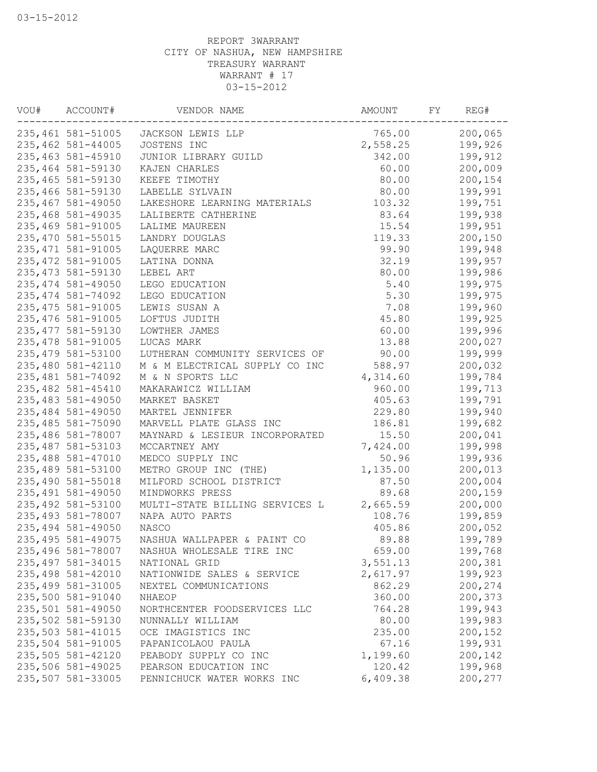| 235,461 581-51005 JACKSON LEWIS LLP                 | 765.00   | 200,065 |
|-----------------------------------------------------|----------|---------|
| 235,462 581-44005<br>JOSTENS INC                    | 2,558.25 | 199,926 |
| 235,463 581-45910<br>JUNIOR LIBRARY GUILD           | 342.00   | 199,912 |
| 235,464 581-59130<br>KAJEN CHARLES                  | 60.00    | 200,009 |
| 235,465 581-59130<br>KEEFE TIMOTHY                  | 80.00    | 200,154 |
| 235,466 581-59130<br>LABELLE SYLVAIN                | 80.00    | 199,991 |
| 235,467 581-49050<br>LAKESHORE LEARNING MATERIALS   | 103.32   | 199,751 |
| 235,468 581-49035<br>LALIBERTE CATHERINE            | 83.64    | 199,938 |
| 235,469 581-91005<br>LALIME MAUREEN                 | 15.54    | 199,951 |
| 235,470 581-55015<br>LANDRY DOUGLAS                 | 119.33   | 200,150 |
| 235, 471 581-91005<br>LAQUERRE MARC                 | 99.90    | 199,948 |
| 235, 472 581-91005<br>LATINA DONNA                  | 32.19    | 199,957 |
| 235, 473 581-59130<br>LEBEL ART                     | 80.00    | 199,986 |
| 235, 474 581-49050<br>LEGO EDUCATION                | 5.40     | 199,975 |
| 235, 474 581-74092<br>LEGO EDUCATION                | 5.30     | 199,975 |
| 235, 475 581-91005<br>LEWIS SUSAN A                 | 7.08     | 199,960 |
| 235, 476 581-91005<br>LOFTUS JUDITH                 | 45.80    | 199,925 |
| 235, 477 581-59130<br>LOWTHER JAMES                 | 60.00    | 199,996 |
| 235, 478 581-91005<br>LUCAS MARK                    | 13.88    | 200,027 |
| 235,479 581-53100<br>LUTHERAN COMMUNITY SERVICES OF | 90.00    | 199,999 |
| 235,480 581-42110<br>M & M ELECTRICAL SUPPLY CO INC | 588.97   | 200,032 |
| 235, 481 581-74092<br>M & N SPORTS LLC              | 4,314.60 | 199,784 |
| 235,482 581-45410<br>MAKARAWICZ WILLIAM             | 960.00   | 199,713 |
| 235,483 581-49050<br>MARKET BASKET                  | 405.63   | 199,791 |
| 235,484 581-49050<br>MARTEL JENNIFER                | 229.80   | 199,940 |
| 235,485 581-75090<br>MARVELL PLATE GLASS INC        | 186.81   | 199,682 |
| 235,486 581-78007<br>MAYNARD & LESIEUR INCORPORATED | 15.50    | 200,041 |
| 235, 487 581-53103<br>MCCARTNEY AMY                 | 7,424.00 | 199,998 |
| 235,488 581-47010<br>MEDCO SUPPLY INC               | 50.96    | 199,936 |
| 235,489 581-53100<br>METRO GROUP INC (THE)          | 1,135.00 | 200,013 |
| 235,490 581-55018<br>MILFORD SCHOOL DISTRICT        | 87.50    | 200,004 |
| 235, 491 581-49050<br>MINDWORKS PRESS               | 89.68    | 200,159 |
| 235,492 581-53100<br>MULTI-STATE BILLING SERVICES L | 2,665.59 | 200,000 |
| 235, 493 581-78007<br>NAPA AUTO PARTS               | 108.76   | 199,859 |
| 235, 494 581-49050<br><b>NASCO</b>                  | 405.86   | 200,052 |
| 235, 495 581-49075<br>NASHUA WALLPAPER & PAINT CO   | 89.88    | 199,789 |
| 235,496 581-78007<br>NASHUA WHOLESALE TIRE INC      | 659.00   | 199,768 |
| 235, 497 581-34015<br>NATIONAL GRID                 | 3,551.13 | 200,381 |
| 235,498 581-42010<br>NATIONWIDE SALES & SERVICE     | 2,617.97 | 199,923 |
| 235,499 581-31005<br>NEXTEL COMMUNICATIONS          | 862.29   | 200,274 |
| 235,500 581-91040<br>NHAEOP                         | 360.00   | 200,373 |
| 235,501 581-49050<br>NORTHCENTER FOODSERVICES LLC   | 764.28   | 199,943 |
| 235,502 581-59130<br>NUNNALLY WILLIAM               | 80.00    | 199,983 |
| 235,503 581-41015<br>OCE IMAGISTICS INC             | 235.00   | 200,152 |
| 235,504 581-91005<br>PAPANICOLAOU PAULA             | 67.16    | 199,931 |
| 235,505 581-42120<br>PEABODY SUPPLY CO INC          | 1,199.60 | 200,142 |
| 235,506 581-49025<br>PEARSON EDUCATION INC          | 120.42   | 199,968 |
| 235,507 581-33005<br>PENNICHUCK WATER WORKS INC     | 6,409.38 | 200,277 |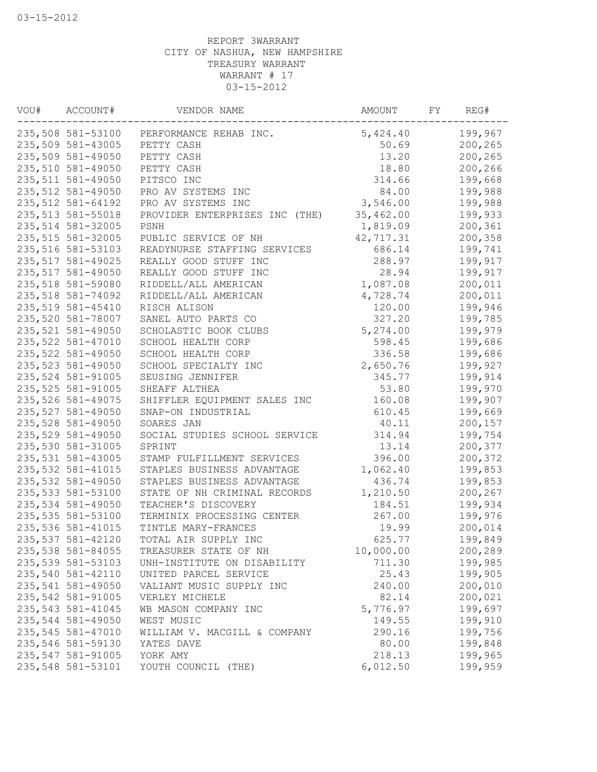| VOU# | ACCOUNT#          | VENDOR NAME                              | AMOUNT    | FY | REG#    |
|------|-------------------|------------------------------------------|-----------|----|---------|
|      |                   | 235,508 581-53100 PERFORMANCE REHAB INC. | 5,424.40  |    | 199,967 |
|      | 235,509 581-43005 | PETTY CASH                               | 50.69     |    | 200,265 |
|      | 235,509 581-49050 | PETTY CASH                               | 13.20     |    | 200,265 |
|      | 235,510 581-49050 | PETTY CASH                               | 18.80     |    | 200,266 |
|      | 235,511 581-49050 | PITSCO INC                               | 314.66    |    | 199,668 |
|      | 235,512 581-49050 | PRO AV SYSTEMS INC                       | 84.00     |    | 199,988 |
|      | 235,512 581-64192 | PRO AV SYSTEMS INC                       | 3,546.00  |    | 199,988 |
|      | 235,513 581-55018 | PROVIDER ENTERPRISES INC (THE)           | 35,462.00 |    | 199,933 |
|      | 235,514 581-32005 | PSNH                                     | 1,819.09  |    | 200,361 |
|      | 235,515 581-32005 | PUBLIC SERVICE OF NH                     | 42,717.31 |    | 200,358 |
|      | 235,516 581-53103 | READYNURSE STAFFING SERVICES             | 686.14    |    | 199,741 |
|      | 235,517 581-49025 | REALLY GOOD STUFF INC                    | 288.97    |    | 199,917 |
|      | 235,517 581-49050 | REALLY GOOD STUFF INC                    | 28.94     |    | 199,917 |
|      | 235,518 581-59080 | RIDDELL/ALL AMERICAN                     | 1,087.08  |    | 200,011 |
|      | 235,518 581-74092 | RIDDELL/ALL AMERICAN                     | 4,728.74  |    | 200,011 |
|      | 235,519 581-45410 | RISCH ALISON                             | 120.00    |    | 199,946 |
|      | 235,520 581-78007 | SANEL AUTO PARTS CO                      | 327.20    |    | 199,785 |
|      | 235,521 581-49050 | SCHOLASTIC BOOK CLUBS                    | 5,274.00  |    | 199,979 |
|      | 235,522 581-47010 | SCHOOL HEALTH CORP                       | 598.45    |    | 199,686 |
|      | 235,522 581-49050 | SCHOOL HEALTH CORP                       | 336.58    |    | 199,686 |
|      | 235,523 581-49050 | SCHOOL SPECIALTY INC                     | 2,650.76  |    | 199,927 |
|      | 235,524 581-91005 | SEUSING JENNIFER                         | 345.77    |    | 199,914 |
|      | 235,525 581-91005 | SHEAFF ALTHEA                            | 53.80     |    | 199,970 |
|      | 235,526 581-49075 | SHIFFLER EQUIPMENT SALES INC             | 160.08    |    | 199,907 |
|      | 235,527 581-49050 | SNAP-ON INDUSTRIAL                       | 610.45    |    | 199,669 |
|      | 235,528 581-49050 | SOARES JAN                               | 40.11     |    | 200,157 |
|      | 235,529 581-49050 | SOCIAL STUDIES SCHOOL SERVICE            | 314.94    |    | 199,754 |
|      | 235,530 581-31005 | SPRINT                                   | 13.14     |    | 200,377 |
|      | 235,531 581-43005 | STAMP FULFILLMENT SERVICES               | 396.00    |    | 200,372 |
|      | 235,532 581-41015 | STAPLES BUSINESS ADVANTAGE               | 1,062.40  |    | 199,853 |
|      | 235,532 581-49050 | STAPLES BUSINESS ADVANTAGE               | 436.74    |    | 199,853 |
|      | 235,533 581-53100 | STATE OF NH CRIMINAL RECORDS             | 1,210.50  |    | 200,267 |
|      | 235,534 581-49050 | TEACHER'S DISCOVERY                      | 184.51    |    | 199,934 |
|      | 235,535 581-53100 | TERMINIX PROCESSING CENTER               | 267.00    |    | 199,976 |
|      | 235,536 581-41015 | TINTLE MARY-FRANCES                      | 19.99     |    | 200,014 |
|      | 235,537 581-42120 | TOTAL AIR SUPPLY INC                     | 625.77    |    | 199,849 |
|      | 235,538 581-84055 | TREASURER STATE OF NH                    | 10,000.00 |    | 200,289 |
|      | 235,539 581-53103 | UNH-INSTITUTE ON DISABILITY              | 711.30    |    | 199,985 |
|      | 235,540 581-42110 | UNITED PARCEL SERVICE                    | 25.43     |    | 199,905 |
|      | 235,541 581-49050 | VALIANT MUSIC SUPPLY INC                 | 240.00    |    | 200,010 |
|      | 235,542 581-91005 | VERLEY MICHELE                           | 82.14     |    | 200,021 |
|      | 235,543 581-41045 | WB MASON COMPANY INC                     | 5,776.97  |    | 199,697 |
|      | 235,544 581-49050 | WEST MUSIC                               | 149.55    |    | 199,910 |
|      | 235,545 581-47010 | WILLIAM V. MACGILL & COMPANY             | 290.16    |    | 199,756 |
|      | 235,546 581-59130 | YATES DAVE                               | 80.00     |    | 199,848 |
|      | 235,547 581-91005 | YORK AMY                                 | 218.13    |    | 199,965 |
|      | 235,548 581-53101 | YOUTH COUNCIL (THE)                      | 6,012.50  |    | 199,959 |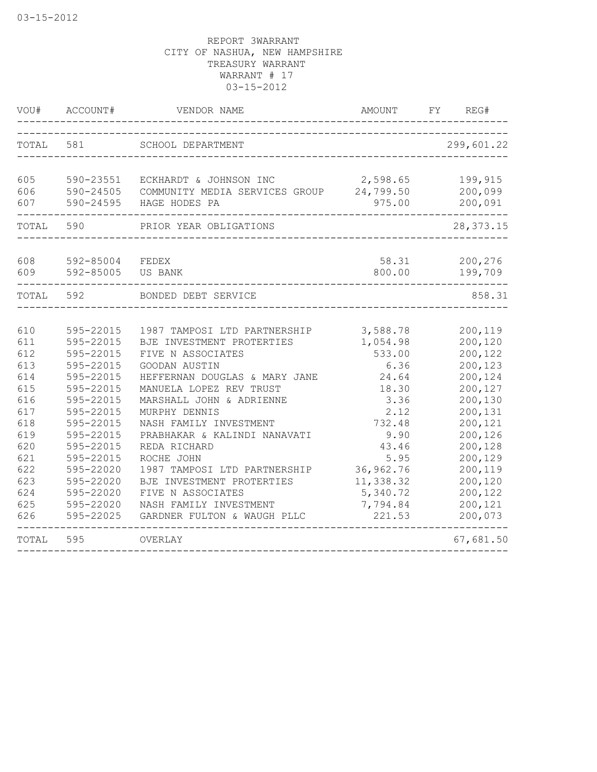| VOU#                                                                                                                | ACCOUNT#                                                                                                                                                                                                                  | VENDOR NAME                                                                                                                                                                                                                                                                                                                                                                                                                                 | AMOUNT                                                                                                                                                                  | FY.<br>REG#                                                                                                                                                                             |
|---------------------------------------------------------------------------------------------------------------------|---------------------------------------------------------------------------------------------------------------------------------------------------------------------------------------------------------------------------|---------------------------------------------------------------------------------------------------------------------------------------------------------------------------------------------------------------------------------------------------------------------------------------------------------------------------------------------------------------------------------------------------------------------------------------------|-------------------------------------------------------------------------------------------------------------------------------------------------------------------------|-----------------------------------------------------------------------------------------------------------------------------------------------------------------------------------------|
| TOTAL                                                                                                               | 581                                                                                                                                                                                                                       | SCHOOL DEPARTMENT                                                                                                                                                                                                                                                                                                                                                                                                                           |                                                                                                                                                                         | 299,601.22                                                                                                                                                                              |
| 605<br>606<br>607                                                                                                   | 590-23551<br>590-24505<br>590-24595                                                                                                                                                                                       | ECKHARDT & JOHNSON INC<br>COMMUNITY MEDIA SERVICES GROUP 24,799.50<br>HAGE HODES PA                                                                                                                                                                                                                                                                                                                                                         | 2,598.65<br>975.00                                                                                                                                                      | 199,915<br>200,099<br>200,091                                                                                                                                                           |
| TOTAL                                                                                                               | 590                                                                                                                                                                                                                       | PRIOR YEAR OBLIGATIONS                                                                                                                                                                                                                                                                                                                                                                                                                      |                                                                                                                                                                         | 28, 373. 15                                                                                                                                                                             |
| 608<br>609                                                                                                          | 592-85004<br>592-85005                                                                                                                                                                                                    | FEDEX<br>US BANK                                                                                                                                                                                                                                                                                                                                                                                                                            | 58.31<br>800.00                                                                                                                                                         | 200,276<br>199,709                                                                                                                                                                      |
| TOTAL                                                                                                               | 592                                                                                                                                                                                                                       | BONDED DEBT SERVICE                                                                                                                                                                                                                                                                                                                                                                                                                         |                                                                                                                                                                         | 858.31                                                                                                                                                                                  |
| 610<br>611<br>612<br>613<br>614<br>615<br>616<br>617<br>618<br>619<br>620<br>621<br>622<br>623<br>624<br>625<br>626 | 595-22015<br>595-22015<br>595-22015<br>595-22015<br>595-22015<br>595-22015<br>595-22015<br>595-22015<br>595-22015<br>595-22015<br>595-22015<br>595-22015<br>595-22020<br>595-22020<br>595-22020<br>595-22020<br>595-22025 | 1987 TAMPOSI LTD PARTNERSHIP<br>BJE INVESTMENT PROTERTIES<br>FIVE N ASSOCIATES<br>GOODAN AUSTIN<br>HEFFERNAN DOUGLAS & MARY JANE<br>MANUELA LOPEZ REV TRUST<br>MARSHALL JOHN & ADRIENNE<br>MURPHY DENNIS<br>NASH FAMILY INVESTMENT<br>PRABHAKAR & KALINDI NANAVATI<br>REDA RICHARD<br>ROCHE JOHN<br>1987 TAMPOSI LTD PARTNERSHIP<br>BJE INVESTMENT PROTERTIES<br>FIVE N ASSOCIATES<br>NASH FAMILY INVESTMENT<br>GARDNER FULTON & WAUGH PLLC | 3,588.78<br>1,054.98<br>533.00<br>6.36<br>24.64<br>18.30<br>3.36<br>2.12<br>732.48<br>9.90<br>43.46<br>5.95<br>36,962.76<br>11,338.32<br>5,340.72<br>7,794.84<br>221.53 | 200,119<br>200,120<br>200,122<br>200,123<br>200,124<br>200,127<br>200,130<br>200,131<br>200,121<br>200,126<br>200,128<br>200,129<br>200,119<br>200,120<br>200,122<br>200,121<br>200,073 |
| TOTAL                                                                                                               | 595                                                                                                                                                                                                                       | OVERLAY                                                                                                                                                                                                                                                                                                                                                                                                                                     |                                                                                                                                                                         | 67,681.50                                                                                                                                                                               |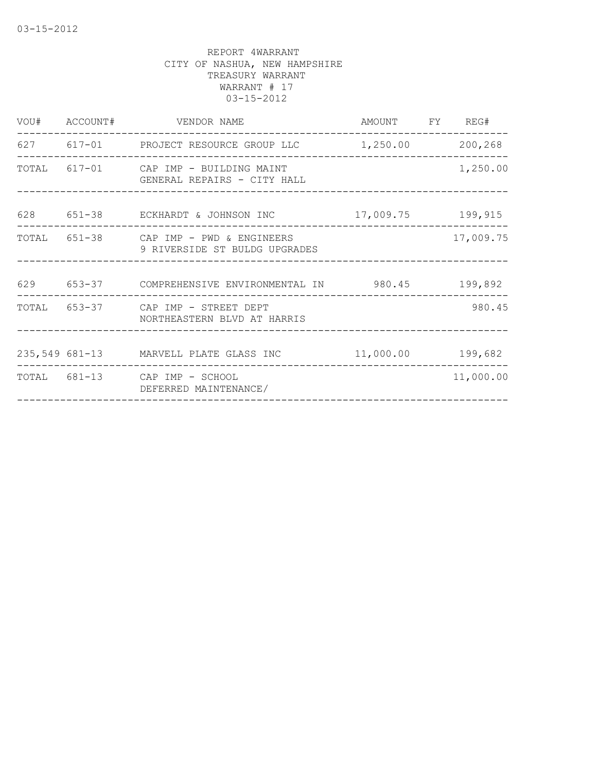|                               |                                                                                                                                                                                                                                             | 1,250.00                                                                                                                                                                                                                                                                                      |
|-------------------------------|---------------------------------------------------------------------------------------------------------------------------------------------------------------------------------------------------------------------------------------------|-----------------------------------------------------------------------------------------------------------------------------------------------------------------------------------------------------------------------------------------------------------------------------------------------|
|                               |                                                                                                                                                                                                                                             |                                                                                                                                                                                                                                                                                               |
| 9 RIVERSIDE ST BULDG UPGRADES |                                                                                                                                                                                                                                             | 17,009.75                                                                                                                                                                                                                                                                                     |
|                               |                                                                                                                                                                                                                                             |                                                                                                                                                                                                                                                                                               |
| NORTHEASTERN BLVD AT HARRIS   |                                                                                                                                                                                                                                             | 980.45                                                                                                                                                                                                                                                                                        |
|                               |                                                                                                                                                                                                                                             |                                                                                                                                                                                                                                                                                               |
| DEFERRED MAINTENANCE/         |                                                                                                                                                                                                                                             | 11,000.00                                                                                                                                                                                                                                                                                     |
|                               | VOU# ACCOUNT# VENDOR NAME<br>TOTAL 617-01 CAP IMP - BUILDING MAINT<br>GENERAL REPAIRS - CITY HALL<br>TOTAL 651-38 CAP IMP - PWD & ENGINEERS<br>---------------------<br>TOTAL 653-37 CAP IMP - STREET DEPT<br>TOTAL 681-13 CAP IMP - SCHOOL | AMOUNT FY REG#<br>627 617-01 PROJECT RESOURCE GROUP LLC 1,250.00 200,268<br>628 651-38 ECKHARDT & JOHNSON INC 17,009.75 199,915<br>__________________________________<br>629 653-37 COMPREHENSIVE ENVIRONMENTAL IN 980.45 199,892<br>235,549 681-13 MARVELL PLATE GLASS INC 11,000.00 199,682 |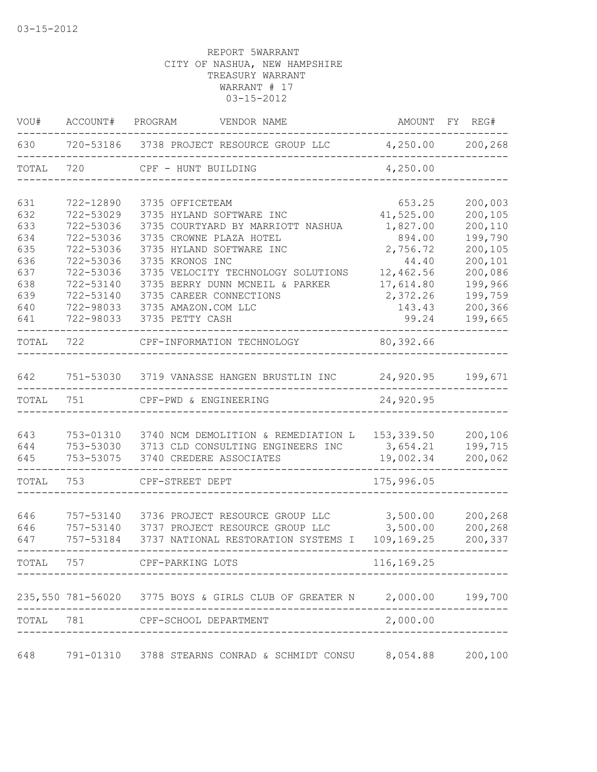| VOU#  | ACCOUNT#  | PROGRAM<br>VENDOR NAME                                         | AMOUNT FY  | REG#    |
|-------|-----------|----------------------------------------------------------------|------------|---------|
| 630   |           | 720-53186 3738 PROJECT RESOURCE GROUP LLC 4,250.00 200,268     |            |         |
| TOTAL | 720       | CPF - HUNT BUILDING                                            | 4,250.00   |         |
| 631   | 722-12890 | 3735 OFFICETEAM                                                | 653.25     | 200,003 |
| 632   | 722-53029 | 3735 HYLAND SOFTWARE INC                                       | 41,525.00  | 200,105 |
| 633   | 722-53036 | 3735 COURTYARD BY MARRIOTT NASHUA                              | 1,827.00   | 200,110 |
| 634   | 722-53036 | 3735 CROWNE PLAZA HOTEL                                        | 894.00     | 199,790 |
| 635   | 722-53036 | 3735 HYLAND SOFTWARE INC                                       | 2,756.72   | 200,105 |
| 636   | 722-53036 | 3735 KRONOS INC                                                | 44.40      | 200,101 |
| 637   | 722-53036 | 3735 VELOCITY TECHNOLOGY SOLUTIONS                             | 12,462.56  | 200,086 |
| 638   | 722-53140 | 3735 BERRY DUNN MCNEIL & PARKER                                | 17,614.80  | 199,966 |
| 639   | 722-53140 | 3735 CAREER CONNECTIONS                                        | 2,372.26   | 199,759 |
| 640   | 722-98033 | 3735 AMAZON.COM LLC                                            | 143.43     | 200,366 |
| 641   | 722-98033 | 3735 PETTY CASH                                                | 99.24      | 199,665 |
| TOTAL | 722       | CPF-INFORMATION TECHNOLOGY                                     | 80,392.66  |         |
| 642   |           | 751-53030 3719 VANASSE HANGEN BRUSTLIN INC                     | 24,920.95  | 199,671 |
| TOTAL | 751       | CPF-PWD & ENGINEERING                                          | 24,920.95  |         |
|       |           |                                                                |            |         |
| 643   | 753-01310 | 3740 NCM DEMOLITION & REMEDIATION L                            | 153,339.50 | 200,106 |
| 644   | 753-53030 | 3713 CLD CONSULTING ENGINEERS INC                              | 3,654.21   | 199,715 |
| 645   | 753-53075 | 3740 CREDERE ASSOCIATES                                        | 19,002.34  | 200,062 |
| TOTAL | 753       | CPF-STREET DEPT                                                | 175,996.05 |         |
|       |           |                                                                |            |         |
| 646   | 757-53140 | 3736 PROJECT RESOURCE GROUP LLC                                | 3,500.00   | 200,268 |
| 646   | 757-53140 | 3737 PROJECT RESOURCE GROUP LLC                                | 3,500.00   | 200,268 |
| 647   | 757-53184 | 3737 NATIONAL RESTORATION SYSTEMS I                            | 109,169.25 | 200,337 |
| TOTAL | 757       | CPF-PARKING LOTS                                               | 116,169.25 |         |
|       |           |                                                                |            |         |
|       |           | 235,550 781-56020 3775 BOYS & GIRLS CLUB OF GREATER N 2,000.00 |            | 199,700 |
| TOTAL | 781       | CPF-SCHOOL DEPARTMENT                                          | 2,000.00   |         |
| 648   |           | 791-01310 3788 STEARNS CONRAD & SCHMIDT CONSU                  | 8,054.88   | 200,100 |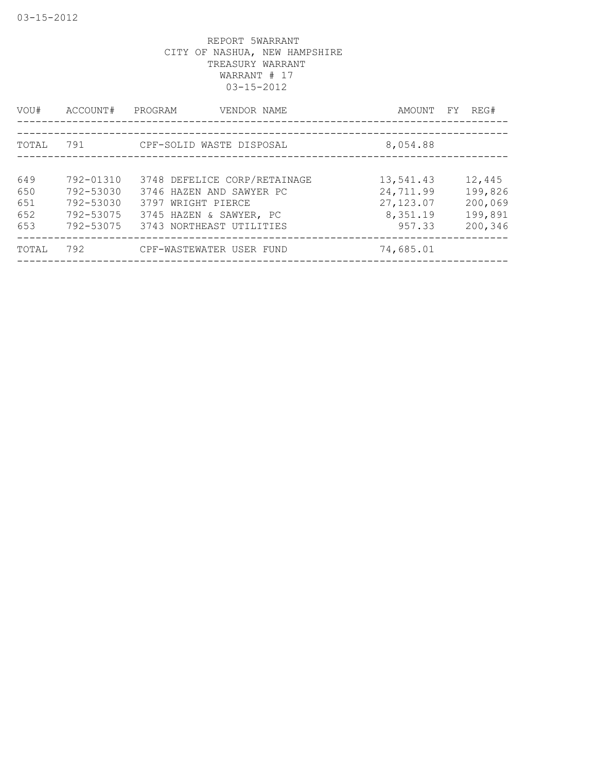| VOU#                            | ACCOUNT#                                                      | PROGRAM<br>VENDOR NAME                                                                                                                | AMOUNT                                                     | FY. | REG#                                               |
|---------------------------------|---------------------------------------------------------------|---------------------------------------------------------------------------------------------------------------------------------------|------------------------------------------------------------|-----|----------------------------------------------------|
| TOTAL                           | 791                                                           | CPF-SOLID WASTE DISPOSAL                                                                                                              | 8,054.88                                                   |     |                                                    |
| 649<br>650<br>651<br>652<br>653 | 792-01310<br>792-53030<br>792-53030<br>792-53075<br>792-53075 | 3748 DEFELICE CORP/RETAINAGE<br>3746 HAZEN AND SAWYER PC<br>3797 WRIGHT PIERCE<br>3745 HAZEN & SAWYER, PC<br>3743 NORTHEAST UTILITIES | 13,541.43<br>24,711.99<br>27, 123.07<br>8,351.19<br>957.33 |     | 12,445<br>199,826<br>200,069<br>199,891<br>200,346 |
| TOTAL                           | 792                                                           | CPF-WASTEWATER USER FUND                                                                                                              | 74,685.01                                                  |     |                                                    |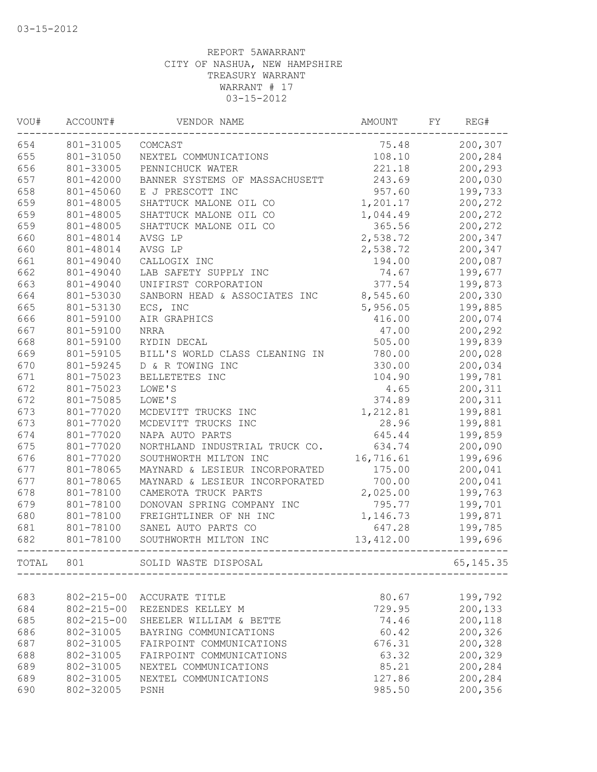| VOU#  | ACCOUNT#         | VENDOR NAME                    | <b>AMOUNT</b> | FΥ | REG#       |
|-------|------------------|--------------------------------|---------------|----|------------|
| 654   | 801-31005        | COMCAST                        | 75.48         |    | 200,307    |
| 655   | 801-31050        | NEXTEL COMMUNICATIONS          | 108.10        |    | 200,284    |
| 656   | 801-33005        | PENNICHUCK WATER               | 221.18        |    | 200,293    |
| 657   | 801-42000        | BANNER SYSTEMS OF MASSACHUSETT | 243.69        |    | 200,030    |
| 658   | 801-45060        | E J PRESCOTT INC               | 957.60        |    | 199,733    |
| 659   | 801-48005        | SHATTUCK MALONE OIL CO         | 1,201.17      |    | 200,272    |
| 659   | 801-48005        | SHATTUCK MALONE OIL CO         | 1,044.49      |    | 200,272    |
| 659   | 801-48005        | SHATTUCK MALONE OIL CO         | 365.56        |    | 200,272    |
| 660   | 801-48014        | AVSG LP                        | 2,538.72      |    | 200,347    |
| 660   | 801-48014        | AVSG LP                        | 2,538.72      |    | 200,347    |
| 661   | 801-49040        | CALLOGIX INC                   | 194.00        |    | 200,087    |
| 662   | 801-49040        | LAB SAFETY SUPPLY INC          | 74.67         |    | 199,677    |
| 663   | 801-49040        | UNIFIRST CORPORATION           | 377.54        |    | 199,873    |
| 664   | 801-53030        | SANBORN HEAD & ASSOCIATES INC  | 8,545.60      |    | 200,330    |
| 665   | 801-53130        | ECS, INC                       | 5,956.05      |    | 199,885    |
| 666   | 801-59100        | AIR GRAPHICS                   | 416.00        |    | 200,074    |
| 667   | 801-59100        | <b>NRRA</b>                    | 47.00         |    | 200,292    |
| 668   | 801-59100        | RYDIN DECAL                    | 505.00        |    | 199,839    |
| 669   | 801-59105        | BILL'S WORLD CLASS CLEANING IN | 780.00        |    | 200,028    |
| 670   | 801-59245        | D & R TOWING INC               | 330.00        |    | 200,034    |
| 671   | 801-75023        | BELLETETES INC                 | 104.90        |    | 199,781    |
| 672   | 801-75023        | LOWE'S                         | 4.65          |    | 200,311    |
| 672   | 801-75085        | LOWE'S                         | 374.89        |    | 200,311    |
| 673   | 801-77020        | MCDEVITT TRUCKS INC            | 1,212.81      |    | 199,881    |
| 673   | 801-77020        | MCDEVITT TRUCKS INC            | 28.96         |    | 199,881    |
| 674   | 801-77020        | NAPA AUTO PARTS                | 645.44        |    | 199,859    |
| 675   | 801-77020        | NORTHLAND INDUSTRIAL TRUCK CO. | 634.74        |    | 200,090    |
| 676   | 801-77020        | SOUTHWORTH MILTON INC          | 16,716.61     |    | 199,696    |
| 677   | 801-78065        | MAYNARD & LESIEUR INCORPORATED | 175.00        |    | 200,041    |
| 677   | 801-78065        | MAYNARD & LESIEUR INCORPORATED | 700.00        |    | 200,041    |
| 678   | 801-78100        | CAMEROTA TRUCK PARTS           | 2,025.00      |    | 199,763    |
| 679   | 801-78100        | DONOVAN SPRING COMPANY INC     | 795.77        |    | 199,701    |
| 680   | 801-78100        | FREIGHTLINER OF NH INC         | 1,146.73      |    | 199,871    |
| 681   | 801-78100        | SANEL AUTO PARTS CO            | 647.28        |    | 199,785    |
| 682   | 801-78100        | SOUTHWORTH MILTON INC          | 13, 412.00    |    | 199,696    |
| TOTAL | 801              | SOLID WASTE DISPOSAL           |               |    | 65, 145.35 |
|       |                  |                                |               |    |            |
| 683   | $802 - 215 - 00$ | ACCURATE TITLE                 | 80.67         |    | 199,792    |
| 684   | $802 - 215 - 00$ | REZENDES KELLEY M              | 729.95        |    | 200,133    |
| 685   | $802 - 215 - 00$ | SHEELER WILLIAM & BETTE        | 74.46         |    | 200,118    |
| 686   | 802-31005        | BAYRING COMMUNICATIONS         | 60.42         |    | 200,326    |
| 687   | 802-31005        | FAIRPOINT COMMUNICATIONS       | 676.31        |    | 200,328    |
| 688   | 802-31005        | FAIRPOINT COMMUNICATIONS       | 63.32         |    | 200,329    |
| 689   | 802-31005        | NEXTEL COMMUNICATIONS          | 85.21         |    | 200,284    |
| 689   | 802-31005        | NEXTEL COMMUNICATIONS          | 127.86        |    | 200,284    |
| 690   | 802-32005        | PSNH                           | 985.50        |    | 200,356    |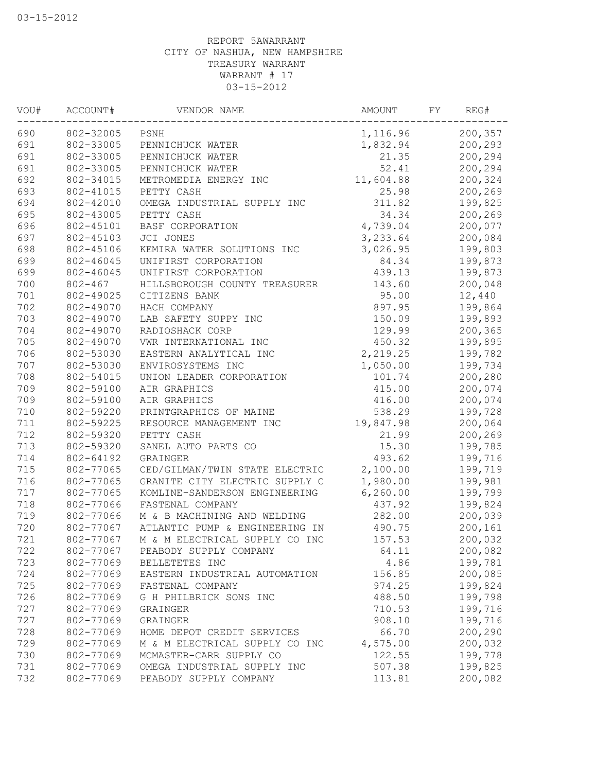| VOU# | ACCOUNT#    | VENDOR NAME                    | AMOUNT    | FY | REG#    |
|------|-------------|--------------------------------|-----------|----|---------|
| 690  | 802-32005   | PSNH                           | 1,116.96  |    | 200,357 |
| 691  | 802-33005   | PENNICHUCK WATER               | 1,832.94  |    | 200,293 |
| 691  | 802-33005   | PENNICHUCK WATER               | 21.35     |    | 200,294 |
| 691  | 802-33005   | PENNICHUCK WATER               | 52.41     |    | 200,294 |
| 692  | 802-34015   | METROMEDIA ENERGY INC          | 11,604.88 |    | 200,324 |
| 693  | 802-41015   | PETTY CASH                     | 25.98     |    | 200,269 |
| 694  | 802-42010   | OMEGA INDUSTRIAL SUPPLY INC    | 311.82    |    | 199,825 |
| 695  | 802-43005   | PETTY CASH                     | 34.34     |    | 200,269 |
| 696  | 802-45101   | BASF CORPORATION               | 4,739.04  |    | 200,077 |
| 697  | 802-45103   | JCI JONES                      | 3,233.64  |    | 200,084 |
| 698  | 802-45106   | KEMIRA WATER SOLUTIONS INC     | 3,026.95  |    | 199,803 |
| 699  | 802-46045   | UNIFIRST CORPORATION           | 84.34     |    | 199,873 |
| 699  | 802-46045   | UNIFIRST CORPORATION           | 439.13    |    | 199,873 |
| 700  | $802 - 467$ | HILLSBOROUGH COUNTY TREASURER  | 143.60    |    | 200,048 |
| 701  | 802-49025   | CITIZENS BANK                  | 95.00     |    | 12,440  |
| 702  | 802-49070   | HACH COMPANY                   | 897.95    |    | 199,864 |
| 703  | 802-49070   | LAB SAFETY SUPPY INC           | 150.09    |    | 199,893 |
| 704  | 802-49070   | RADIOSHACK CORP                | 129.99    |    | 200,365 |
| 705  | 802-49070   | VWR INTERNATIONAL INC          | 450.32    |    | 199,895 |
| 706  | 802-53030   | EASTERN ANALYTICAL INC         | 2,219.25  |    | 199,782 |
| 707  | 802-53030   | ENVIROSYSTEMS INC              | 1,050.00  |    | 199,734 |
| 708  | 802-54015   | UNION LEADER CORPORATION       | 101.74    |    | 200,280 |
| 709  | 802-59100   | AIR GRAPHICS                   | 415.00    |    | 200,074 |
| 709  | 802-59100   | AIR GRAPHICS                   | 416.00    |    | 200,074 |
| 710  | 802-59220   | PRINTGRAPHICS OF MAINE         | 538.29    |    | 199,728 |
| 711  | 802-59225   | RESOURCE MANAGEMENT INC        | 19,847.98 |    | 200,064 |
| 712  | 802-59320   | PETTY CASH                     | 21.99     |    | 200,269 |
| 713  | 802-59320   | SANEL AUTO PARTS CO            | 15.30     |    | 199,785 |
| 714  | 802-64192   | GRAINGER                       | 493.62    |    | 199,716 |
| 715  | 802-77065   | CED/GILMAN/TWIN STATE ELECTRIC | 2,100.00  |    | 199,719 |
| 716  | 802-77065   | GRANITE CITY ELECTRIC SUPPLY C | 1,980.00  |    | 199,981 |
| 717  | 802-77065   | KOMLINE-SANDERSON ENGINEERING  | 6, 260.00 |    | 199,799 |
| 718  | 802-77066   | FASTENAL COMPANY               | 437.92    |    | 199,824 |
| 719  | 802-77066   | M & B MACHINING AND WELDING    | 282.00    |    | 200,039 |
| 720  | 802-77067   | ATLANTIC PUMP & ENGINEERING IN | 490.75    |    | 200,161 |
| 721  | 802-77067   | M & M ELECTRICAL SUPPLY CO INC | 157.53    |    | 200,032 |
| 722  | 802-77067   | PEABODY SUPPLY COMPANY         | 64.11     |    | 200,082 |
| 723  | 802-77069   | BELLETETES INC                 | 4.86      |    | 199,781 |
| 724  | 802-77069   | EASTERN INDUSTRIAL AUTOMATION  | 156.85    |    | 200,085 |
| 725  | 802-77069   | FASTENAL COMPANY               | 974.25    |    | 199,824 |
| 726  | 802-77069   | G H PHILBRICK SONS INC         | 488.50    |    | 199,798 |
| 727  | 802-77069   | GRAINGER                       | 710.53    |    | 199,716 |
| 727  | 802-77069   | GRAINGER                       | 908.10    |    | 199,716 |
| 728  | 802-77069   | HOME DEPOT CREDIT SERVICES     | 66.70     |    | 200,290 |
| 729  | 802-77069   | M & M ELECTRICAL SUPPLY CO INC | 4,575.00  |    | 200,032 |
| 730  | 802-77069   | MCMASTER-CARR SUPPLY CO        | 122.55    |    | 199,778 |
| 731  | 802-77069   | OMEGA INDUSTRIAL SUPPLY INC    | 507.38    |    | 199,825 |
| 732  | 802-77069   | PEABODY SUPPLY COMPANY         | 113.81    |    | 200,082 |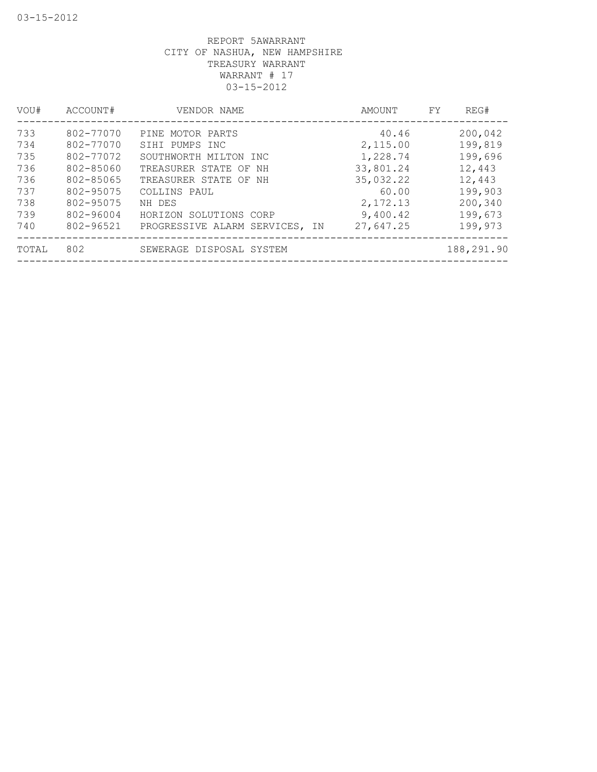| VOU#  | ACCOUNT#  | VENDOR NAME                    | AMOUNT    | REG#<br>FY. |
|-------|-----------|--------------------------------|-----------|-------------|
| 733   | 802-77070 | PINE MOTOR PARTS               | 40.46     | 200,042     |
| 734   | 802-77070 | SIHI PUMPS INC                 | 2,115.00  | 199,819     |
| 735   | 802-77072 | SOUTHWORTH MILTON INC          | 1,228.74  | 199,696     |
| 736   | 802-85060 | TREASURER STATE OF NH          | 33,801.24 | 12,443      |
| 736   | 802-85065 | TREASURER STATE OF NH          | 35,032.22 | 12,443      |
| 737   | 802-95075 | COLLINS PAUL                   | 60.00     | 199,903     |
| 738   | 802-95075 | NH DES                         | 2, 172.13 | 200,340     |
| 739   | 802-96004 | HORIZON SOLUTIONS CORP         | 9,400.42  | 199,673     |
| 740   | 802-96521 | PROGRESSIVE ALARM SERVICES, IN | 27,647.25 | 199,973     |
| TOTAL | 802       | SEWERAGE DISPOSAL SYSTEM       |           | 188,291.90  |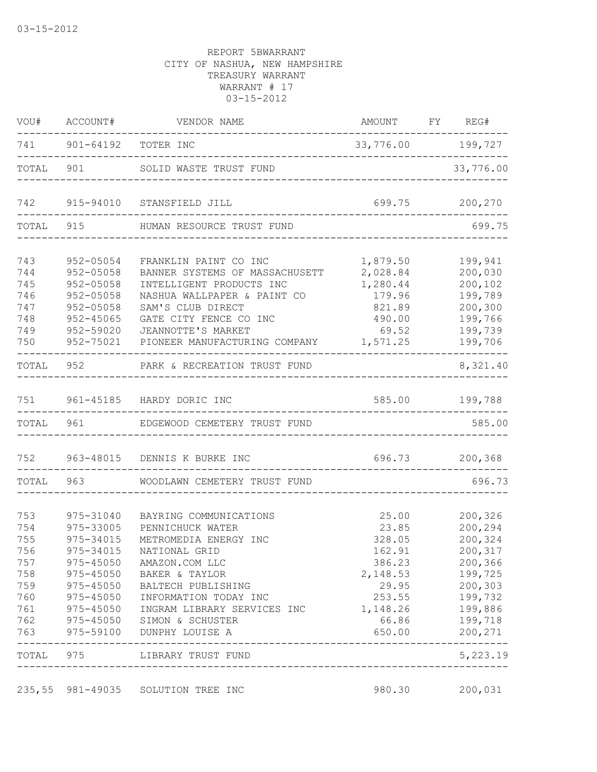| VOU#      | ACCOUNT#      | VENDOR NAME                           | AMOUNT             | FY | REG#           |
|-----------|---------------|---------------------------------------|--------------------|----|----------------|
| 741       | 901-64192     | TOTER INC                             | 33,776.00          |    | 199,727        |
| TOTAL     | 901           | SOLID WASTE TRUST FUND                |                    |    | 33,776.00      |
| 742       | 915-94010     | STANSFIELD JILL                       | 699.75             |    | 200,270        |
| TOTAL     | 915           | HUMAN RESOURCE TRUST FUND             |                    |    | 699.75         |
| 743       | 952-05054     | FRANKLIN PAINT CO INC                 | 1,879.50           |    | 199,941        |
| 744       | 952-05058     | BANNER SYSTEMS OF MASSACHUSETT        | 2,028.84           |    | 200,030        |
| 745       | 952-05058     | INTELLIGENT PRODUCTS INC              | 1,280.44           |    | 200,102        |
| 746       | 952-05058     | NASHUA WALLPAPER & PAINT CO           | 179.96             |    | 199,789        |
| 747       | 952-05058     | SAM'S CLUB DIRECT                     | 821.89             |    | 200,300        |
| 748       | 952-45065     | GATE CITY FENCE CO INC                | 490.00             |    | 199,766        |
| 749       | 952-59020     | JEANNOTTE'S MARKET                    | 69.52              |    | 199,739        |
| 750       | 952-75021     | PIONEER MANUFACTURING COMPANY         | 1,571.25           |    | 199,706        |
| TOTAL     | 952           | PARK & RECREATION TRUST FUND          |                    |    | 8,321.40       |
| 751       |               | 961-45185 HARDY DORIC INC             | 585.00             |    | 199,788        |
| TOTAL 961 |               | EDGEWOOD CEMETERY TRUST FUND          |                    |    | 585.00         |
| 752       |               | 963-48015 DENNIS K BURKE INC          | 696.73             |    | 200, 368       |
|           | TOTAL 963     | WOODLAWN CEMETERY TRUST FUND          |                    |    | 696.73         |
| 753       | 975-31040     | BAYRING COMMUNICATIONS                | 25.00              |    | 200,326        |
| 754       | 975-33005     | PENNICHUCK WATER                      | 23.85              |    | 200,294        |
| 755       | 975-34015     | METROMEDIA ENERGY INC                 | 328.05             |    | 200,324        |
| 756       | 975-34015     | NATIONAL GRID                         | 162.91             |    | 200,317        |
| 757       |               | 975-45050 AMAZON.COM LLC              | 386.23             |    | 200,366        |
|           |               | 758 975-45050 BAKER & TAYLOR          | 2,148.53           |    | 199,725        |
|           | 759 975-45050 | BALTECH PUBLISHING                    | 29.95              |    | 200,303        |
|           | 760 975-45050 | INFORMATION TODAY INC                 | 253.55             |    | 199,732        |
| 761       |               | 975-45050 INGRAM LIBRARY SERVICES INC | 1, 148.26 199, 886 |    |                |
|           |               | 762 975-45050 SIMON & SCHUSTER        | 66.86              |    | 199,718        |
|           |               | 763 975-59100 DUNPHY LOUISE A         |                    |    | 650.00 200,271 |
|           |               | TOTAL 975 LIBRARY TRUST FUND          |                    |    | 5,223.19       |
|           |               | 235,55 981-49035 SOLUTION TREE INC    | 980.30             |    | 200,031        |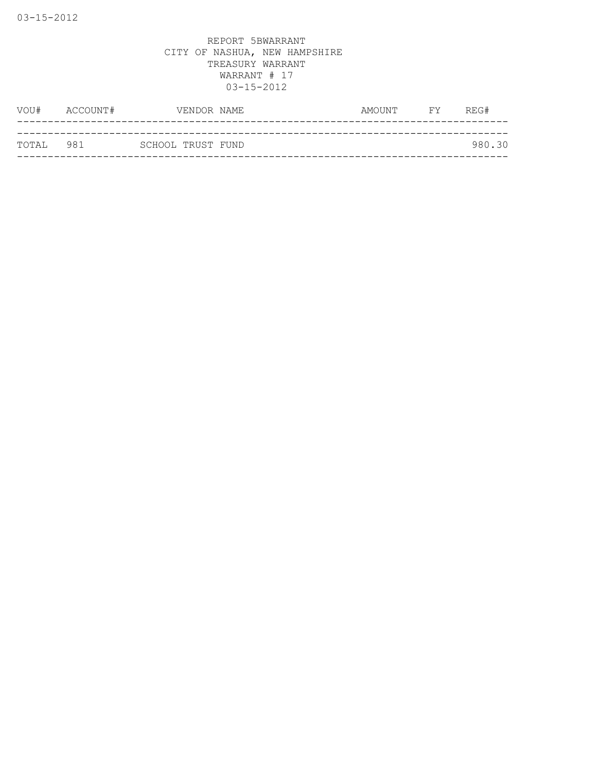| TOTAL 981 |               | SCHOOL TRUST FUND |             |           | 980.30 |
|-----------|---------------|-------------------|-------------|-----------|--------|
|           |               |                   |             |           |        |
|           | VOU# ACCOUNT# |                   | VENDOR NAME | AMOUNT FY | REG#   |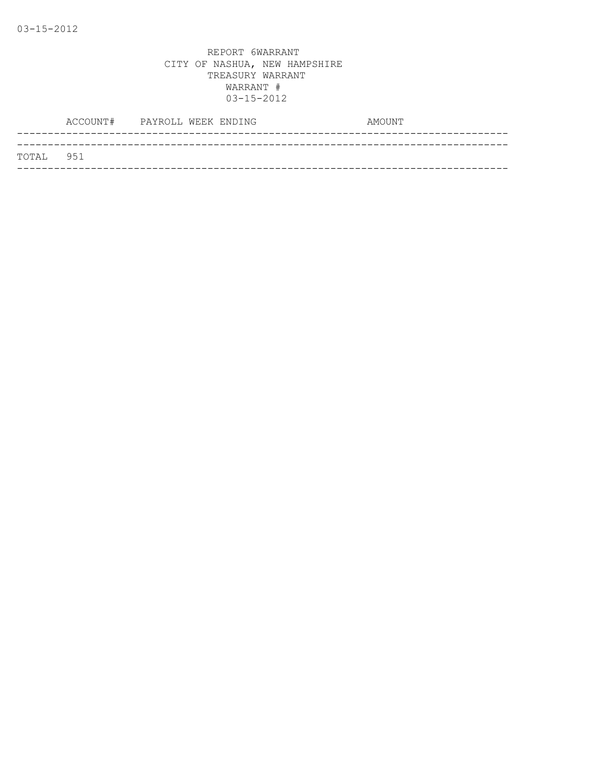|           | ACCOUNT# | PAYROLL WEEK ENDING |  | AMOUNT |
|-----------|----------|---------------------|--|--------|
|           |          |                     |  |        |
| TOTAL 951 |          |                     |  |        |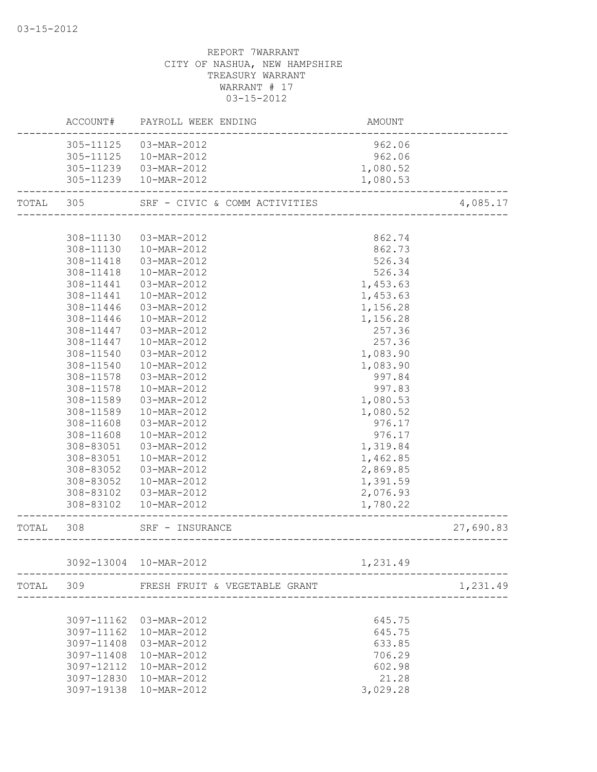|           |            | ACCOUNT# PAYROLL WEEK ENDING  | AMOUNT   |           |
|-----------|------------|-------------------------------|----------|-----------|
|           | 305-11125  | 03-MAR-2012                   | 962.06   |           |
|           | 305-11125  | 10-MAR-2012                   | 962.06   |           |
|           | 305-11239  | 03-MAR-2012                   | 1,080.52 |           |
|           |            | 305-11239  10-MAR-2012        | 1,080.53 |           |
| TOTAL 305 |            | SRF - CIVIC & COMM ACTIVITIES |          | 4,085.17  |
|           |            |                               |          |           |
|           | 308-11130  | 03-MAR-2012                   | 862.74   |           |
|           | 308-11130  | 10-MAR-2012                   | 862.73   |           |
|           | 308-11418  | 03-MAR-2012                   | 526.34   |           |
|           | 308-11418  | 10-MAR-2012                   | 526.34   |           |
|           | 308-11441  | 03-MAR-2012                   | 1,453.63 |           |
|           | 308-11441  | 10-MAR-2012                   | 1,453.63 |           |
|           | 308-11446  | 03-MAR-2012                   | 1,156.28 |           |
|           | 308-11446  | 10-MAR-2012                   | 1,156.28 |           |
|           | 308-11447  | 03-MAR-2012                   | 257.36   |           |
|           | 308-11447  | 10-MAR-2012                   | 257.36   |           |
|           | 308-11540  | 03-MAR-2012                   | 1,083.90 |           |
|           | 308-11540  | 10-MAR-2012                   | 1,083.90 |           |
|           | 308-11578  | 03-MAR-2012                   | 997.84   |           |
|           | 308-11578  | 10-MAR-2012                   | 997.83   |           |
|           | 308-11589  | 03-MAR-2012                   | 1,080.53 |           |
|           | 308-11589  | 10-MAR-2012                   | 1,080.52 |           |
|           | 308-11608  | 03-MAR-2012                   | 976.17   |           |
|           | 308-11608  | 10-MAR-2012                   | 976.17   |           |
|           | 308-83051  | 03-MAR-2012                   | 1,319.84 |           |
|           | 308-83051  | 10-MAR-2012                   | 1,462.85 |           |
|           | 308-83052  | 03-MAR-2012                   | 2,869.85 |           |
|           | 308-83052  | 10-MAR-2012                   | 1,391.59 |           |
|           | 308-83102  | 03-MAR-2012                   | 2,076.93 |           |
|           | 308-83102  | 10-MAR-2012                   | 1,780.22 |           |
| TOTAL     | 308        | SRF - INSURANCE               |          | 27,690.83 |
|           |            |                               |          |           |
|           |            | 3092-13004 10-MAR-2012        | 1,231.49 |           |
| TOTAL     | 309        | FRESH FRUIT & VEGETABLE GRANT |          | 1,231.49  |
|           |            |                               |          |           |
|           | 3097-11162 | 03-MAR-2012                   | 645.75   |           |
|           | 3097-11162 | 10-MAR-2012                   | 645.75   |           |
|           | 3097-11408 | 03-MAR-2012                   | 633.85   |           |
|           | 3097-11408 | 10-MAR-2012                   | 706.29   |           |
|           | 3097-12112 | 10-MAR-2012                   | 602.98   |           |
|           | 3097-12830 | 10-MAR-2012                   | 21.28    |           |
|           |            | 3097-19138 10-MAR-2012        | 3,029.28 |           |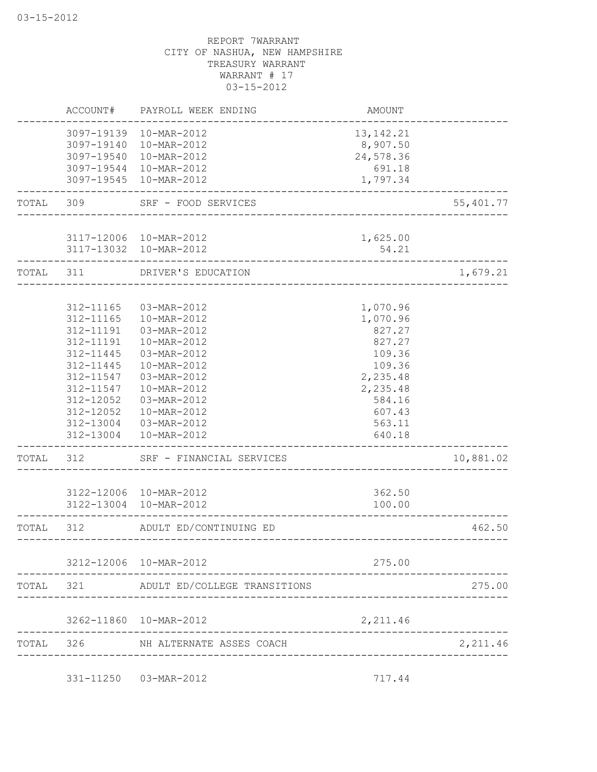|           | ACCOUNT#   | PAYROLL WEEK ENDING                              | AMOUNT                              |           |
|-----------|------------|--------------------------------------------------|-------------------------------------|-----------|
|           |            | 3097-19139 10-MAR-2012                           | 13, 142. 21                         |           |
|           | 3097-19540 | 3097-19140  10-MAR-2012<br>10-MAR-2012           | 8,907.50<br>24,578.36               |           |
|           | 3097-19544 | 10-MAR-2012                                      | 691.18                              |           |
|           |            | 3097-19545 10-MAR-2012                           | 1,797.34                            |           |
| TOTAL     | 309        | SRF - FOOD SERVICES<br>--------------------      |                                     | 55,401.77 |
|           |            |                                                  |                                     |           |
|           |            | 3117-12006 10-MAR-2012<br>3117-13032 10-MAR-2012 | 1,625.00<br>54.21                   |           |
| TOTAL 311 |            | DRIVER'S EDUCATION                               | ----------------------------------- | 1,679.21  |
|           |            |                                                  |                                     |           |
|           | 312-11165  | 03-MAR-2012                                      | 1,070.96                            |           |
|           | 312-11165  | 10-MAR-2012                                      | 1,070.96                            |           |
|           | 312-11191  | 03-MAR-2012                                      | 827.27                              |           |
|           | 312-11191  | 10-MAR-2012                                      | 827.27                              |           |
|           | 312-11445  | 03-MAR-2012                                      | 109.36                              |           |
|           | 312-11445  | 10-MAR-2012                                      | 109.36                              |           |
|           | 312-11547  | 03-MAR-2012                                      | 2,235.48                            |           |
|           | 312-11547  | 10-MAR-2012                                      | 2,235.48                            |           |
|           | 312-12052  | 03-MAR-2012                                      | 584.16                              |           |
|           | 312-12052  | 10-MAR-2012                                      | 607.43                              |           |
|           |            | 312-13004 03-MAR-2012<br>312-13004  10-MAR-2012  | 563.11<br>640.18                    |           |
| TOTAL     | 312        | SRF - FINANCIAL SERVICES                         |                                     | 10,881.02 |
|           |            |                                                  | __________________________________  |           |
|           |            | 3122-12006 10-MAR-2012                           | 362.50                              |           |
|           |            | 3122-13004 10-MAR-2012                           | 100.00                              |           |
| TOTAL     | 312        | ADULT ED/CONTINUING ED                           | ----------------------------------  | 462.50    |
|           |            | 3212-12006 10-MAR-2012                           | 275.00                              |           |
|           |            | TOTAL 321 ADULT ED/COLLEGE TRANSITIONS           |                                     | 275.00    |
|           |            |                                                  |                                     |           |
|           |            | 3262-11860  10-MAR-2012                          | 2,211.46                            |           |
| TOTAL 326 |            | NH ALTERNATE ASSES COACH                         |                                     | 2,211.46  |
|           |            | 331-11250  03-MAR-2012                           | 717.44                              |           |
|           |            |                                                  |                                     |           |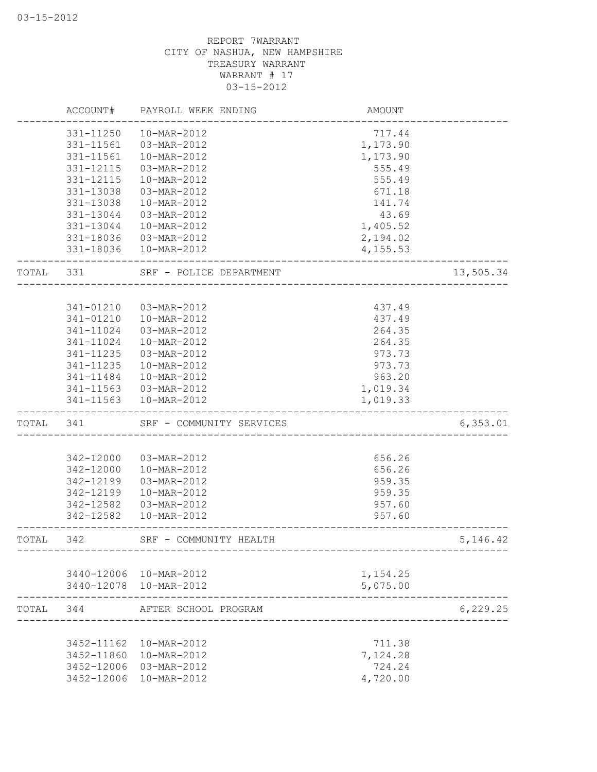|       | ACCOUNT#                 | PAYROLL WEEK ENDING        | AMOUNT                       |            |
|-------|--------------------------|----------------------------|------------------------------|------------|
|       | 331-11250                | 10-MAR-2012                | 717.44                       |            |
|       | 331-11561                | 03-MAR-2012                | 1,173.90                     |            |
|       | 331-11561                | 10-MAR-2012                | 1,173.90                     |            |
|       | 331-12115                | 03-MAR-2012                | 555.49                       |            |
|       | 331-12115                | 10-MAR-2012                | 555.49                       |            |
|       | 331-13038                | 03-MAR-2012                | 671.18                       |            |
|       | 331-13038                | 10-MAR-2012                | 141.74                       |            |
|       | 331-13044                | 03-MAR-2012                | 43.69                        |            |
|       | 331-13044                | 10-MAR-2012                | 1,405.52                     |            |
|       | 331-18036                | 03-MAR-2012                | 2,194.02                     |            |
|       | 331-18036                | 10-MAR-2012                | 4,155.53                     |            |
| TOTAL | 331                      | SRF - POLICE DEPARTMENT    |                              | 13,505.34  |
|       |                          |                            |                              |            |
|       | 341-01210                | 03-MAR-2012                | 437.49                       |            |
|       | 341-01210                | 10-MAR-2012                | 437.49                       |            |
|       | 341-11024                | 03-MAR-2012                | 264.35                       |            |
|       | $341 - 11024$            | 10-MAR-2012                | 264.35                       |            |
|       | 341-11235                | $03 - \text{MAR} - 2012$   | 973.73                       |            |
|       | 341-11235                | 10-MAR-2012                | 973.73                       |            |
|       | 341-11484                | 10-MAR-2012                | 963.20                       |            |
|       |                          | 341-11563  03-MAR-2012     | 1,019.34                     |            |
|       |                          | 341-11563  10-MAR-2012     | 1,019.33                     |            |
| TOTAL | 341                      | SRF - COMMUNITY SERVICES   | ---------------------------- | 6, 353.01  |
|       |                          |                            |                              |            |
|       | 342-12000                | 03-MAR-2012                | 656.26                       |            |
|       | 342-12000                | 10-MAR-2012                | 656.26                       |            |
|       | 342-12199                | 03-MAR-2012                | 959.35                       |            |
|       | 342-12199                | 10-MAR-2012                | 959.35                       |            |
|       | 342-12582                | 03-MAR-2012                | 957.60                       |            |
|       | 342-12582                | 10-MAR-2012                | 957.60                       |            |
| TOTAL | 342                      | SRF - COMMUNITY HEALTH     |                              | 5, 146. 42 |
|       |                          |                            |                              |            |
|       |                          | 3440-12006 10-MAR-2012     | 1,154.25                     |            |
|       |                          | 3440-12078 10-MAR-2012     | 5,075.00                     |            |
| TOTAL | 344                      | AFTER SCHOOL PROGRAM       |                              | 6, 229.25  |
|       |                          |                            |                              |            |
|       | 3452-11162<br>3452-11860 | 10-MAR-2012                | 711.38                       |            |
|       | 3452-12006               | 10-MAR-2012<br>03-MAR-2012 | 7,124.28<br>724.24           |            |
|       | 3452-12006               | 10-MAR-2012                | 4,720.00                     |            |
|       |                          |                            |                              |            |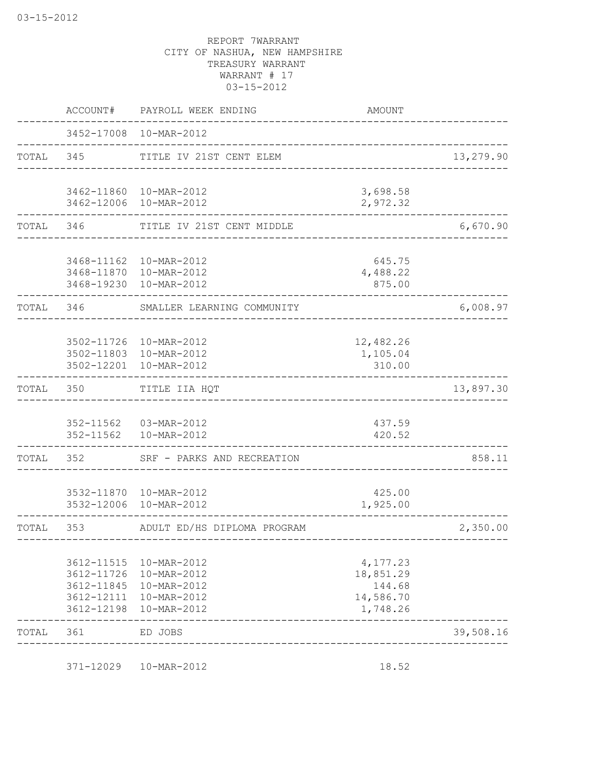|           | ACCOUNT#                                                           | PAYROLL WEEK ENDING                                                     | <b>AMOUNT</b>                                            |           |
|-----------|--------------------------------------------------------------------|-------------------------------------------------------------------------|----------------------------------------------------------|-----------|
|           |                                                                    | 3452-17008 10-MAR-2012                                                  |                                                          |           |
| TOTAL 345 |                                                                    | TITLE IV 21ST CENT ELEM                                                 |                                                          | 13,279.90 |
|           | 3462-11860<br>3462-12006                                           | 10-MAR-2012<br>10-MAR-2012                                              | 3,698.58<br>2,972.32                                     |           |
| TOTAL 346 |                                                                    | TITLE IV 21ST CENT MIDDLE                                               |                                                          | 6,670.90  |
|           | 3468-11162<br>3468-11870<br>3468-19230                             | 10-MAR-2012<br>10-MAR-2012<br>10-MAR-2012                               | 645.75<br>4,488.22<br>875.00                             |           |
| TOTAL     | 346                                                                | SMALLER LEARNING COMMUNITY                                              |                                                          | 6,008.97  |
|           | 3502-12201                                                         | 3502-11726 10-MAR-2012<br>3502-11803 10-MAR-2012<br>10-MAR-2012         | 12,482.26<br>1,105.04<br>310.00                          |           |
| TOTAL     | 350                                                                | TITLE IIA HQT                                                           |                                                          | 13,897.30 |
|           |                                                                    | 352-11562  03-MAR-2012<br>352-11562  10-MAR-2012                        | 437.59<br>420.52                                         |           |
| TOTAL     | 352                                                                | SRF - PARKS AND RECREATION                                              | _________________________________                        | 858.11    |
|           | 3532-12006                                                         | 3532-11870  10-MAR-2012<br>10-MAR-2012                                  | 425.00<br>1,925.00                                       |           |
| TOTAL     | 353                                                                | ADULT ED/HS DIPLOMA PROGRAM                                             | _________________                                        | 2,350.00  |
|           | 3612-11515<br>3612-11726<br>3612-11845<br>3612-12111<br>3612-12198 | 10-MAR-2012<br>10-MAR-2012<br>10-MAR-2012<br>10-MAR-2012<br>10-MAR-2012 | 4,177.23<br>18,851.29<br>144.68<br>14,586.70<br>1,748.26 |           |
| TOTAL     | 361                                                                | ED JOBS                                                                 |                                                          | 39,508.16 |

371-12029 10-MAR-2012 18.52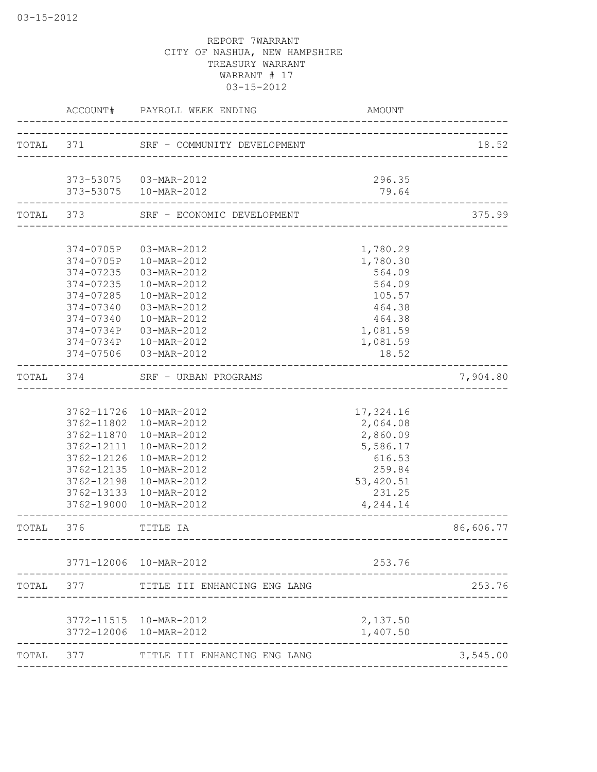|       |                                                                                                                   | ACCOUNT# PAYROLL WEEK ENDING                                                                                                                                                       | <b>AMOUNT</b>                                                                                        |           |
|-------|-------------------------------------------------------------------------------------------------------------------|------------------------------------------------------------------------------------------------------------------------------------------------------------------------------------|------------------------------------------------------------------------------------------------------|-----------|
|       |                                                                                                                   | TOTAL 371 SRF - COMMUNITY DEVELOPMENT                                                                                                                                              |                                                                                                      | 18.52     |
|       |                                                                                                                   | 373-53075  03-MAR-2012<br>373-53075  10-MAR-2012                                                                                                                                   | 296.35<br>79.64                                                                                      |           |
|       |                                                                                                                   | TOTAL 373 SRF - ECONOMIC DEVELOPMENT                                                                                                                                               | _____________________                                                                                | 375.99    |
|       | 374-0705P<br>374-0705P<br>374-07235<br>374-07235<br>374-07285<br>374-07340<br>374-07340<br>374-0734P<br>374-0734P | 03-MAR-2012<br>10-MAR-2012<br>03-MAR-2012<br>10-MAR-2012<br>10-MAR-2012<br>03-MAR-2012<br>10-MAR-2012<br>03-MAR-2012<br>10-MAR-2012                                                | 1,780.29<br>1,780.30<br>564.09<br>564.09<br>105.57<br>464.38<br>464.38<br>1,081.59<br>1,081.59       |           |
|       | 374-07506<br>TOTAL 374                                                                                            | 03-MAR-2012<br>SRF - URBAN PROGRAMS                                                                                                                                                | 18.52                                                                                                | 7,904.80  |
|       | 3762-11802<br>3762-11870<br>3762-12111<br>3762-12126<br>3762-12135<br>3762-12198<br>3762-13133<br>3762-19000      | 3762-11726 10-MAR-2012<br>10-MAR-2012<br>10-MAR-2012<br>10-MAR-2012<br>10-MAR-2012<br>10-MAR-2012<br>10-MAR-2012<br>10-MAR-2012<br>10-MAR-2012<br>-------------------------------- | 17,324.16<br>2,064.08<br>2,860.09<br>5,586.17<br>616.53<br>259.84<br>53,420.51<br>231.25<br>4,244.14 |           |
| TOTAL | 376<br>---------------------                                                                                      | TITLE IA                                                                                                                                                                           |                                                                                                      | 86,606.77 |
|       |                                                                                                                   | 3771-12006 10-MAR-2012                                                                                                                                                             | 253.76                                                                                               |           |
| TOTAL | 377                                                                                                               | TITLE III ENHANCING ENG LANG                                                                                                                                                       |                                                                                                      | 253.76    |
|       |                                                                                                                   | 3772-11515  10-MAR-2012<br>3772-12006 10-MAR-2012                                                                                                                                  | 2,137.50<br>1,407.50                                                                                 |           |
| TOTAL | 377                                                                                                               | TITLE III ENHANCING ENG LANG                                                                                                                                                       |                                                                                                      | 3,545.00  |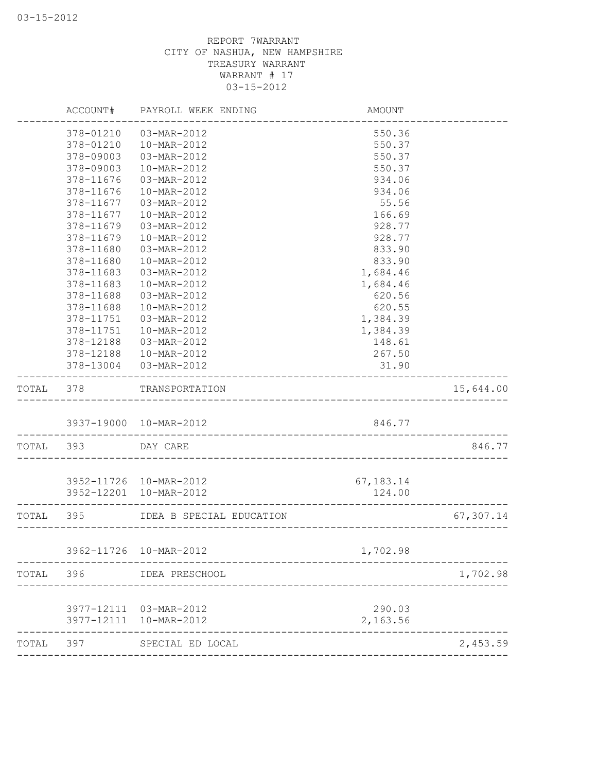|       | ACCOUNT#   | PAYROLL WEEK ENDING                 | AMOUNT      |           |
|-------|------------|-------------------------------------|-------------|-----------|
|       | 378-01210  | 03-MAR-2012                         | 550.36      |           |
|       | 378-01210  | 10-MAR-2012                         | 550.37      |           |
|       | 378-09003  | 03-MAR-2012                         | 550.37      |           |
|       | 378-09003  | 10-MAR-2012                         | 550.37      |           |
|       | 378-11676  | 03-MAR-2012                         | 934.06      |           |
|       | 378-11676  | 10-MAR-2012                         | 934.06      |           |
|       | 378-11677  | 03-MAR-2012                         | 55.56       |           |
|       | 378-11677  | 10-MAR-2012                         | 166.69      |           |
|       | 378-11679  | 03-MAR-2012                         | 928.77      |           |
|       | 378-11679  | 10-MAR-2012                         | 928.77      |           |
|       | 378-11680  | 03-MAR-2012                         | 833.90      |           |
|       | 378-11680  | 10-MAR-2012                         | 833.90      |           |
|       | 378-11683  | 03-MAR-2012                         | 1,684.46    |           |
|       | 378-11683  | 10-MAR-2012                         | 1,684.46    |           |
|       | 378-11688  | 03-MAR-2012                         | 620.56      |           |
|       | 378-11688  | 10-MAR-2012                         | 620.55      |           |
|       | 378-11751  | 03-MAR-2012                         | 1,384.39    |           |
|       |            |                                     |             |           |
|       | 378-11751  | 10-MAR-2012                         | 1,384.39    |           |
|       | 378-12188  | 03-MAR-2012                         | 148.61      |           |
|       | 378-12188  | 10-MAR-2012                         | 267.50      |           |
|       |            | 378-13004  03-MAR-2012              | 31.90       |           |
| TOTAL | 378        | TRANSPORTATION                      |             | 15,644.00 |
|       |            | 3937-19000 10-MAR-2012              | 846.77      |           |
| TOTAL | 393        | _______________________<br>DAY CARE |             | 846.77    |
|       |            |                                     |             |           |
|       |            | 3952-11726 10-MAR-2012              | 67, 183. 14 |           |
|       |            | 3952-12201 10-MAR-2012              | 124.00      |           |
| TOTAL | 395        | IDEA B SPECIAL EDUCATION            |             | 67,307.14 |
|       |            |                                     |             |           |
|       | 3962-11726 | 10-MAR-2012                         | 1,702.98    |           |
| TOTAL | 396        | IDEA PRESCHOOL                      |             | 1,702.98  |
|       |            |                                     |             |           |
|       | 3977-12111 | 03-MAR-2012                         | 290.03      |           |
|       | 3977-12111 | 10-MAR-2012                         | 2,163.56    |           |
| TOTAL | 397        | SPECIAL ED LOCAL                    |             | 2,453.59  |
|       |            |                                     |             |           |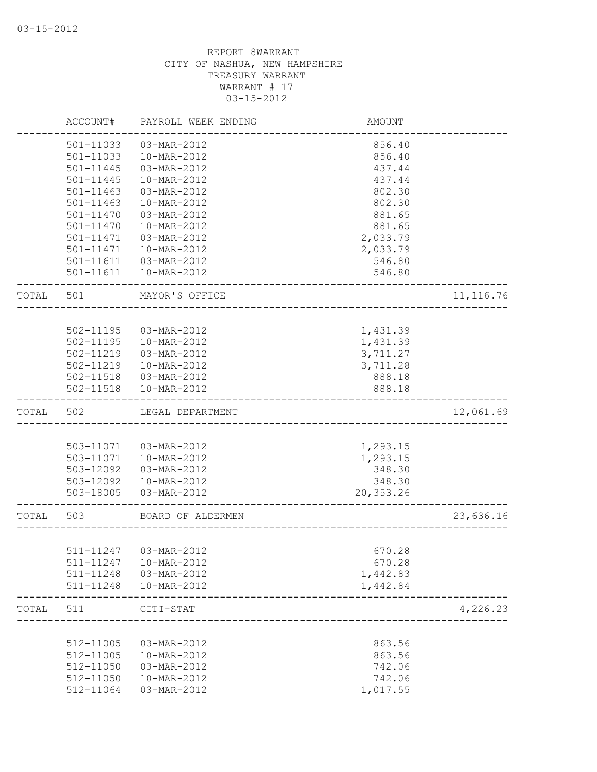|       | ACCOUNT#      | PAYROLL WEEK ENDING      | AMOUNT      |            |
|-------|---------------|--------------------------|-------------|------------|
|       | 501-11033     | 03-MAR-2012              | 856.40      |            |
|       | 501-11033     | 10-MAR-2012              | 856.40      |            |
|       | $501 - 11445$ | 03-MAR-2012              | 437.44      |            |
|       | 501-11445     | 10-MAR-2012              | 437.44      |            |
|       | 501-11463     | 03-MAR-2012              | 802.30      |            |
|       | 501-11463     | 10-MAR-2012              | 802.30      |            |
|       | 501-11470     | 03-MAR-2012              | 881.65      |            |
|       | 501-11470     | 10-MAR-2012              | 881.65      |            |
|       | 501-11471     | 03-MAR-2012              | 2,033.79    |            |
|       | 501-11471     | 10-MAR-2012              | 2,033.79    |            |
|       |               | 501-11611  03-MAR-2012   | 546.80      |            |
|       |               | 501-11611  10-MAR-2012   | 546.80      |            |
| TOTAL | 501           | MAYOR'S OFFICE           |             | 11, 116.76 |
|       |               |                          |             |            |
|       | 502-11195     | 03-MAR-2012              | 1,431.39    |            |
|       |               | 502-11195  10-MAR-2012   | 1,431.39    |            |
|       | 502-11219     | $03 - \text{MAR} - 2012$ | 3,711.27    |            |
|       |               | 502-11219  10-MAR-2012   | 3,711.28    |            |
|       |               | 502-11518  03-MAR-2012   | 888.18      |            |
|       |               | 502-11518  10-MAR-2012   | 888.18      |            |
| TOTAL | 502           | LEGAL DEPARTMENT         |             | 12,061.69  |
|       |               |                          |             |            |
|       |               | 503-11071  03-MAR-2012   | 1,293.15    |            |
|       |               | 503-11071  10-MAR-2012   | 1,293.15    |            |
|       | 503-12092     | 03-MAR-2012              | 348.30      |            |
|       | 503-12092     | 10-MAR-2012              | 348.30      |            |
|       | 503-18005     | 03-MAR-2012              | 20, 353. 26 |            |
| TOTAL | 503           | BOARD OF ALDERMEN        |             | 23,636.16  |
|       |               |                          |             |            |
|       | 511-11247     | 03-MAR-2012              | 670.28      |            |
|       | 511-11247     | 10-MAR-2012              | 670.28      |            |
|       | 511-11248     | 03-MAR-2012              | 1,442.83    |            |
|       | 511-11248     | 10-MAR-2012              | 1,442.84    |            |
| TOTAL | 511           | CITI-STAT                |             | 4,226.23   |
|       |               |                          |             |            |
|       | 512-11005     | 03-MAR-2012              | 863.56      |            |
|       | 512-11005     | 10-MAR-2012              | 863.56      |            |
|       | 512-11050     | 03-MAR-2012              | 742.06      |            |
|       | 512-11050     | 10-MAR-2012              | 742.06      |            |
|       | 512-11064     | 03-MAR-2012              | 1,017.55    |            |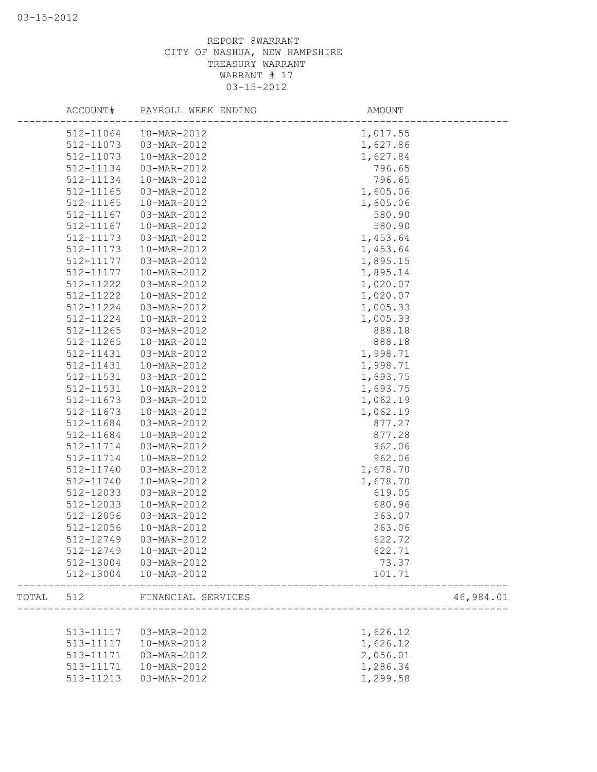|       | ACCOUNT#  | PAYROLL WEEK ENDING | AMOUNT           |           |
|-------|-----------|---------------------|------------------|-----------|
|       | 512-11064 | 10-MAR-2012         | 1,017.55         |           |
|       | 512-11073 | 03-MAR-2012         | 1,627.86         |           |
|       | 512-11073 | 10-MAR-2012         | 1,627.84         |           |
|       | 512-11134 | 03-MAR-2012         | 796.65           |           |
|       | 512-11134 | 10-MAR-2012         | 796.65           |           |
|       | 512-11165 | 03-MAR-2012         | 1,605.06         |           |
|       | 512-11165 | 10-MAR-2012         | 1,605.06         |           |
|       | 512-11167 | 03-MAR-2012         | 580.90           |           |
|       | 512-11167 | 10-MAR-2012         | 580.90           |           |
|       | 512-11173 | 03-MAR-2012         | 1,453.64         |           |
|       | 512-11173 | 10-MAR-2012         | 1,453.64         |           |
|       | 512-11177 | 03-MAR-2012         | 1,895.15         |           |
|       | 512-11177 | 10-MAR-2012         | 1,895.14         |           |
|       | 512-11222 | 03-MAR-2012         | 1,020.07         |           |
|       | 512-11222 | 10-MAR-2012         | 1,020.07         |           |
|       | 512-11224 | 03-MAR-2012         | 1,005.33         |           |
|       | 512-11224 | 10-MAR-2012         | 1,005.33         |           |
|       | 512-11265 | 03-MAR-2012         | 888.18           |           |
|       | 512-11265 | 10-MAR-2012         | 888.18           |           |
|       | 512-11431 | 03-MAR-2012         | 1,998.71         |           |
|       | 512-11431 | 10-MAR-2012         | 1,998.71         |           |
|       | 512-11531 | 03-MAR-2012         | 1,693.75         |           |
|       | 512-11531 | 10-MAR-2012         | 1,693.75         |           |
|       | 512-11673 | 03-MAR-2012         | 1,062.19         |           |
|       | 512-11673 | 10-MAR-2012         | 1,062.19         |           |
|       | 512-11684 | 03-MAR-2012         | 877.27           |           |
|       | 512-11684 | 10-MAR-2012         | 877.28           |           |
|       | 512-11714 | 03-MAR-2012         | 962.06           |           |
|       | 512-11714 | 10-MAR-2012         | 962.06           |           |
|       | 512-11740 | 03-MAR-2012         | 1,678.70         |           |
|       | 512-11740 | 10-MAR-2012         | 1,678.70         |           |
|       | 512-12033 | 03-MAR-2012         | 619.05           |           |
|       | 512-12033 | 10-MAR-2012         | 680.96           |           |
|       | 512-12056 | 03-MAR-2012         | 363.07           |           |
|       | 512-12056 | 10-MAR-2012         | 363.06           |           |
|       | 512-12749 | 03-MAR-2012         | 622.72           |           |
|       | 512-12749 | 10-MAR-2012         | 622.71           |           |
|       | 512-13004 | 03-MAR-2012         | 73.37            |           |
|       | 512-13004 | 10-MAR-2012         | 101.71           |           |
| TOTAL | 512       | FINANCIAL SERVICES  |                  | 46,984.01 |
|       |           |                     | ________________ |           |
|       | 513-11117 | 03-MAR-2012         | 1,626.12         |           |
|       | 513-11117 | 10-MAR-2012         | 1,626.12         |           |
|       | 513-11171 | 03-MAR-2012         | 2,056.01         |           |
|       | 513-11171 | 10-MAR-2012         | 1,286.34         |           |
|       | 513-11213 | 03-MAR-2012         | 1,299.58         |           |
|       |           |                     |                  |           |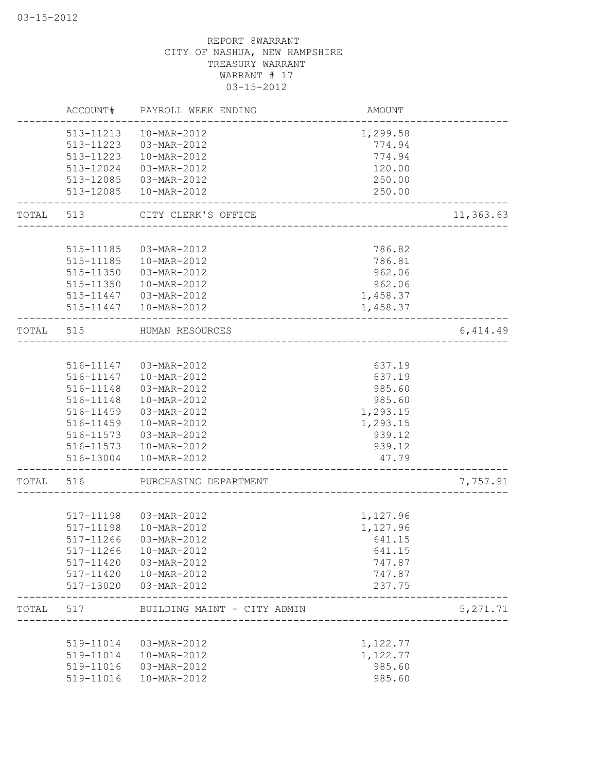|           | ACCOUNT#  | PAYROLL WEEK ENDING         | AMOUNT   |           |
|-----------|-----------|-----------------------------|----------|-----------|
|           | 513-11213 | 10-MAR-2012                 | 1,299.58 |           |
|           | 513-11223 | 03-MAR-2012                 | 774.94   |           |
|           | 513-11223 | 10-MAR-2012                 | 774.94   |           |
|           | 513-12024 | 03-MAR-2012                 | 120.00   |           |
|           | 513-12085 | 03-MAR-2012                 | 250.00   |           |
|           | 513-12085 | 10-MAR-2012                 | 250.00   |           |
| TOTAL 513 |           | CITY CLERK'S OFFICE         |          | 11,363.63 |
|           |           |                             |          |           |
|           | 515-11185 | 03-MAR-2012                 | 786.82   |           |
|           | 515-11185 | 10-MAR-2012                 | 786.81   |           |
|           | 515-11350 | 03-MAR-2012                 | 962.06   |           |
|           | 515-11350 | 10-MAR-2012                 | 962.06   |           |
|           | 515-11447 | 03-MAR-2012                 | 1,458.37 |           |
|           | 515-11447 | 10-MAR-2012                 | 1,458.37 |           |
|           |           | TOTAL 515 HUMAN RESOURCES   |          | 6,414.49  |
|           |           |                             |          |           |
|           |           | 516-11147  03-MAR-2012      | 637.19   |           |
|           |           | 516-11147   10-MAR-2012     | 637.19   |           |
|           | 516-11148 | $03-MAR - 2012$             | 985.60   |           |
|           | 516-11148 | 10-MAR-2012                 | 985.60   |           |
|           | 516-11459 | 03-MAR-2012                 | 1,293.15 |           |
|           | 516-11459 | 10-MAR-2012                 | 1,293.15 |           |
|           | 516-11573 | 03-MAR-2012                 | 939.12   |           |
|           |           | 516-11573   10-MAR-2012     | 939.12   |           |
|           | 516-13004 | 10-MAR-2012                 | 47.79    |           |
| TOTAL     | 516       | PURCHASING DEPARTMENT       |          | 7,757.91  |
|           |           |                             |          |           |
|           |           | 517-11198  03-MAR-2012      | 1,127.96 |           |
|           | 517-11198 | 10-MAR-2012                 | 1,127.96 |           |
|           | 517-11266 | 03-MAR-2012                 | 641.15   |           |
|           | 517-11266 | 10-MAR-2012                 | 641.15   |           |
|           | 517-11420 | 03-MAR-2012                 | 747.87   |           |
|           | 517-11420 | 10-MAR-2012                 | 747.87   |           |
|           | 517-13020 | 03-MAR-2012                 | 237.75   |           |
| TOTAL     | 517       | BUILDING MAINT - CITY ADMIN |          | 5, 271.71 |
|           |           |                             |          |           |
|           | 519-11014 | 03-MAR-2012                 | 1,122.77 |           |
|           | 519-11014 | 10-MAR-2012                 | 1,122.77 |           |
|           | 519-11016 | 03-MAR-2012                 | 985.60   |           |
|           | 519-11016 | 10-MAR-2012                 | 985.60   |           |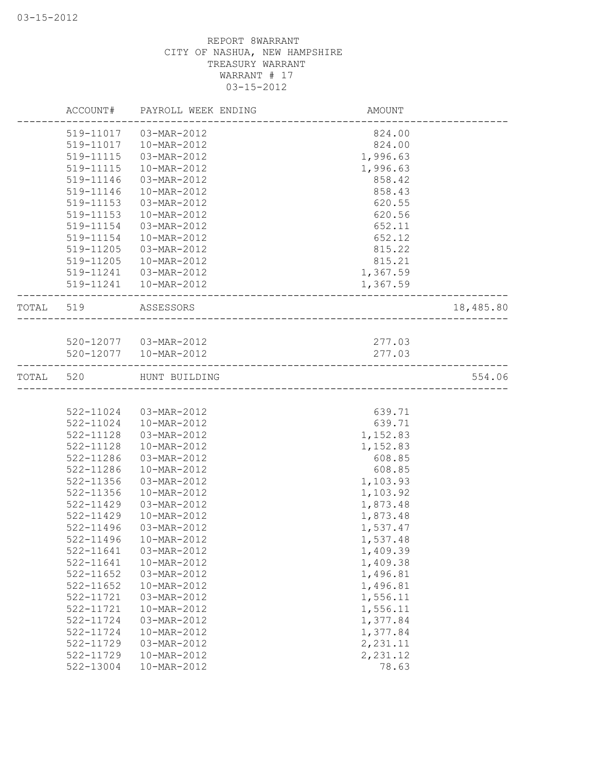|           |           | ACCOUNT# PAYROLL WEEK ENDING | AMOUNT   |           |
|-----------|-----------|------------------------------|----------|-----------|
|           | 519-11017 | 03-MAR-2012                  | 824.00   |           |
|           | 519-11017 | 10-MAR-2012                  | 824.00   |           |
|           | 519-11115 | 03-MAR-2012                  | 1,996.63 |           |
|           | 519-11115 | 10-MAR-2012                  | 1,996.63 |           |
|           | 519-11146 | 03-MAR-2012                  | 858.42   |           |
|           | 519-11146 | 10-MAR-2012                  | 858.43   |           |
|           | 519-11153 | 03-MAR-2012                  | 620.55   |           |
|           | 519-11153 | 10-MAR-2012                  | 620.56   |           |
|           | 519-11154 | $03 - \text{MAR} - 2012$     | 652.11   |           |
|           | 519-11154 | 10-MAR-2012                  | 652.12   |           |
|           | 519-11205 | 03-MAR-2012                  | 815.22   |           |
|           | 519-11205 | 10-MAR-2012                  | 815.21   |           |
|           | 519-11241 | 03-MAR-2012                  | 1,367.59 |           |
|           | 519-11241 | 10-MAR-2012                  | 1,367.59 |           |
|           | TOTAL 519 | ASSESSORS                    |          | 18,485.80 |
|           |           |                              |          |           |
|           |           | 520-12077  03-MAR-2012       | 277.03   |           |
|           |           | 520-12077  10-MAR-2012       | 277.03   |           |
| TOTAL 520 |           | HUNT BUILDING                |          | 554.06    |
|           |           |                              |          |           |
|           | 522-11024 | 03-MAR-2012                  | 639.71   |           |
|           | 522-11024 | 10-MAR-2012                  | 639.71   |           |
|           | 522-11128 | 03-MAR-2012                  | 1,152.83 |           |
|           | 522-11128 | 10-MAR-2012                  | 1,152.83 |           |
|           | 522-11286 | 03-MAR-2012                  | 608.85   |           |
|           | 522-11286 | 10-MAR-2012                  | 608.85   |           |
|           | 522-11356 | 03-MAR-2012                  | 1,103.93 |           |
|           | 522-11356 | 10-MAR-2012                  | 1,103.92 |           |
|           | 522-11429 | 03-MAR-2012                  | 1,873.48 |           |
|           | 522-11429 | 10-MAR-2012                  | 1,873.48 |           |
|           | 522-11496 | 03-MAR-2012                  | 1,537.47 |           |
|           | 522-11496 | 10-MAR-2012                  | 1,537.48 |           |
|           | 522-11641 | 03-MAR-2012                  | 1,409.39 |           |
|           | 522-11641 | 10-MAR-2012                  | 1,409.38 |           |
|           | 522-11652 | 03-MAR-2012                  | 1,496.81 |           |
|           | 522-11652 | 10-MAR-2012                  | 1,496.81 |           |
|           | 522-11721 | 03-MAR-2012                  | 1,556.11 |           |
|           | 522-11721 | 10-MAR-2012                  | 1,556.11 |           |
|           | 522-11724 | 03-MAR-2012                  | 1,377.84 |           |
|           | 522-11724 | 10-MAR-2012                  | 1,377.84 |           |
|           | 522-11729 | 03-MAR-2012                  | 2,231.11 |           |
|           | 522-11729 | 10-MAR-2012                  | 2,231.12 |           |
|           | 522-13004 | 10-MAR-2012                  | 78.63    |           |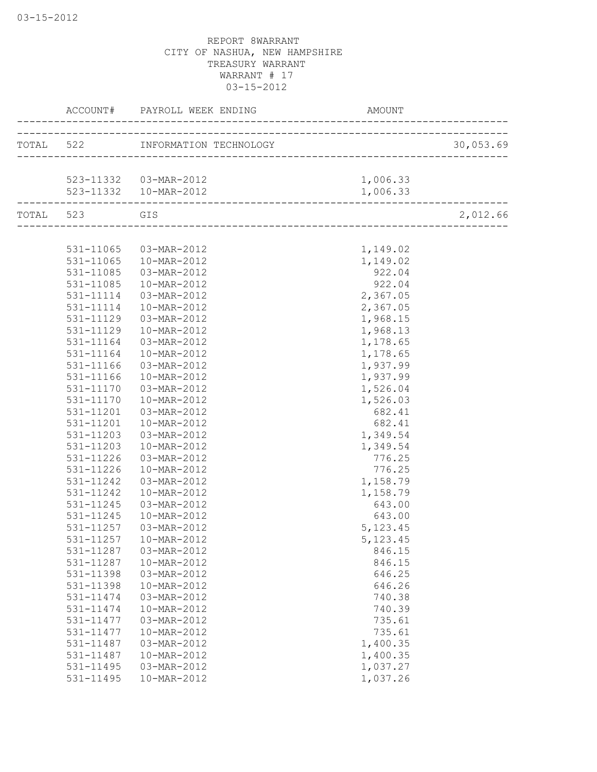|           | ACCOUNT#  | PAYROLL WEEK ENDING              | AMOUNT    |           |
|-----------|-----------|----------------------------------|-----------|-----------|
|           |           | TOTAL 522 INFORMATION TECHNOLOGY |           | 30,053.69 |
|           |           |                                  |           |           |
|           |           | 523-11332  03-MAR-2012           | 1,006.33  |           |
|           |           | 523-11332  10-MAR-2012           | 1,006.33  |           |
| TOTAL 523 |           | GIS                              |           | 2,012.66  |
|           |           |                                  |           |           |
|           | 531-11065 | 03-MAR-2012                      | 1,149.02  |           |
|           | 531-11065 | 10-MAR-2012                      | 1,149.02  |           |
|           | 531-11085 | 03-MAR-2012                      | 922.04    |           |
|           | 531-11085 | 10-MAR-2012                      | 922.04    |           |
|           | 531-11114 | 03-MAR-2012                      | 2,367.05  |           |
|           | 531-11114 | 10-MAR-2012                      | 2,367.05  |           |
|           | 531-11129 | 03-MAR-2012                      | 1,968.15  |           |
|           | 531-11129 | 10-MAR-2012                      | 1,968.13  |           |
|           | 531-11164 | 03-MAR-2012                      | 1,178.65  |           |
|           | 531-11164 | $10-MAR - 2012$                  | 1,178.65  |           |
|           | 531-11166 | 03-MAR-2012                      | 1,937.99  |           |
|           | 531-11166 | 10-MAR-2012                      | 1,937.99  |           |
|           | 531-11170 | 03-MAR-2012                      | 1,526.04  |           |
|           | 531-11170 | 10-MAR-2012                      | 1,526.03  |           |
|           | 531-11201 | 03-MAR-2012                      | 682.41    |           |
|           | 531-11201 | 10-MAR-2012                      | 682.41    |           |
|           | 531-11203 | 03-MAR-2012                      | 1,349.54  |           |
|           | 531-11203 | 10-MAR-2012                      | 1,349.54  |           |
|           | 531-11226 | 03-MAR-2012                      | 776.25    |           |
|           | 531-11226 | 10-MAR-2012                      | 776.25    |           |
|           | 531-11242 | 03-MAR-2012                      | 1,158.79  |           |
|           | 531-11242 | 10-MAR-2012                      | 1,158.79  |           |
|           | 531-11245 | 03-MAR-2012                      | 643.00    |           |
|           | 531-11245 | 10-MAR-2012                      | 643.00    |           |
|           | 531-11257 | 03-MAR-2012                      | 5, 123.45 |           |
|           | 531-11257 | 10-MAR-2012                      | 5, 123.45 |           |
|           | 531-11287 | 03-MAR-2012                      | 846.15    |           |
|           | 531-11287 | 10-MAR-2012                      | 846.15    |           |
|           | 531-11398 | 03-MAR-2012                      | 646.25    |           |
|           | 531-11398 | 10-MAR-2012                      | 646.26    |           |
|           | 531-11474 | 03-MAR-2012                      | 740.38    |           |
|           | 531-11474 | 10-MAR-2012                      | 740.39    |           |
|           | 531-11477 | 03-MAR-2012                      | 735.61    |           |
|           | 531-11477 | 10-MAR-2012                      | 735.61    |           |
|           | 531-11487 | 03-MAR-2012                      | 1,400.35  |           |
|           | 531-11487 | 10-MAR-2012                      | 1,400.35  |           |
|           | 531-11495 | 03-MAR-2012                      | 1,037.27  |           |
|           | 531-11495 | 10-MAR-2012                      | 1,037.26  |           |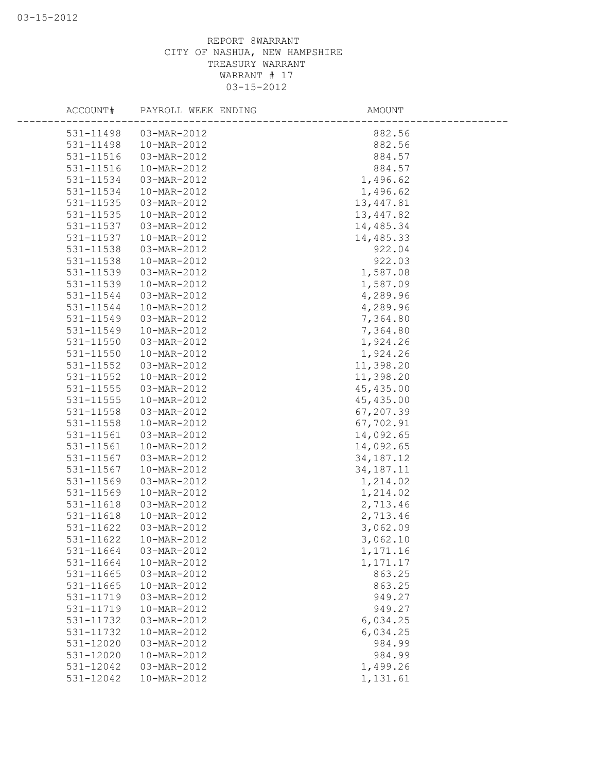| ACCOUNT#  | PAYROLL WEEK ENDING | AMOUNT      |
|-----------|---------------------|-------------|
| 531-11498 | 03-MAR-2012         | 882.56      |
| 531-11498 | 10-MAR-2012         | 882.56      |
| 531-11516 | 03-MAR-2012         | 884.57      |
| 531-11516 | 10-MAR-2012         | 884.57      |
| 531-11534 | 03-MAR-2012         | 1,496.62    |
| 531-11534 | 10-MAR-2012         | 1,496.62    |
| 531-11535 | 03-MAR-2012         | 13, 447.81  |
| 531-11535 | 10-MAR-2012         | 13, 447.82  |
| 531-11537 | 03-MAR-2012         | 14,485.34   |
| 531-11537 | 10-MAR-2012         | 14,485.33   |
| 531-11538 | 03-MAR-2012         | 922.04      |
| 531-11538 | 10-MAR-2012         | 922.03      |
| 531-11539 | 03-MAR-2012         | 1,587.08    |
| 531-11539 | 10-MAR-2012         | 1,587.09    |
| 531-11544 | 03-MAR-2012         | 4,289.96    |
| 531-11544 | 10-MAR-2012         | 4,289.96    |
| 531-11549 | 03-MAR-2012         | 7,364.80    |
| 531-11549 | 10-MAR-2012         | 7,364.80    |
| 531-11550 | 03-MAR-2012         | 1,924.26    |
| 531-11550 | 10-MAR-2012         | 1,924.26    |
| 531-11552 | 03-MAR-2012         | 11,398.20   |
| 531-11552 | 10-MAR-2012         | 11,398.20   |
| 531-11555 | 03-MAR-2012         | 45, 435.00  |
| 531-11555 | 10-MAR-2012         | 45, 435.00  |
| 531-11558 | 03-MAR-2012         | 67,207.39   |
| 531-11558 | 10-MAR-2012         | 67,702.91   |
| 531-11561 | 03-MAR-2012         | 14,092.65   |
| 531-11561 | 10-MAR-2012         | 14,092.65   |
| 531-11567 | 03-MAR-2012         | 34, 187. 12 |
| 531-11567 | 10-MAR-2012         | 34, 187. 11 |
| 531-11569 | 03-MAR-2012         | 1,214.02    |
| 531-11569 | 10-MAR-2012         | 1,214.02    |
| 531-11618 | 03-MAR-2012         | 2,713.46    |
| 531-11618 | 10-MAR-2012         | 2,713.46    |
| 531-11622 | 03-MAR-2012         | 3,062.09    |
| 531-11622 | 10-MAR-2012         | 3,062.10    |
| 531-11664 | 03-MAR-2012         | 1,171.16    |
| 531-11664 | 10-MAR-2012         | 1, 171.17   |
| 531-11665 | 03-MAR-2012         | 863.25      |
| 531-11665 | 10-MAR-2012         | 863.25      |
| 531-11719 | 03-MAR-2012         | 949.27      |
| 531-11719 | 10-MAR-2012         | 949.27      |
| 531-11732 | 03-MAR-2012         | 6,034.25    |
| 531-11732 | 10-MAR-2012         | 6,034.25    |
| 531-12020 | 03-MAR-2012         | 984.99      |
| 531-12020 | 10-MAR-2012         | 984.99      |
| 531-12042 | 03-MAR-2012         | 1,499.26    |
| 531-12042 | 10-MAR-2012         | 1,131.61    |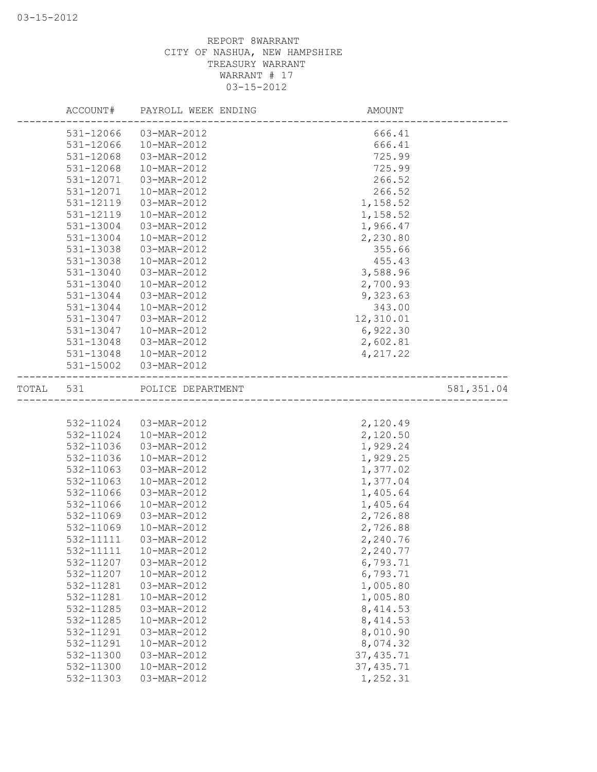|           | ACCOUNT#  | PAYROLL WEEK ENDING    | AMOUNT     |            |
|-----------|-----------|------------------------|------------|------------|
|           | 531-12066 | 03-MAR-2012            | 666.41     |            |
|           | 531-12066 | 10-MAR-2012            | 666.41     |            |
|           | 531-12068 | 03-MAR-2012            | 725.99     |            |
|           | 531-12068 | 10-MAR-2012            | 725.99     |            |
|           | 531-12071 | 03-MAR-2012            | 266.52     |            |
|           | 531-12071 | 10-MAR-2012            | 266.52     |            |
|           | 531-12119 | 03-MAR-2012            | 1,158.52   |            |
|           | 531-12119 | 10-MAR-2012            | 1,158.52   |            |
|           | 531-13004 | 03-MAR-2012            | 1,966.47   |            |
|           | 531-13004 | 10-MAR-2012            | 2,230.80   |            |
|           | 531-13038 | 03-MAR-2012            | 355.66     |            |
|           | 531-13038 | 10-MAR-2012            | 455.43     |            |
|           | 531-13040 | 03-MAR-2012            | 3,588.96   |            |
|           | 531-13040 | 10-MAR-2012            | 2,700.93   |            |
|           | 531-13044 | 03-MAR-2012            | 9,323.63   |            |
|           | 531-13044 | 10-MAR-2012            | 343.00     |            |
|           | 531-13047 | 03-MAR-2012            | 12,310.01  |            |
|           | 531-13047 | 10-MAR-2012            | 6,922.30   |            |
|           | 531-13048 | 03-MAR-2012            | 2,602.81   |            |
|           |           | 531-13048  10-MAR-2012 | 4,217.22   |            |
|           | 531-15002 | 03-MAR-2012            |            |            |
| TOTAL 531 |           | POLICE DEPARTMENT      |            | 581,351.04 |
|           |           |                        |            |            |
|           | 532-11024 | 03-MAR-2012            | 2,120.49   |            |
|           | 532-11024 | 10-MAR-2012            | 2,120.50   |            |
|           | 532-11036 | 03-MAR-2012            | 1,929.24   |            |
|           | 532-11036 | 10-MAR-2012            | 1,929.25   |            |
|           | 532-11063 | 03-MAR-2012            | 1,377.02   |            |
|           | 532-11063 | 10-MAR-2012            | 1,377.04   |            |
|           | 532-11066 | 03-MAR-2012            | 1,405.64   |            |
|           | 532-11066 | 10-MAR-2012            | 1,405.64   |            |
|           | 532-11069 | 03-MAR-2012            | 2,726.88   |            |
|           | 532-11069 | 10-MAR-2012            | 2,726.88   |            |
|           | 532-11111 | 03-MAR-2012            | 2,240.76   |            |
|           | 532-11111 | 10-MAR-2012            | 2,240.77   |            |
|           | 532-11207 | 03-MAR-2012            | 6,793.71   |            |
|           | 532-11207 | 10-MAR-2012            | 6,793.71   |            |
|           | 532-11281 | 03-MAR-2012            | 1,005.80   |            |
|           | 532-11281 | 10-MAR-2012            | 1,005.80   |            |
|           | 532-11285 | 03-MAR-2012            | 8, 414.53  |            |
|           | 532-11285 | 10-MAR-2012            | 8, 414.53  |            |
|           | 532-11291 | 03-MAR-2012            | 8,010.90   |            |
|           | 532-11291 | 10-MAR-2012            | 8,074.32   |            |
|           | 532-11300 | 03-MAR-2012            | 37, 435.71 |            |
|           | 532-11300 | 10-MAR-2012            | 37, 435.71 |            |
|           | 532-11303 | 03-MAR-2012            | 1,252.31   |            |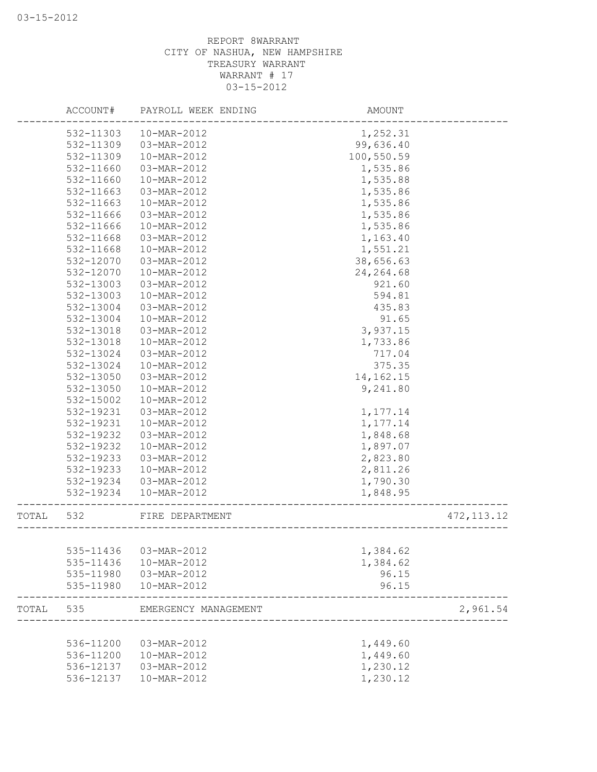|       | ACCOUNT#  | PAYROLL WEEK ENDING        | AMOUNT      |             |
|-------|-----------|----------------------------|-------------|-------------|
|       | 532-11303 | 10-MAR-2012                | 1,252.31    |             |
|       | 532-11309 | 03-MAR-2012                | 99,636.40   |             |
|       | 532-11309 | 10-MAR-2012                | 100,550.59  |             |
|       | 532-11660 | 03-MAR-2012                | 1,535.86    |             |
|       | 532-11660 | 10-MAR-2012                | 1,535.88    |             |
|       | 532-11663 | 03-MAR-2012                | 1,535.86    |             |
|       | 532-11663 | 10-MAR-2012                | 1,535.86    |             |
|       | 532-11666 | 03-MAR-2012                | 1,535.86    |             |
|       | 532-11666 | 10-MAR-2012                | 1,535.86    |             |
|       | 532-11668 | 03-MAR-2012                | 1,163.40    |             |
|       | 532-11668 | 10-MAR-2012                | 1,551.21    |             |
|       | 532-12070 | 03-MAR-2012                | 38,656.63   |             |
|       | 532-12070 | 10-MAR-2012                | 24, 264.68  |             |
|       | 532-13003 | 03-MAR-2012                | 921.60      |             |
|       | 532-13003 | 10-MAR-2012                | 594.81      |             |
|       | 532-13004 | 03-MAR-2012                | 435.83      |             |
|       | 532-13004 | 10-MAR-2012                | 91.65       |             |
|       | 532-13018 | 03-MAR-2012                | 3,937.15    |             |
|       | 532-13018 | 10-MAR-2012                | 1,733.86    |             |
|       | 532-13024 | 03-MAR-2012                | 717.04      |             |
|       | 532-13024 | 10-MAR-2012                | 375.35      |             |
|       | 532-13050 | 03-MAR-2012                | 14, 162. 15 |             |
|       | 532-13050 | 10-MAR-2012                | 9,241.80    |             |
|       | 532-15002 | 10-MAR-2012                |             |             |
|       | 532-19231 |                            |             |             |
|       | 532-19231 | 03-MAR-2012<br>10-MAR-2012 | 1, 177.14   |             |
|       | 532-19232 |                            | 1, 177.14   |             |
|       | 532-19232 | 03-MAR-2012                | 1,848.68    |             |
|       |           | 10-MAR-2012                | 1,897.07    |             |
|       | 532-19233 | 03-MAR-2012                | 2,823.80    |             |
|       | 532-19233 | 10-MAR-2012                | 2,811.26    |             |
|       | 532-19234 | 03-MAR-2012                | 1,790.30    |             |
|       | 532-19234 | 10-MAR-2012                | 1,848.95    |             |
| TOTAL | 532       | FIRE DEPARTMENT            |             | 472, 113.12 |
|       |           |                            |             |             |
|       | 535-11436 | 03-MAR-2012                | 1,384.62    |             |
|       | 535-11436 | 10-MAR-2012                | 1,384.62    |             |
|       | 535-11980 | 03-MAR-2012                | 96.15       |             |
|       | 535-11980 | 10-MAR-2012                | 96.15       |             |
| TOTAL | 535       | EMERGENCY MANAGEMENT       |             | 2,961.54    |
|       |           |                            |             |             |
|       | 536-11200 | 03-MAR-2012                | 1,449.60    |             |
|       | 536-11200 | 10-MAR-2012                | 1,449.60    |             |
|       | 536-12137 | 03-MAR-2012                | 1,230.12    |             |
|       | 536-12137 | 10-MAR-2012                | 1,230.12    |             |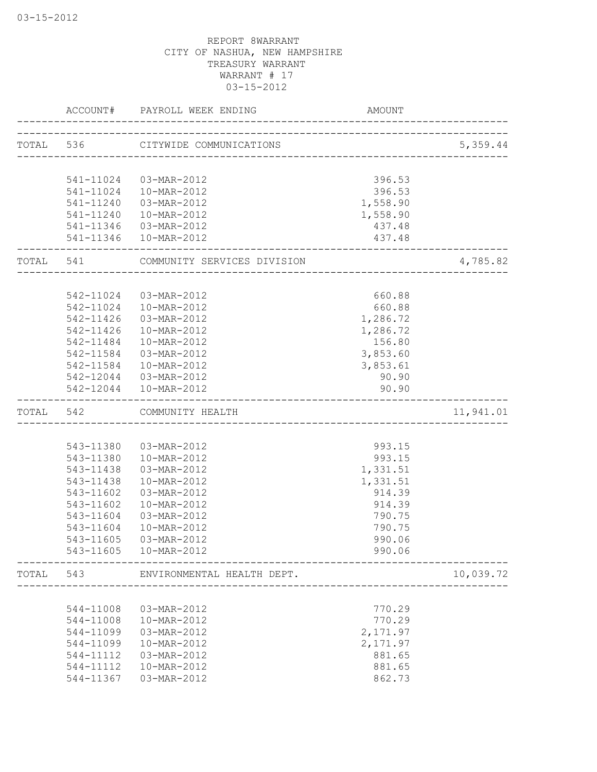|       | ACCOUNT#               | PAYROLL WEEK ENDING               | <b>AMOUNT</b>      |           |
|-------|------------------------|-----------------------------------|--------------------|-----------|
|       |                        | TOTAL 536 CITYWIDE COMMUNICATIONS |                    | 5,359.44  |
|       |                        |                                   |                    |           |
|       | 541-11024              | 03-MAR-2012                       | 396.53             |           |
|       | 541-11024<br>541-11240 | 10-MAR-2012<br>03-MAR-2012        | 396.53             |           |
|       | 541-11240              | 10-MAR-2012                       | 1,558.90           |           |
|       | 541-11346              | 03-MAR-2012                       | 1,558.90<br>437.48 |           |
|       | 541-11346              | 10-MAR-2012                       | 437.48             |           |
| TOTAL | 541                    | COMMUNITY SERVICES DIVISION       |                    | 4,785.82  |
|       |                        |                                   |                    |           |
|       |                        | 542-11024 03-MAR-2012             | 660.88             |           |
|       | 542-11024              | 10-MAR-2012                       | 660.88             |           |
|       | 542-11426              | 03-MAR-2012                       | 1,286.72           |           |
|       | 542-11426              | 10-MAR-2012                       | 1,286.72           |           |
|       | 542-11484              | 10-MAR-2012                       | 156.80             |           |
|       | 542-11584              | 03-MAR-2012                       | 3,853.60           |           |
|       |                        | 542-11584  10-MAR-2012            | 3,853.61           |           |
|       |                        | 542-12044  03-MAR-2012            | 90.90              |           |
|       |                        | 542-12044  10-MAR-2012            | 90.90              |           |
| TOTAL | 542                    | COMMUNITY HEALTH                  |                    | 11,941.01 |
|       |                        |                                   |                    |           |
|       | 543-11380              | 03-MAR-2012                       | 993.15             |           |
|       | 543-11380              | 10-MAR-2012                       | 993.15             |           |
|       | 543-11438              | 03-MAR-2012                       | 1,331.51           |           |
|       | 543-11438              | 10-MAR-2012                       | 1,331.51           |           |
|       | 543-11602              | 03-MAR-2012                       | 914.39             |           |
|       | 543-11602              | 10-MAR-2012                       | 914.39             |           |
|       | 543-11604              | 03-MAR-2012                       | 790.75             |           |
|       | 543-11604              | 10-MAR-2012                       | 790.75             |           |
|       | 543-11605              | 03-MAR-2012                       | 990.06             |           |
|       | 543-11605              | 10-MAR-2012                       | 990.06             |           |
| TOTAL | 543                    | ENVIRONMENTAL HEALTH DEPT.        |                    | 10,039.72 |
|       |                        |                                   |                    |           |
|       | 544-11008              | 03-MAR-2012                       | 770.29             |           |
|       | 544-11008              | 10-MAR-2012                       | 770.29             |           |
|       | 544-11099              | 03-MAR-2012                       | 2,171.97           |           |
|       | 544-11099              | 10-MAR-2012                       | 2,171.97           |           |
|       | 544-11112              | 03-MAR-2012                       | 881.65             |           |
|       | 544-11112              | 10-MAR-2012                       | 881.65             |           |
|       | 544-11367              | 03-MAR-2012                       | 862.73             |           |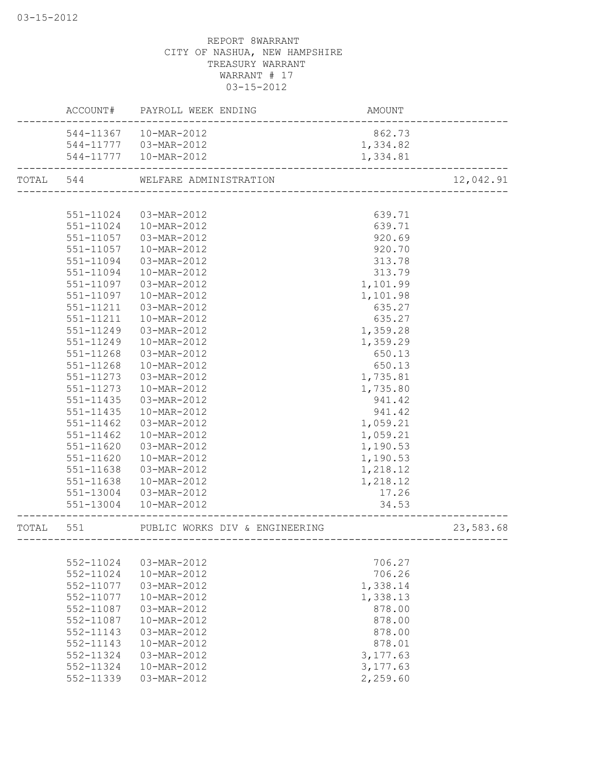| 544-11367<br>10-MAR-2012<br>862.73<br>544-11777  03-MAR-2012<br>1,334.82<br>544-11777  10-MAR-2012<br>1,334.81<br>12,042.91<br>TOTAL 544<br>WELFARE ADMINISTRATION<br>551-11024<br>03-MAR-2012<br>639.71<br>551-11024<br>10-MAR-2012<br>639.71<br>920.69<br>551-11057<br>03-MAR-2012<br>920.70<br>551-11057<br>10-MAR-2012<br>551-11094<br>03-MAR-2012<br>313.78<br>551-11094<br>10-MAR-2012<br>313.79<br>551-11097<br>1,101.99<br>03-MAR-2012<br>551-11097<br>1,101.98<br>10-MAR-2012<br>635.27<br>03-MAR-2012<br>551-11211<br>635.27<br>551-11211<br>10-MAR-2012<br>551-11249<br>03-MAR-2012<br>1,359.28<br>551-11249<br>10-MAR-2012<br>1,359.29<br>650.13<br>551-11268<br>03-MAR-2012<br>650.13<br>551-11268<br>10-MAR-2012<br>551-11273<br>03-MAR-2012<br>1,735.81<br>551-11273<br>10-MAR-2012<br>1,735.80<br>941.42<br>551-11435<br>03-MAR-2012<br>10-MAR-2012<br>941.42<br>551-11435<br>1,059.21<br>551-11462<br>03-MAR-2012<br>1,059.21<br>551-11462<br>10-MAR-2012<br>551-11620<br>1,190.53<br>03-MAR-2012<br>551-11620<br>1,190.53<br>10-MAR-2012<br>1,218.12<br>551-11638<br>03-MAR-2012<br>1,218.12<br>551-11638<br>10-MAR-2012<br>17.26<br>551-13004<br>03-MAR-2012<br>551-13004<br>34.53<br>10-MAR-2012<br>23,583.68<br>TOTAL<br>551<br>PUBLIC WORKS DIV & ENGINEERING<br>----------------<br>. _ _ _ _ _ _ _ _ _ _<br>------------<br>552-11024<br>03-MAR-2012<br>706.27 |
|----------------------------------------------------------------------------------------------------------------------------------------------------------------------------------------------------------------------------------------------------------------------------------------------------------------------------------------------------------------------------------------------------------------------------------------------------------------------------------------------------------------------------------------------------------------------------------------------------------------------------------------------------------------------------------------------------------------------------------------------------------------------------------------------------------------------------------------------------------------------------------------------------------------------------------------------------------------------------------------------------------------------------------------------------------------------------------------------------------------------------------------------------------------------------------------------------------------------------------------------------------------------------------------------------------------------------------------------------------------------------------------|
|                                                                                                                                                                                                                                                                                                                                                                                                                                                                                                                                                                                                                                                                                                                                                                                                                                                                                                                                                                                                                                                                                                                                                                                                                                                                                                                                                                                        |
|                                                                                                                                                                                                                                                                                                                                                                                                                                                                                                                                                                                                                                                                                                                                                                                                                                                                                                                                                                                                                                                                                                                                                                                                                                                                                                                                                                                        |
|                                                                                                                                                                                                                                                                                                                                                                                                                                                                                                                                                                                                                                                                                                                                                                                                                                                                                                                                                                                                                                                                                                                                                                                                                                                                                                                                                                                        |
|                                                                                                                                                                                                                                                                                                                                                                                                                                                                                                                                                                                                                                                                                                                                                                                                                                                                                                                                                                                                                                                                                                                                                                                                                                                                                                                                                                                        |
|                                                                                                                                                                                                                                                                                                                                                                                                                                                                                                                                                                                                                                                                                                                                                                                                                                                                                                                                                                                                                                                                                                                                                                                                                                                                                                                                                                                        |
|                                                                                                                                                                                                                                                                                                                                                                                                                                                                                                                                                                                                                                                                                                                                                                                                                                                                                                                                                                                                                                                                                                                                                                                                                                                                                                                                                                                        |
|                                                                                                                                                                                                                                                                                                                                                                                                                                                                                                                                                                                                                                                                                                                                                                                                                                                                                                                                                                                                                                                                                                                                                                                                                                                                                                                                                                                        |
|                                                                                                                                                                                                                                                                                                                                                                                                                                                                                                                                                                                                                                                                                                                                                                                                                                                                                                                                                                                                                                                                                                                                                                                                                                                                                                                                                                                        |
|                                                                                                                                                                                                                                                                                                                                                                                                                                                                                                                                                                                                                                                                                                                                                                                                                                                                                                                                                                                                                                                                                                                                                                                                                                                                                                                                                                                        |
|                                                                                                                                                                                                                                                                                                                                                                                                                                                                                                                                                                                                                                                                                                                                                                                                                                                                                                                                                                                                                                                                                                                                                                                                                                                                                                                                                                                        |
|                                                                                                                                                                                                                                                                                                                                                                                                                                                                                                                                                                                                                                                                                                                                                                                                                                                                                                                                                                                                                                                                                                                                                                                                                                                                                                                                                                                        |
|                                                                                                                                                                                                                                                                                                                                                                                                                                                                                                                                                                                                                                                                                                                                                                                                                                                                                                                                                                                                                                                                                                                                                                                                                                                                                                                                                                                        |
|                                                                                                                                                                                                                                                                                                                                                                                                                                                                                                                                                                                                                                                                                                                                                                                                                                                                                                                                                                                                                                                                                                                                                                                                                                                                                                                                                                                        |
|                                                                                                                                                                                                                                                                                                                                                                                                                                                                                                                                                                                                                                                                                                                                                                                                                                                                                                                                                                                                                                                                                                                                                                                                                                                                                                                                                                                        |
|                                                                                                                                                                                                                                                                                                                                                                                                                                                                                                                                                                                                                                                                                                                                                                                                                                                                                                                                                                                                                                                                                                                                                                                                                                                                                                                                                                                        |
|                                                                                                                                                                                                                                                                                                                                                                                                                                                                                                                                                                                                                                                                                                                                                                                                                                                                                                                                                                                                                                                                                                                                                                                                                                                                                                                                                                                        |
|                                                                                                                                                                                                                                                                                                                                                                                                                                                                                                                                                                                                                                                                                                                                                                                                                                                                                                                                                                                                                                                                                                                                                                                                                                                                                                                                                                                        |
|                                                                                                                                                                                                                                                                                                                                                                                                                                                                                                                                                                                                                                                                                                                                                                                                                                                                                                                                                                                                                                                                                                                                                                                                                                                                                                                                                                                        |
|                                                                                                                                                                                                                                                                                                                                                                                                                                                                                                                                                                                                                                                                                                                                                                                                                                                                                                                                                                                                                                                                                                                                                                                                                                                                                                                                                                                        |
|                                                                                                                                                                                                                                                                                                                                                                                                                                                                                                                                                                                                                                                                                                                                                                                                                                                                                                                                                                                                                                                                                                                                                                                                                                                                                                                                                                                        |
|                                                                                                                                                                                                                                                                                                                                                                                                                                                                                                                                                                                                                                                                                                                                                                                                                                                                                                                                                                                                                                                                                                                                                                                                                                                                                                                                                                                        |
|                                                                                                                                                                                                                                                                                                                                                                                                                                                                                                                                                                                                                                                                                                                                                                                                                                                                                                                                                                                                                                                                                                                                                                                                                                                                                                                                                                                        |
|                                                                                                                                                                                                                                                                                                                                                                                                                                                                                                                                                                                                                                                                                                                                                                                                                                                                                                                                                                                                                                                                                                                                                                                                                                                                                                                                                                                        |
|                                                                                                                                                                                                                                                                                                                                                                                                                                                                                                                                                                                                                                                                                                                                                                                                                                                                                                                                                                                                                                                                                                                                                                                                                                                                                                                                                                                        |
|                                                                                                                                                                                                                                                                                                                                                                                                                                                                                                                                                                                                                                                                                                                                                                                                                                                                                                                                                                                                                                                                                                                                                                                                                                                                                                                                                                                        |
|                                                                                                                                                                                                                                                                                                                                                                                                                                                                                                                                                                                                                                                                                                                                                                                                                                                                                                                                                                                                                                                                                                                                                                                                                                                                                                                                                                                        |
|                                                                                                                                                                                                                                                                                                                                                                                                                                                                                                                                                                                                                                                                                                                                                                                                                                                                                                                                                                                                                                                                                                                                                                                                                                                                                                                                                                                        |
|                                                                                                                                                                                                                                                                                                                                                                                                                                                                                                                                                                                                                                                                                                                                                                                                                                                                                                                                                                                                                                                                                                                                                                                                                                                                                                                                                                                        |
|                                                                                                                                                                                                                                                                                                                                                                                                                                                                                                                                                                                                                                                                                                                                                                                                                                                                                                                                                                                                                                                                                                                                                                                                                                                                                                                                                                                        |
|                                                                                                                                                                                                                                                                                                                                                                                                                                                                                                                                                                                                                                                                                                                                                                                                                                                                                                                                                                                                                                                                                                                                                                                                                                                                                                                                                                                        |
|                                                                                                                                                                                                                                                                                                                                                                                                                                                                                                                                                                                                                                                                                                                                                                                                                                                                                                                                                                                                                                                                                                                                                                                                                                                                                                                                                                                        |
|                                                                                                                                                                                                                                                                                                                                                                                                                                                                                                                                                                                                                                                                                                                                                                                                                                                                                                                                                                                                                                                                                                                                                                                                                                                                                                                                                                                        |
|                                                                                                                                                                                                                                                                                                                                                                                                                                                                                                                                                                                                                                                                                                                                                                                                                                                                                                                                                                                                                                                                                                                                                                                                                                                                                                                                                                                        |
|                                                                                                                                                                                                                                                                                                                                                                                                                                                                                                                                                                                                                                                                                                                                                                                                                                                                                                                                                                                                                                                                                                                                                                                                                                                                                                                                                                                        |
| 552-11024<br>10-MAR-2012<br>706.26                                                                                                                                                                                                                                                                                                                                                                                                                                                                                                                                                                                                                                                                                                                                                                                                                                                                                                                                                                                                                                                                                                                                                                                                                                                                                                                                                     |
| 552-11077<br>03-MAR-2012<br>1,338.14                                                                                                                                                                                                                                                                                                                                                                                                                                                                                                                                                                                                                                                                                                                                                                                                                                                                                                                                                                                                                                                                                                                                                                                                                                                                                                                                                   |
| 1,338.13<br>552-11077<br>10-MAR-2012                                                                                                                                                                                                                                                                                                                                                                                                                                                                                                                                                                                                                                                                                                                                                                                                                                                                                                                                                                                                                                                                                                                                                                                                                                                                                                                                                   |
| 552-11087<br>03-MAR-2012<br>878.00                                                                                                                                                                                                                                                                                                                                                                                                                                                                                                                                                                                                                                                                                                                                                                                                                                                                                                                                                                                                                                                                                                                                                                                                                                                                                                                                                     |
| 552-11087<br>10-MAR-2012<br>878.00                                                                                                                                                                                                                                                                                                                                                                                                                                                                                                                                                                                                                                                                                                                                                                                                                                                                                                                                                                                                                                                                                                                                                                                                                                                                                                                                                     |
| 552-11143<br>03-MAR-2012<br>878.00                                                                                                                                                                                                                                                                                                                                                                                                                                                                                                                                                                                                                                                                                                                                                                                                                                                                                                                                                                                                                                                                                                                                                                                                                                                                                                                                                     |
| 552-11143<br>10-MAR-2012<br>878.01                                                                                                                                                                                                                                                                                                                                                                                                                                                                                                                                                                                                                                                                                                                                                                                                                                                                                                                                                                                                                                                                                                                                                                                                                                                                                                                                                     |
| 552-11324<br>03-MAR-2012<br>3, 177.63                                                                                                                                                                                                                                                                                                                                                                                                                                                                                                                                                                                                                                                                                                                                                                                                                                                                                                                                                                                                                                                                                                                                                                                                                                                                                                                                                  |
| 552-11324<br>10-MAR-2012<br>3,177.63                                                                                                                                                                                                                                                                                                                                                                                                                                                                                                                                                                                                                                                                                                                                                                                                                                                                                                                                                                                                                                                                                                                                                                                                                                                                                                                                                   |
| 552-11339<br>03-MAR-2012<br>2,259.60                                                                                                                                                                                                                                                                                                                                                                                                                                                                                                                                                                                                                                                                                                                                                                                                                                                                                                                                                                                                                                                                                                                                                                                                                                                                                                                                                   |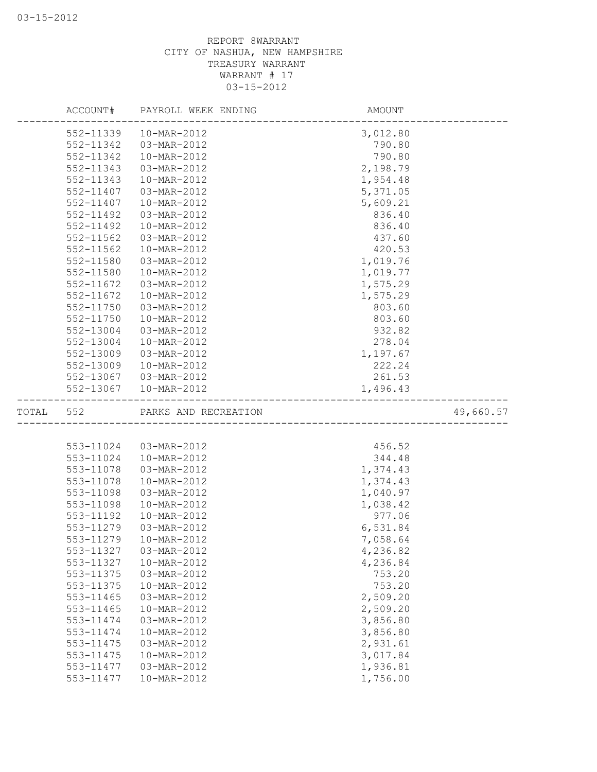|       |           | ACCOUNT# PAYROLL WEEK ENDING | AMOUNT               |  |
|-------|-----------|------------------------------|----------------------|--|
|       | 552-11339 | 10-MAR-2012                  | 3,012.80             |  |
|       | 552-11342 | 03-MAR-2012                  | 790.80               |  |
|       | 552-11342 | 10-MAR-2012                  | 790.80               |  |
|       | 552-11343 | 03-MAR-2012                  | 2,198.79             |  |
|       | 552-11343 | 10-MAR-2012                  | 1,954.48             |  |
|       | 552-11407 | 03-MAR-2012                  | 5,371.05             |  |
|       | 552-11407 | 10-MAR-2012                  | 5,609.21             |  |
|       | 552-11492 | 03-MAR-2012                  | 836.40               |  |
|       | 552-11492 | 10-MAR-2012                  | 836.40               |  |
|       | 552-11562 | 03-MAR-2012                  | 437.60               |  |
|       | 552-11562 | 10-MAR-2012                  | 420.53               |  |
|       | 552-11580 | 03-MAR-2012                  | 1,019.76             |  |
|       | 552-11580 | 10-MAR-2012                  | 1,019.77             |  |
|       | 552-11672 | 03-MAR-2012                  | 1,575.29             |  |
|       | 552-11672 | 10-MAR-2012                  | 1,575.29             |  |
|       | 552-11750 | 03-MAR-2012                  | 803.60               |  |
|       | 552-11750 | 10-MAR-2012                  | 803.60               |  |
|       | 552-13004 | 03-MAR-2012                  | 932.82               |  |
|       | 552-13004 | 10-MAR-2012                  | 278.04               |  |
|       | 552-13009 | 03-MAR-2012                  | 1,197.67             |  |
|       | 552-13009 | 10-MAR-2012                  | 222.24               |  |
|       | 552-13067 | 03-MAR-2012                  | 261.53               |  |
|       | 552-13067 | 10-MAR-2012                  | 1,496.43             |  |
|       |           |                              |                      |  |
| TOTAL | 552       | PARKS AND RECREATION         | 49,660.57            |  |
|       |           |                              |                      |  |
|       | 553-11024 | 03-MAR-2012                  | 456.52               |  |
|       | 553-11024 | 10-MAR-2012                  | 344.48               |  |
|       | 553-11078 | 03-MAR-2012                  | 1,374.43             |  |
|       | 553-11078 | 10-MAR-2012                  | 1,374.43             |  |
|       | 553-11098 | 03-MAR-2012                  | 1,040.97             |  |
|       | 553-11098 | 10-MAR-2012                  | 1,038.42             |  |
|       | 553-11192 | 10-MAR-2012                  | 977.06               |  |
|       | 553-11279 | 03-MAR-2012                  | 6,531.84             |  |
|       | 553-11279 | 10-MAR-2012                  | 7,058.64             |  |
|       | 553-11327 | 03-MAR-2012                  | 4,236.82             |  |
|       | 553-11327 | 10-MAR-2012                  |                      |  |
|       | 553-11375 | 03-MAR-2012                  | 4,236.84<br>753.20   |  |
|       | 553-11375 | 10-MAR-2012                  | 753.20               |  |
|       | 553-11465 | 03-MAR-2012                  | 2,509.20             |  |
|       | 553-11465 | 10-MAR-2012                  | 2,509.20             |  |
|       | 553-11474 | 03-MAR-2012                  | 3,856.80             |  |
|       | 553-11474 | 10-MAR-2012                  | 3,856.80             |  |
|       | 553-11475 | 03-MAR-2012                  |                      |  |
|       | 553-11475 | 10-MAR-2012                  | 2,931.61             |  |
|       | 553-11477 | 03-MAR-2012                  | 3,017.84<br>1,936.81 |  |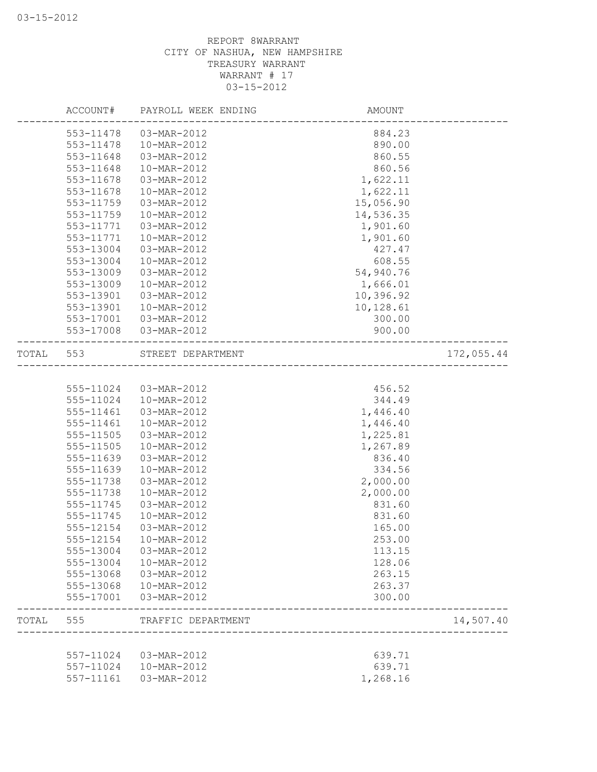|       | ACCOUNT#               | PAYROLL WEEK ENDING        | <b>AMOUNT</b> |            |
|-------|------------------------|----------------------------|---------------|------------|
|       | 553-11478              | 03-MAR-2012                | 884.23        |            |
|       | 553-11478              | 10-MAR-2012                | 890.00        |            |
|       | 553-11648              | 03-MAR-2012                | 860.55        |            |
|       | 553-11648              | 10-MAR-2012                | 860.56        |            |
|       | 553-11678              | 03-MAR-2012                | 1,622.11      |            |
|       | 553-11678              | 10-MAR-2012                | 1,622.11      |            |
|       | 553-11759              | 03-MAR-2012                | 15,056.90     |            |
|       | 553-11759              | 10-MAR-2012                | 14,536.35     |            |
|       | 553-11771              | 03-MAR-2012                | 1,901.60      |            |
|       | 553-11771              | 10-MAR-2012                | 1,901.60      |            |
|       | 553-13004              | 03-MAR-2012                | 427.47        |            |
|       | 553-13004              | 10-MAR-2012                | 608.55        |            |
|       | 553-13009              | 03-MAR-2012                | 54,940.76     |            |
|       | 553-13009              | 10-MAR-2012                | 1,666.01      |            |
|       | 553-13901              | 03-MAR-2012                | 10,396.92     |            |
|       | 553-13901              | 10-MAR-2012                | 10,128.61     |            |
|       | 553-17001              | 03-MAR-2012                | 300.00        |            |
|       | 553-17008              | 03-MAR-2012                | 900.00        |            |
| TOTAL | 553                    | STREET DEPARTMENT          |               | 172,055.44 |
|       |                        |                            |               |            |
|       | 555-11024              | 03-MAR-2012                | 456.52        |            |
|       | 555-11024              | 10-MAR-2012                | 344.49        |            |
|       | 555-11461              | 03-MAR-2012                | 1,446.40      |            |
|       | 555-11461              | 10-MAR-2012                | 1,446.40      |            |
|       | 555-11505              | 03-MAR-2012                | 1,225.81      |            |
|       | 555-11505              | 10-MAR-2012                | 1,267.89      |            |
|       | 555-11639              | 03-MAR-2012                | 836.40        |            |
|       | 555-11639              | 10-MAR-2012                | 334.56        |            |
|       | 555-11738              | 03-MAR-2012                | 2,000.00      |            |
|       | 555-11738              | 10-MAR-2012                | 2,000.00      |            |
|       | 555-11745              | 03-MAR-2012                | 831.60        |            |
|       | 555-11745              | 10-MAR-2012                | 831.60        |            |
|       | 555-12154              | 03-MAR-2012                | 165.00        |            |
|       | 555-12154              | 10-MAR-2012                | 253.00        |            |
|       | 555-13004              | 03-MAR-2012                | 113.15        |            |
|       | 555-13004              | 10-MAR-2012                | 128.06        |            |
|       | 555-13068              | 03-MAR-2012                | 263.15        |            |
|       |                        |                            | 263.37        |            |
|       | 555-13068<br>555-17001 | 10-MAR-2012<br>03-MAR-2012 | 300.00        |            |
|       |                        |                            |               |            |
| TOTAL | 555                    | TRAFFIC DEPARTMENT         |               | 14,507.40  |
|       |                        |                            |               |            |
|       | 557-11024              | 03-MAR-2012                | 639.71        |            |
|       | 557-11024              | 10-MAR-2012                | 639.71        |            |
|       | 557-11161              | 03-MAR-2012                | 1,268.16      |            |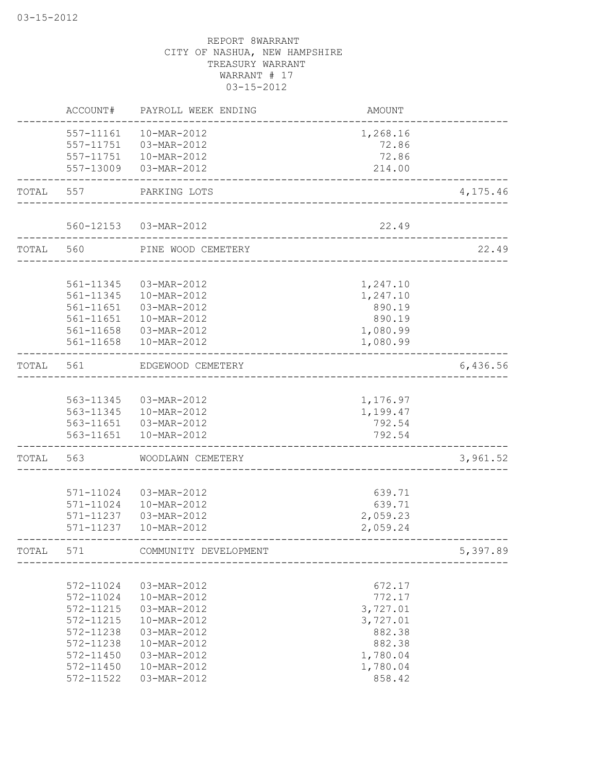|       | ACCOUNT#               | PAYROLL WEEK ENDING        | AMOUNT               |          |
|-------|------------------------|----------------------------|----------------------|----------|
|       | 557-11161              | 10-MAR-2012                | 1,268.16             |          |
|       | 557-11751              | 03-MAR-2012                | 72.86                |          |
|       | 557-11751              | 10-MAR-2012                | 72.86                |          |
|       | 557-13009              | 03-MAR-2012                | 214.00               |          |
| TOTAL | 557                    | PARKING LOTS               |                      | 4,175.46 |
|       |                        |                            |                      |          |
|       |                        | 560-12153  03-MAR-2012     | 22.49                |          |
| TOTAL | 560                    | PINE WOOD CEMETERY         |                      | 22.49    |
|       | 561-11345              | 03-MAR-2012                | 1,247.10             |          |
|       | 561-11345              | 10-MAR-2012                | 1,247.10             |          |
|       | 561-11651              | 03-MAR-2012                | 890.19               |          |
|       | 561-11651              | 10-MAR-2012                | 890.19               |          |
|       | 561-11658              | 03-MAR-2012                | 1,080.99             |          |
|       | 561-11658              | 10-MAR-2012                | 1,080.99             |          |
| TOTAL | 561                    | EDGEWOOD CEMETERY          |                      | 6,436.56 |
|       |                        |                            |                      |          |
|       | 563-11345              | 03-MAR-2012                | 1,176.97             |          |
|       |                        | 563-11345  10-MAR-2012     | 1,199.47             |          |
|       |                        | 563-11651  03-MAR-2012     | 792.54               |          |
|       | 563-11651              | 10-MAR-2012                | 792.54               |          |
| TOTAL | 563                    | WOODLAWN CEMETERY          |                      | 3,961.52 |
|       |                        |                            |                      |          |
|       | 571-11024              | 03-MAR-2012                | 639.71               |          |
|       | 571-11024              | 10-MAR-2012                | 639.71               |          |
|       | 571-11237<br>571-11237 | 03-MAR-2012<br>10-MAR-2012 | 2,059.23<br>2,059.24 |          |
| TOTAL | 571                    | COMMUNITY DEVELOPMENT      |                      | 5,397.89 |
|       |                        |                            |                      |          |
|       | 572-11024              | 03-MAR-2012                | 672.17               |          |
|       | 572-11024              | 10-MAR-2012                | 772.17               |          |
|       | 572-11215              | 03-MAR-2012                | 3,727.01             |          |
|       | 572-11215              | 10-MAR-2012                | 3,727.01             |          |
|       | 572-11238              | 03-MAR-2012                | 882.38               |          |
|       | 572-11238              | 10-MAR-2012                | 882.38               |          |
|       | 572-11450              | 03-MAR-2012                | 1,780.04             |          |
|       | 572-11450              | 10-MAR-2012                | 1,780.04             |          |
|       | 572-11522              | 03-MAR-2012                | 858.42               |          |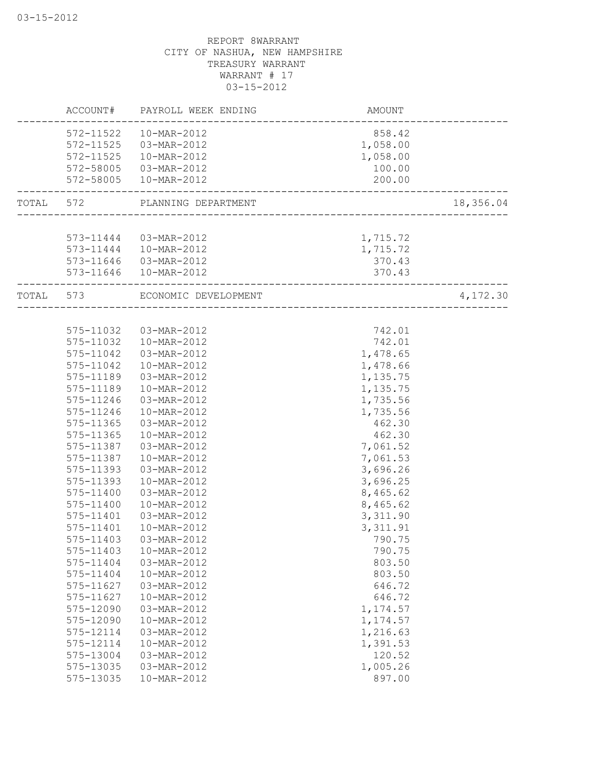|           | ACCOUNT#  | PAYROLL WEEK ENDING    | AMOUNT                       |           |
|-----------|-----------|------------------------|------------------------------|-----------|
|           | 572-11522 | 10-MAR-2012            | 858.42                       |           |
|           | 572-11525 | 03-MAR-2012            | 1,058.00                     |           |
|           | 572-11525 | 10-MAR-2012            | 1,058.00                     |           |
|           | 572-58005 | 03-MAR-2012            | 100.00                       |           |
|           | 572-58005 | 10-MAR-2012            | 200.00                       |           |
| TOTAL 572 |           | PLANNING DEPARTMENT    |                              | 18,356.04 |
|           |           |                        |                              |           |
|           |           | 573-11444  03-MAR-2012 | 1,715.72                     |           |
|           | 573-11444 | 10-MAR-2012            | 1,715.72                     |           |
|           | 573-11646 | 03-MAR-2012            | 370.43                       |           |
|           | 573-11646 | 10-MAR-2012            | 370.43                       |           |
| TOTAL     | 573       | ECONOMIC DEVELOPMENT   | ____________________________ | 4,172.30  |
|           |           |                        |                              |           |
|           | 575-11032 | 03-MAR-2012            | 742.01                       |           |
|           | 575-11032 | 10-MAR-2012            | 742.01                       |           |
|           | 575-11042 | 03-MAR-2012            | 1,478.65                     |           |
|           | 575-11042 | 10-MAR-2012            | 1,478.66                     |           |
|           | 575-11189 | 03-MAR-2012            | 1,135.75                     |           |
|           | 575-11189 | 10-MAR-2012            | 1,135.75                     |           |
|           | 575-11246 | 03-MAR-2012            | 1,735.56                     |           |
|           | 575-11246 | 10-MAR-2012            | 1,735.56                     |           |
|           | 575-11365 | 03-MAR-2012            | 462.30                       |           |
|           | 575-11365 | 10-MAR-2012            | 462.30                       |           |
|           | 575-11387 | 03-MAR-2012            | 7,061.52                     |           |
|           | 575-11387 | 10-MAR-2012            | 7,061.53                     |           |
|           | 575-11393 | 03-MAR-2012            | 3,696.26                     |           |
|           | 575-11393 | 10-MAR-2012            | 3,696.25                     |           |
|           | 575-11400 | 03-MAR-2012            | 8,465.62                     |           |
|           | 575-11400 | 10-MAR-2012            | 8,465.62                     |           |
|           | 575-11401 | 03-MAR-2012            | 3,311.90                     |           |
|           | 575-11401 | 10-MAR-2012            | 3, 311.91                    |           |
|           | 575-11403 | 03-MAR-2012            | 790.75                       |           |
|           | 575-11403 | 10-MAR-2012            | 790.75                       |           |
|           | 575-11404 | 03-MAR-2012            | 803.50                       |           |
|           | 575-11404 | 10-MAR-2012            | 803.50                       |           |
|           | 575-11627 | 03-MAR-2012            | 646.72                       |           |
|           | 575-11627 | 10-MAR-2012            | 646.72                       |           |
|           | 575-12090 | 03-MAR-2012            | 1, 174.57                    |           |
|           | 575-12090 | 10-MAR-2012            | 1,174.57                     |           |
|           | 575-12114 | 03-MAR-2012            | 1,216.63                     |           |
|           | 575-12114 | 10-MAR-2012            | 1,391.53                     |           |
|           | 575-13004 | 03-MAR-2012            | 120.52                       |           |
|           | 575-13035 | 03-MAR-2012            | 1,005.26                     |           |
|           | 575-13035 | 10-MAR-2012            | 897.00                       |           |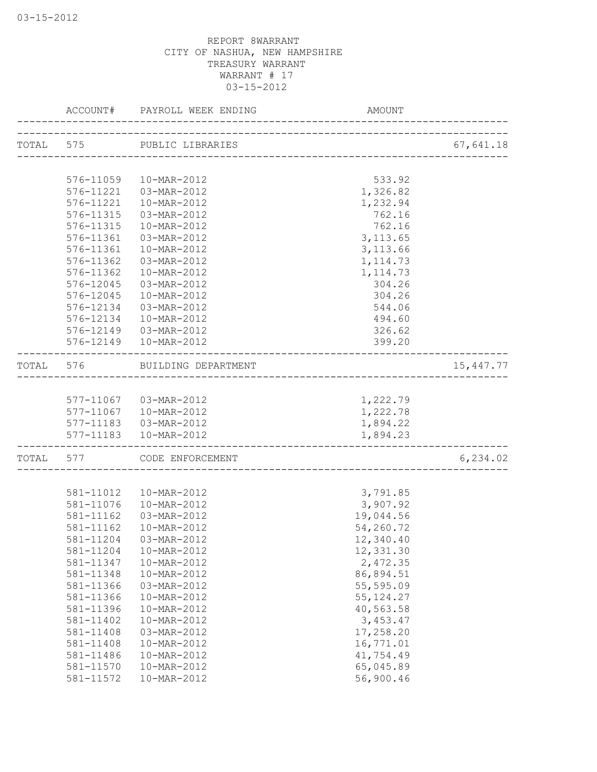|           | ACCOUNT#               | PAYROLL WEEK ENDING                   | AMOUNT                         |            |
|-----------|------------------------|---------------------------------------|--------------------------------|------------|
|           |                        | TOTAL 575 PUBLIC LIBRARIES            |                                | 67,641.18  |
|           |                        |                                       | ------------------------------ |            |
|           | 576-11059              | 10-MAR-2012                           | 533.92                         |            |
|           | 576-11221              | 03-MAR-2012                           | 1,326.82                       |            |
|           | 576-11221              | 10-MAR-2012                           | 1,232.94                       |            |
|           | 576-11315              | 03-MAR-2012                           | 762.16                         |            |
|           | 576-11315              | $10 - \text{MAR} - 2012$              | 762.16                         |            |
|           | 576-11361              | 03-MAR-2012                           | 3, 113.65                      |            |
|           | 576-11361              | 10-MAR-2012                           | 3, 113.66                      |            |
|           | 576-11362              | 03-MAR-2012                           | 1, 114.73                      |            |
|           | 576-11362              | 10-MAR-2012                           | 1, 114.73                      |            |
|           | 576-12045              | 03-MAR-2012                           | 304.26                         |            |
|           | 576-12045              | 10-MAR-2012                           | 304.26                         |            |
|           | 576-12134              | $03 - \text{MAR} - 2012$              | 544.06                         |            |
|           |                        | 576-12134  10-MAR-2012                | 494.60                         |            |
|           |                        | 576-12149  03-MAR-2012                | 326.62                         |            |
|           |                        | 576-12149  10-MAR-2012                | 399.20                         |            |
|           |                        | TOTAL 576 BUILDING DEPARTMENT         |                                | 15, 447.77 |
|           |                        |                                       |                                |            |
|           |                        | 577-11067  03-MAR-2012                | 1,222.79                       |            |
|           |                        | 577-11067  10-MAR-2012                | 1,222.78                       |            |
|           |                        | 577-11183  03-MAR-2012                | 1,894.22                       |            |
|           |                        | 577-11183  10-MAR-2012                | 1,894.23                       |            |
| TOTAL 577 |                        | CODE ENFORCEMENT                      |                                | 6,234.02   |
|           |                        |                                       |                                |            |
|           |                        | 581-11012  10-MAR-2012                | 3,791.85                       |            |
|           |                        | 581-11076  10-MAR-2012<br>03-MAR-2012 | 3,907.92                       |            |
|           | 581-11162<br>581-11162 | 10-MAR-2012                           | 19,044.56                      |            |
|           |                        |                                       | 54,260.72                      |            |
|           | 581-11204              | 03-MAR-2012                           | 12,340.40                      |            |
|           | 581-11204              | 10-MAR-2012                           | 12,331.30                      |            |
|           | 581-11347              | 10-MAR-2012                           | 2,472.35                       |            |
|           | 581-11348              | 10-MAR-2012                           | 86,894.51                      |            |
|           | 581-11366              | 03-MAR-2012                           | 55,595.09                      |            |
|           | 581-11366              | 10-MAR-2012<br>10-MAR-2012            | 55, 124.27                     |            |
|           | 581-11396              | 10-MAR-2012                           | 40,563.58                      |            |
|           | 581-11402<br>581-11408 |                                       | 3, 453.47                      |            |
|           |                        | 03-MAR-2012                           | 17,258.20                      |            |
|           | 581-11408<br>581-11486 | 10-MAR-2012                           | 16,771.01<br>41,754.49         |            |
|           | 581-11570              | 10-MAR-2012<br>10-MAR-2012            | 65,045.89                      |            |
|           | 581-11572              | 10-MAR-2012                           | 56,900.46                      |            |
|           |                        |                                       |                                |            |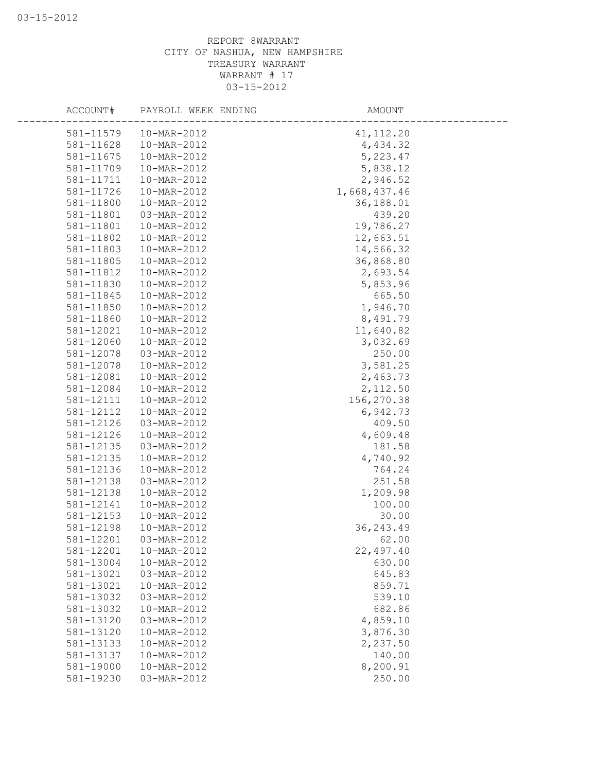| ACCOUNT#  | PAYROLL WEEK ENDING | AMOUNT       |
|-----------|---------------------|--------------|
| 581-11579 | 10-MAR-2012         | 41, 112.20   |
| 581-11628 | 10-MAR-2012         | 4,434.32     |
| 581-11675 | 10-MAR-2012         | 5,223.47     |
| 581-11709 | 10-MAR-2012         | 5,838.12     |
| 581-11711 | 10-MAR-2012         | 2,946.52     |
| 581-11726 | 10-MAR-2012         | 1,668,437.46 |
| 581-11800 | 10-MAR-2012         | 36,188.01    |
| 581-11801 | 03-MAR-2012         | 439.20       |
| 581-11801 | 10-MAR-2012         | 19,786.27    |
| 581-11802 | 10-MAR-2012         | 12,663.51    |
| 581-11803 | 10-MAR-2012         | 14,566.32    |
| 581-11805 | 10-MAR-2012         | 36,868.80    |
| 581-11812 | 10-MAR-2012         | 2,693.54     |
| 581-11830 | 10-MAR-2012         | 5,853.96     |
| 581-11845 | 10-MAR-2012         | 665.50       |
| 581-11850 | 10-MAR-2012         | 1,946.70     |
| 581-11860 | 10-MAR-2012         | 8,491.79     |
| 581-12021 | 10-MAR-2012         | 11,640.82    |
| 581-12060 | 10-MAR-2012         | 3,032.69     |
| 581-12078 | 03-MAR-2012         | 250.00       |
| 581-12078 | 10-MAR-2012         | 3,581.25     |
| 581-12081 | 10-MAR-2012         | 2,463.73     |
| 581-12084 | 10-MAR-2012         | 2,112.50     |
| 581-12111 | 10-MAR-2012         | 156,270.38   |
| 581-12112 | 10-MAR-2012         | 6,942.73     |
| 581-12126 | 03-MAR-2012         | 409.50       |
| 581-12126 | 10-MAR-2012         | 4,609.48     |
| 581-12135 | 03-MAR-2012         | 181.58       |
| 581-12135 | 10-MAR-2012         | 4,740.92     |
| 581-12136 | 10-MAR-2012         | 764.24       |
| 581-12138 | 03-MAR-2012         | 251.58       |
| 581-12138 | 10-MAR-2012         | 1,209.98     |
| 581-12141 | 10-MAR-2012         | 100.00       |
| 581-12153 | 10-MAR-2012         | 30.00        |
| 581-12198 | 10-MAR-2012         | 36, 243.49   |
| 581-12201 | 03-MAR-2012         | 62.00        |
| 581-12201 | 10-MAR-2012         | 22,497.40    |
| 581-13004 | 10-MAR-2012         | 630.00       |
| 581-13021 | 03-MAR-2012         | 645.83       |
| 581-13021 | 10-MAR-2012         | 859.71       |
| 581-13032 | 03-MAR-2012         | 539.10       |
| 581-13032 | 10-MAR-2012         | 682.86       |
| 581-13120 | 03-MAR-2012         | 4,859.10     |
| 581-13120 | 10-MAR-2012         | 3,876.30     |
| 581-13133 | 10-MAR-2012         | 2,237.50     |
| 581-13137 | 10-MAR-2012         | 140.00       |
| 581-19000 | 10-MAR-2012         | 8,200.91     |
| 581-19230 | 03-MAR-2012         | 250.00       |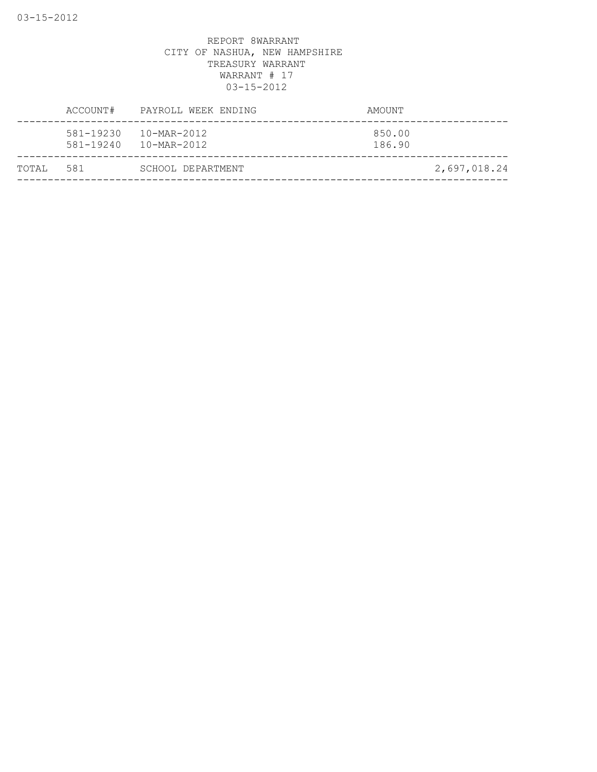|        | ACCOUNT#               | PAYROLL WEEK ENDING                                  | AMOUNT           |              |
|--------|------------------------|------------------------------------------------------|------------------|--------------|
|        | 581-19230<br>581-19240 | $10 - \text{MAR} - 2012$<br>$10 - \text{MAR} - 2012$ | 850.00<br>186.90 |              |
| TOTAI, | 581                    | SCHOOL DEPARTMENT                                    |                  | 2,697,018.24 |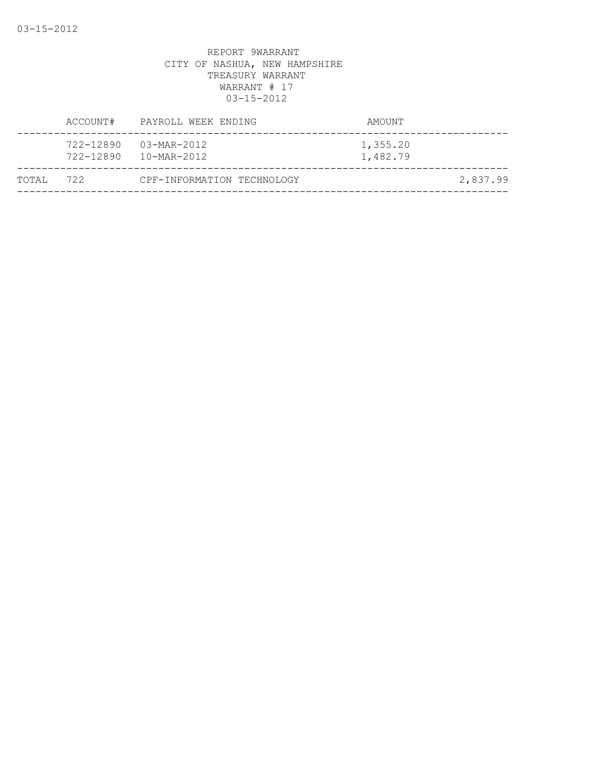|           |           | ACCOUNT# PAYROLL WEEK ENDING         | AMOUNT               |          |
|-----------|-----------|--------------------------------------|----------------------|----------|
|           | 722-12890 | 03-MAR-2012<br>722-12890 10-MAR-2012 | 1,355.20<br>1,482.79 |          |
| TOTAL 722 |           | CPF-INFORMATION TECHNOLOGY           |                      | 2,837.99 |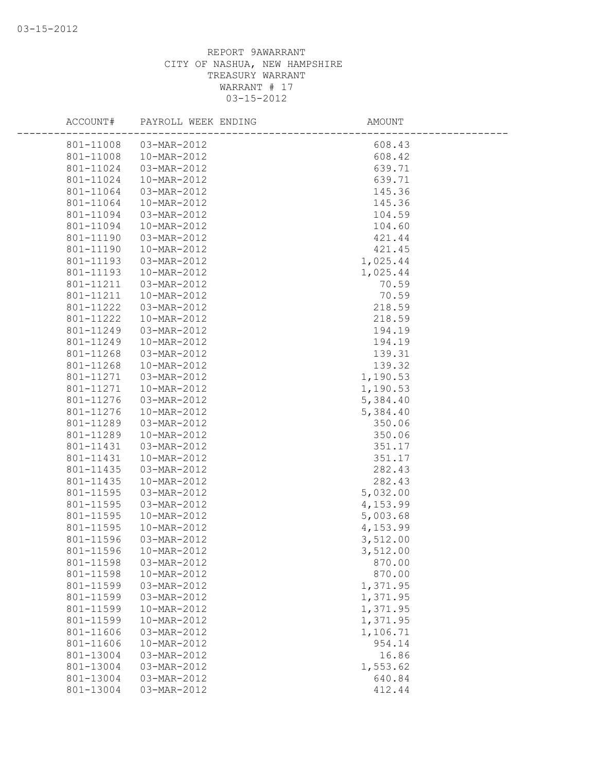| ACCOUNT#               | PAYROLL WEEK ENDING        | AMOUNT             |  |
|------------------------|----------------------------|--------------------|--|
|                        | 801-11008  03-MAR-2012     | 608.43             |  |
| 801-11008              | 10-MAR-2012                | 608.42             |  |
| 801-11024              | 03-MAR-2012                | 639.71             |  |
| 801-11024              | 10-MAR-2012                | 639.71             |  |
| 801-11064              | 03-MAR-2012                | 145.36             |  |
| 801-11064              | 10-MAR-2012                | 145.36             |  |
| 801-11094              | 03-MAR-2012                | 104.59             |  |
| 801-11094              | $10-MAR - 2012$            | 104.60             |  |
| 801-11190              | 03-MAR-2012                | 421.44             |  |
| 801-11190              | 10-MAR-2012                | 421.45             |  |
| 801-11193              | 03-MAR-2012                | 1,025.44           |  |
| 801-11193              | 10-MAR-2012                | 1,025.44           |  |
| 801-11211              | 03-MAR-2012                | 70.59              |  |
| 801-11211              | 10-MAR-2012                | 70.59              |  |
| 801-11222              | 03-MAR-2012                | 218.59             |  |
| 801-11222              | 10-MAR-2012                | 218.59             |  |
| 801-11249              | 03-MAR-2012                | 194.19             |  |
| 801-11249              | 10-MAR-2012                | 194.19             |  |
| 801-11268              | 03-MAR-2012                | 139.31             |  |
| 801-11268              | 10-MAR-2012                | 139.32             |  |
| 801-11271              | 03-MAR-2012                | 1,190.53           |  |
| 801-11271              | 10-MAR-2012                | 1,190.53           |  |
| 801-11276              | 03-MAR-2012                | 5,384.40           |  |
| 801-11276              | 10-MAR-2012                | 5,384.40           |  |
| 801-11289              | 03-MAR-2012                | 350.06             |  |
| 801-11289              | 10-MAR-2012                | 350.06             |  |
| 801-11431              | 03-MAR-2012                | 351.17             |  |
| 801-11431              | 10-MAR-2012                | 351.17             |  |
| 801-11435              | 03-MAR-2012                | 282.43             |  |
| 801-11435              | 10-MAR-2012                | 282.43<br>5,032.00 |  |
| 801-11595<br>801-11595 | 03-MAR-2012<br>03-MAR-2012 | 4,153.99           |  |
| 801-11595              | 10-MAR-2012                | 5,003.68           |  |
| 801-11595              | 10-MAR-2012                | 4,153.99           |  |
| 801-11596              | 03-MAR-2012                | 3,512.00           |  |
| 801-11596              | 10-MAR-2012                | 3,512.00           |  |
| 801-11598              | 03-MAR-2012                | 870.00             |  |
| 801-11598              | 10-MAR-2012                | 870.00             |  |
| 801-11599              | 03-MAR-2012                | 1,371.95           |  |
| 801-11599              | 03-MAR-2012                | 1,371.95           |  |
| 801-11599              | 10-MAR-2012                | 1,371.95           |  |
| 801-11599              | 10-MAR-2012                | 1,371.95           |  |
| 801-11606              | 03-MAR-2012                | 1,106.71           |  |
| 801-11606              | 10-MAR-2012                | 954.14             |  |
| 801-13004              | 03-MAR-2012                | 16.86              |  |
| 801-13004              | 03-MAR-2012                | 1,553.62           |  |
| 801-13004              | 03-MAR-2012                | 640.84             |  |
| 801-13004              | 03-MAR-2012                | 412.44             |  |
|                        |                            |                    |  |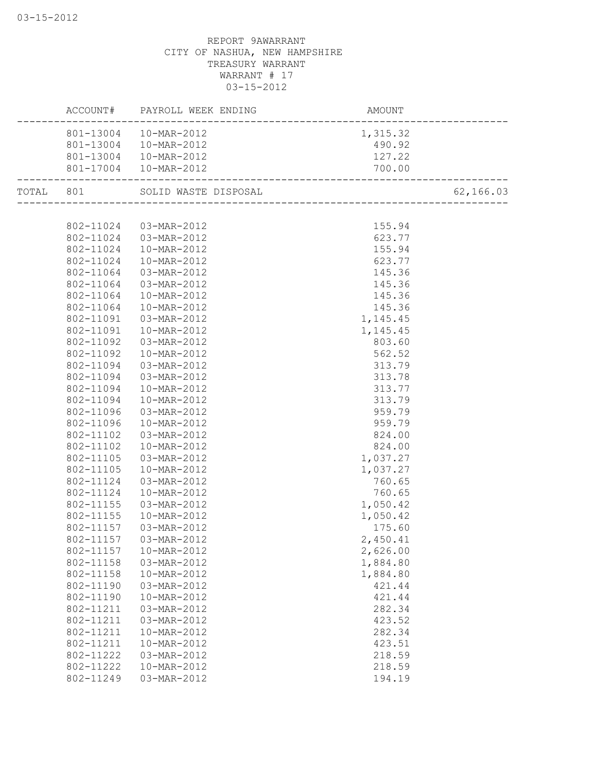|           | ACCOUNT#  | PAYROLL WEEK ENDING    | AMOUNT                |           |
|-----------|-----------|------------------------|-----------------------|-----------|
|           | 801-13004 | 10-MAR-2012            | 1,315.32              |           |
|           | 801-13004 | 10-MAR-2012            | 490.92                |           |
|           | 801-13004 | 10-MAR-2012            | 127.22                |           |
|           |           | 801-17004  10-MAR-2012 | 700.00                |           |
| TOTAL 801 |           | SOLID WASTE DISPOSAL   | _____________________ | 62,166.03 |
|           |           |                        |                       |           |
|           | 802-11024 | 03-MAR-2012            | 155.94                |           |
|           | 802-11024 | 03-MAR-2012            | 623.77                |           |
|           | 802-11024 | 10-MAR-2012            | 155.94                |           |
|           | 802-11024 | 10-MAR-2012            | 623.77                |           |
|           | 802-11064 | 03-MAR-2012            | 145.36                |           |
|           | 802-11064 | 03-MAR-2012            | 145.36                |           |
|           | 802-11064 | 10-MAR-2012            | 145.36                |           |
|           | 802-11064 | 10-MAR-2012            | 145.36                |           |
|           | 802-11091 | 03-MAR-2012            | 1,145.45              |           |
|           | 802-11091 | 10-MAR-2012            | 1,145.45              |           |
|           | 802-11092 | 03-MAR-2012            | 803.60                |           |
|           | 802-11092 | 10-MAR-2012            | 562.52                |           |
|           | 802-11094 | 03-MAR-2012            | 313.79                |           |
|           | 802-11094 | 03-MAR-2012            | 313.78                |           |
|           | 802-11094 | 10-MAR-2012            | 313.77                |           |
|           | 802-11094 | 10-MAR-2012            | 313.79                |           |
|           | 802-11096 | 03-MAR-2012            | 959.79                |           |
|           | 802-11096 | 10-MAR-2012            | 959.79                |           |
|           | 802-11102 | 03-MAR-2012            | 824.00                |           |
|           | 802-11102 | 10-MAR-2012            | 824.00                |           |
|           | 802-11105 | 03-MAR-2012            | 1,037.27              |           |
|           | 802-11105 | 10-MAR-2012            | 1,037.27              |           |
|           | 802-11124 | 03-MAR-2012            | 760.65                |           |
|           | 802-11124 | 10-MAR-2012            | 760.65                |           |
|           | 802-11155 | 03-MAR-2012            | 1,050.42              |           |
|           | 802-11155 | 10-MAR-2012            | 1,050.42              |           |
|           | 802-11157 | 03-MAR-2012            | 175.60                |           |
|           |           | 802-11157 03-MAR-2012  | 2,450.41              |           |
|           | 802-11157 | 10-MAR-2012            | 2,626.00              |           |
|           | 802-11158 | 03-MAR-2012            | 1,884.80              |           |
|           | 802-11158 | 10-MAR-2012            | 1,884.80              |           |
|           | 802-11190 | 03-MAR-2012            | 421.44                |           |
|           | 802-11190 | 10-MAR-2012            | 421.44                |           |
|           | 802-11211 | 03-MAR-2012            | 282.34                |           |
|           | 802-11211 | 03-MAR-2012            | 423.52                |           |
|           | 802-11211 | 10-MAR-2012            | 282.34                |           |
|           | 802-11211 | 10-MAR-2012            | 423.51                |           |
|           | 802-11222 | 03-MAR-2012            | 218.59                |           |
|           | 802-11222 | 10-MAR-2012            | 218.59                |           |
|           | 802-11249 | 03-MAR-2012            | 194.19                |           |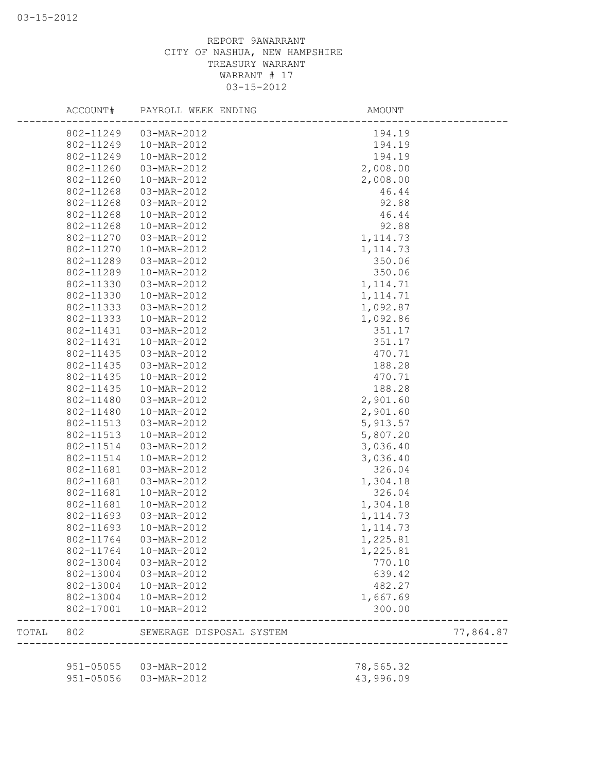|       | ACCOUNT#  | PAYROLL WEEK ENDING      | AMOUNT    |           |
|-------|-----------|--------------------------|-----------|-----------|
|       | 802-11249 | 03-MAR-2012              | 194.19    |           |
|       | 802-11249 | 10-MAR-2012              | 194.19    |           |
|       | 802-11249 | 10-MAR-2012              | 194.19    |           |
|       | 802-11260 | 03-MAR-2012              | 2,008.00  |           |
|       | 802-11260 | 10-MAR-2012              | 2,008.00  |           |
|       | 802-11268 | 03-MAR-2012              | 46.44     |           |
|       | 802-11268 | 03-MAR-2012              | 92.88     |           |
|       | 802-11268 | 10-MAR-2012              | 46.44     |           |
|       | 802-11268 | 10-MAR-2012              | 92.88     |           |
|       | 802-11270 | 03-MAR-2012              | 1, 114.73 |           |
|       | 802-11270 | 10-MAR-2012              | 1, 114.73 |           |
|       | 802-11289 | 03-MAR-2012              | 350.06    |           |
|       | 802-11289 | 10-MAR-2012              | 350.06    |           |
|       | 802-11330 | 03-MAR-2012              | 1, 114.71 |           |
|       | 802-11330 | 10-MAR-2012              | 1, 114.71 |           |
|       | 802-11333 | 03-MAR-2012              | 1,092.87  |           |
|       | 802-11333 | 10-MAR-2012              | 1,092.86  |           |
|       | 802-11431 | 03-MAR-2012              | 351.17    |           |
|       | 802-11431 | 10-MAR-2012              | 351.17    |           |
|       | 802-11435 | 03-MAR-2012              | 470.71    |           |
|       | 802-11435 | 03-MAR-2012              | 188.28    |           |
|       | 802-11435 | 10-MAR-2012              | 470.71    |           |
|       | 802-11435 | 10-MAR-2012              | 188.28    |           |
|       | 802-11480 | 03-MAR-2012              | 2,901.60  |           |
|       | 802-11480 | 10-MAR-2012              | 2,901.60  |           |
|       | 802-11513 | 03-MAR-2012              | 5,913.57  |           |
|       | 802-11513 | 10-MAR-2012              | 5,807.20  |           |
|       | 802-11514 | 03-MAR-2012              | 3,036.40  |           |
|       | 802-11514 | 10-MAR-2012              |           |           |
|       |           |                          | 3,036.40  |           |
|       | 802-11681 | 03-MAR-2012              | 326.04    |           |
|       | 802-11681 | 03-MAR-2012              | 1,304.18  |           |
|       | 802-11681 | 10-MAR-2012              | 326.04    |           |
|       | 802-11681 | 10-MAR-2012              | 1,304.18  |           |
|       | 802-11693 | 03-MAR-2012              | 1, 114.73 |           |
|       | 802-11693 | 10-MAR-2012              | 1, 114.73 |           |
|       | 802-11764 | 03-MAR-2012              | 1,225.81  |           |
|       | 802-11764 | 10-MAR-2012              | 1,225.81  |           |
|       | 802-13004 | 03-MAR-2012              | 770.10    |           |
|       | 802-13004 | 03-MAR-2012              | 639.42    |           |
|       | 802-13004 | 10-MAR-2012              | 482.27    |           |
|       | 802-13004 | 10-MAR-2012              | 1,667.69  |           |
|       | 802-17001 | 10-MAR-2012              | 300.00    |           |
| TOTAL | 802       | SEWERAGE DISPOSAL SYSTEM |           | 77,864.87 |
|       |           | 951-05055  03-MAR-2012   | 78,565.32 |           |
|       |           | 951-05056  03-MAR-2012   | 43,996.09 |           |
|       |           |                          |           |           |